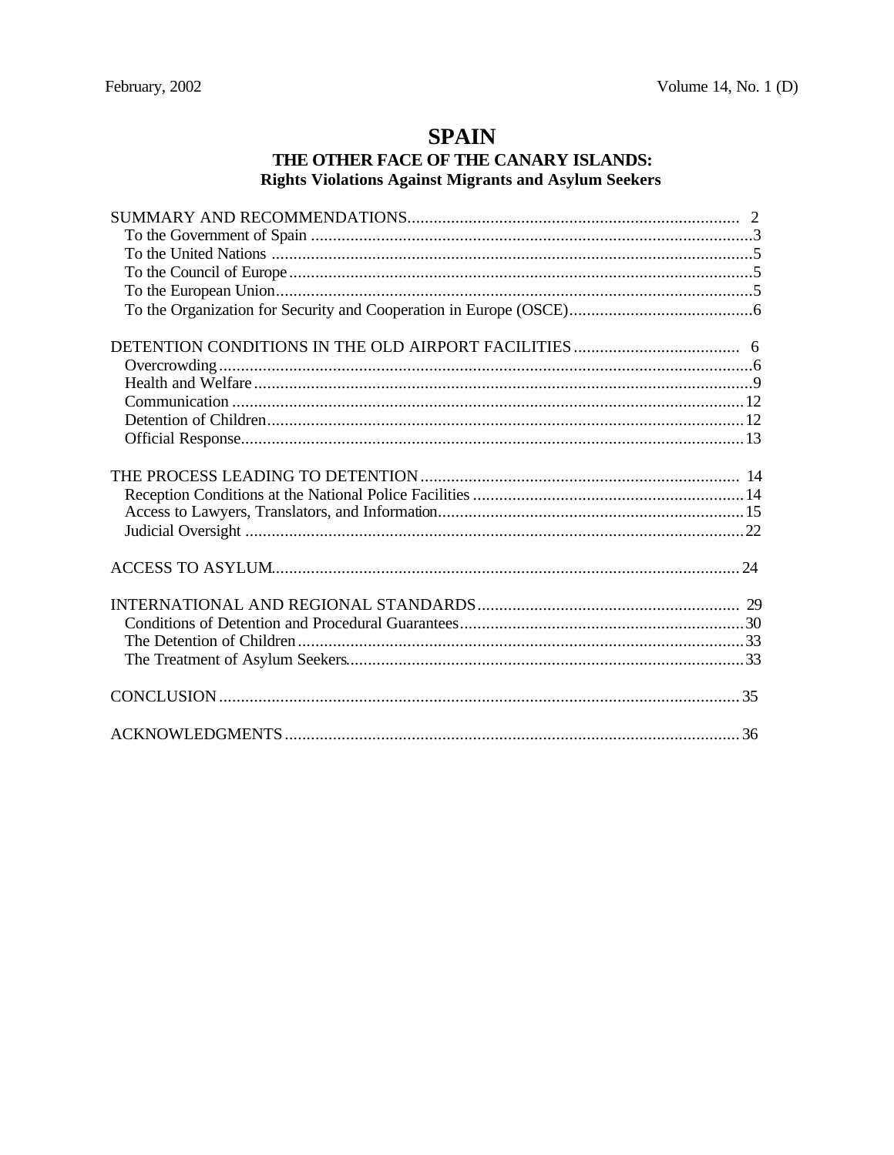# **SPAIN**

## THE OTHER FACE OF THE CANARY ISLANDS: **Rights Violations Against Migrants and Asylum Seekers**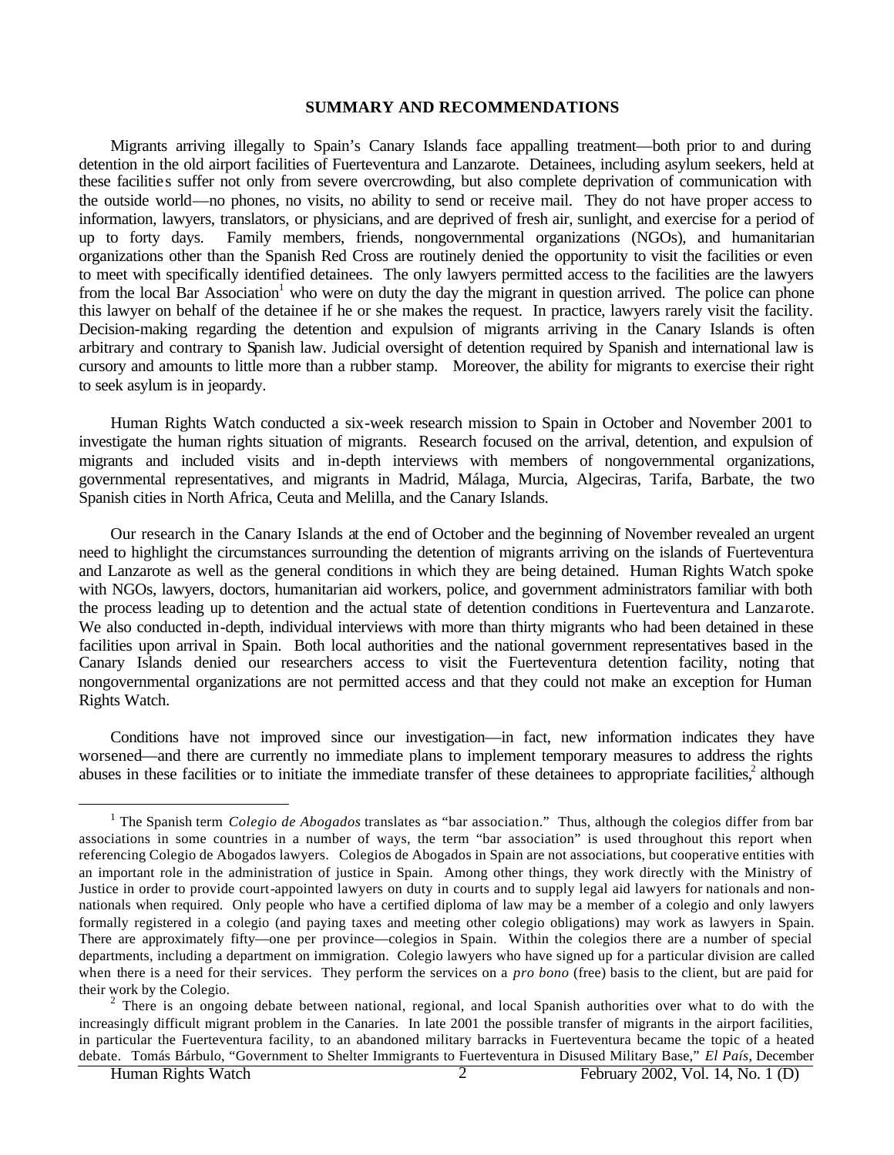#### **SUMMARY AND RECOMMENDATIONS**

Migrants arriving illegally to Spain's Canary Islands face appalling treatment—both prior to and during detention in the old airport facilities of Fuerteventura and Lanzarote. Detainees, including asylum seekers, held at these facilities suffer not only from severe overcrowding, but also complete deprivation of communication with the outside world—no phones, no visits, no ability to send or receive mail. They do not have proper access to information, lawyers, translators, or physicians, and are deprived of fresh air, sunlight, and exercise for a period of up to forty days. Family members, friends, nongovernmental organizations (NGOs), and humanitarian organizations other than the Spanish Red Cross are routinely denied the opportunity to visit the facilities or even to meet with specifically identified detainees. The only lawyers permitted access to the facilities are the lawyers from the local Bar Association<sup>1</sup> who were on duty the day the migrant in question arrived. The police can phone this lawyer on behalf of the detainee if he or she makes the request. In practice, lawyers rarely visit the facility. Decision-making regarding the detention and expulsion of migrants arriving in the Canary Islands is often arbitrary and contrary to Spanish law. Judicial oversight of detention required by Spanish and international law is cursory and amounts to little more than a rubber stamp. Moreover, the ability for migrants to exercise their right to seek asylum is in jeopardy.

Human Rights Watch conducted a six-week research mission to Spain in October and November 2001 to investigate the human rights situation of migrants. Research focused on the arrival, detention, and expulsion of migrants and included visits and in-depth interviews with members of nongovernmental organizations, governmental representatives, and migrants in Madrid, Málaga, Murcia, Algeciras, Tarifa, Barbate, the two Spanish cities in North Africa, Ceuta and Melilla, and the Canary Islands.

Our research in the Canary Islands at the end of October and the beginning of November revealed an urgent need to highlight the circumstances surrounding the detention of migrants arriving on the islands of Fuerteventura and Lanzarote as well as the general conditions in which they are being detained. Human Rights Watch spoke with NGOs, lawyers, doctors, humanitarian aid workers, police, and government administrators familiar with both the process leading up to detention and the actual state of detention conditions in Fuerteventura and Lanzarote. We also conducted in-depth, individual interviews with more than thirty migrants who had been detained in these facilities upon arrival in Spain. Both local authorities and the national government representatives based in the Canary Islands denied our researchers access to visit the Fuerteventura detention facility, noting that nongovernmental organizations are not permitted access and that they could not make an exception for Human Rights Watch.

Conditions have not improved since our investigation—in fact, new information indicates they have worsened—and there are currently no immediate plans to implement temporary measures to address the rights abuses in these facilities or to initiate the immediate transfer of these detainees to appropriate facilities,<sup>2</sup> although

<sup>&</sup>lt;sup>1</sup> The Spanish term *Colegio de Abogados* translates as "bar association." Thus, although the colegios differ from bar associations in some countries in a number of ways, the term "bar association" is used throughout this report when referencing Colegio de Abogados lawyers. Colegios de Abogados in Spain are not associations, but cooperative entities with an important role in the administration of justice in Spain. Among other things, they work directly with the Ministry of Justice in order to provide court-appointed lawyers on duty in courts and to supply legal aid lawyers for nationals and nonnationals when required. Only people who have a certified diploma of law may be a member of a colegio and only lawyers formally registered in a colegio (and paying taxes and meeting other colegio obligations) may work as lawyers in Spain. There are approximately fifty—one per province—colegios in Spain. Within the colegios there are a number of special departments, including a department on immigration. Colegio lawyers who have signed up for a particular division are called when there is a need for their services. They perform the services on a *pro bono* (free) basis to the client, but are paid for their work by the Colegio.

 $2$  There is an ongoing debate between national, regional, and local Spanish authorities over what to do with the increasingly difficult migrant problem in the Canaries. In late 2001 the possible transfer of migrants in the airport facilities, in particular the Fuerteventura facility, to an abandoned military barracks in Fuerteventura became the topic of a heated debate. Tomás Bárbulo, "Government to Shelter Immigrants to Fuerteventura in Disused Military Base," *El País*, December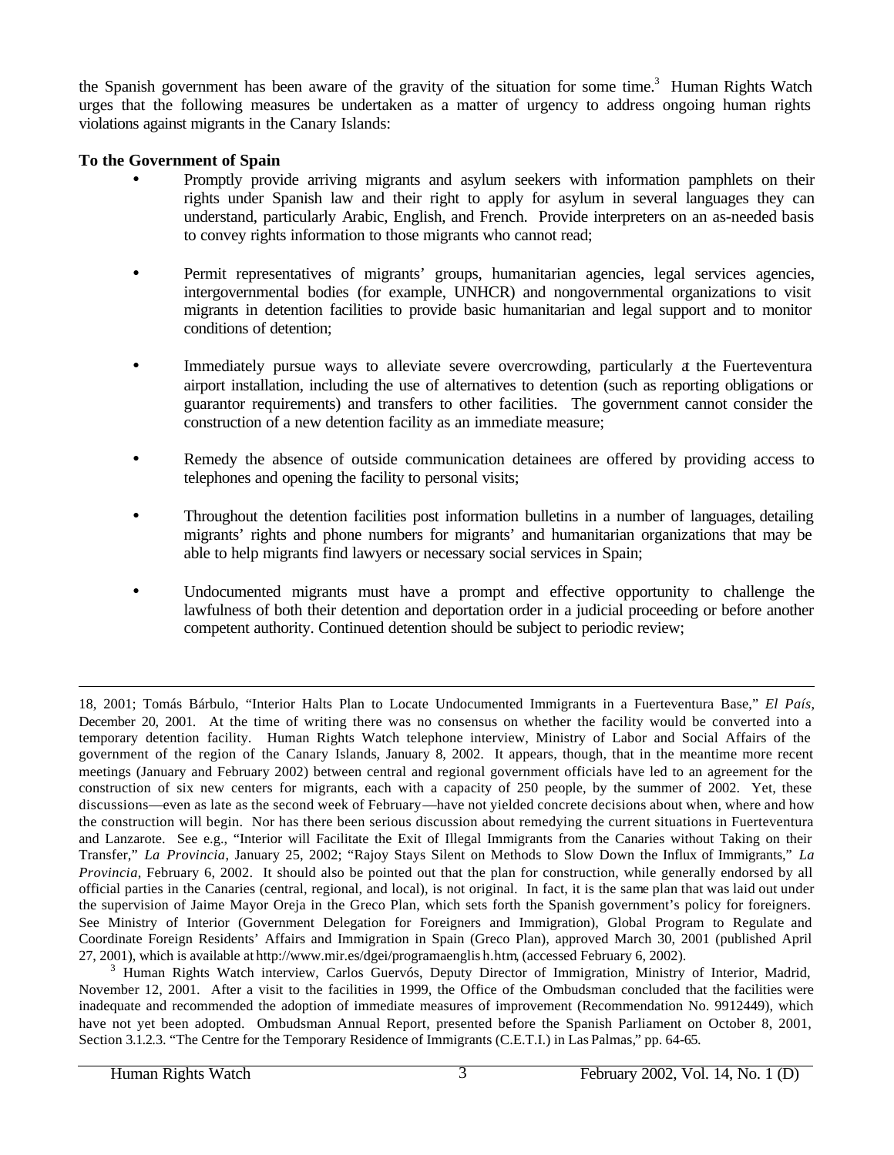the Spanish government has been aware of the gravity of the situation for some time.<sup>3</sup> Human Rights Watch urges that the following measures be undertaken as a matter of urgency to address ongoing human rights violations against migrants in the Canary Islands:

## **To the Government of Spain**

- Promptly provide arriving migrants and asylum seekers with information pamphlets on their rights under Spanish law and their right to apply for asylum in several languages they can understand, particularly Arabic, English, and French. Provide interpreters on an as-needed basis to convey rights information to those migrants who cannot read;
- Permit representatives of migrants' groups, humanitarian agencies, legal services agencies, intergovernmental bodies (for example, UNHCR) and nongovernmental organizations to visit migrants in detention facilities to provide basic humanitarian and legal support and to monitor conditions of detention;
- Immediately pursue ways to alleviate severe overcrowding, particularly a the Fuerteventura airport installation, including the use of alternatives to detention (such as reporting obligations or guarantor requirements) and transfers to other facilities. The government cannot consider the construction of a new detention facility as an immediate measure;
- Remedy the absence of outside communication detainees are offered by providing access to telephones and opening the facility to personal visits;
- Throughout the detention facilities post information bulletins in a number of languages, detailing migrants' rights and phone numbers for migrants' and humanitarian organizations that may be able to help migrants find lawyers or necessary social services in Spain;
- Undocumented migrants must have a prompt and effective opportunity to challenge the lawfulness of both their detention and deportation order in a judicial proceeding or before another competent authority. Continued detention should be subject to periodic review;

<sup>18, 2001;</sup> Tomás Bárbulo, "Interior Halts Plan to Locate Undocumented Immigrants in a Fuerteventura Base," *El País*, December 20, 2001. At the time of writing there was no consensus on whether the facility would be converted into a temporary detention facility. Human Rights Watch telephone interview, Ministry of Labor and Social Affairs of the government of the region of the Canary Islands, January 8, 2002. It appears, though, that in the meantime more recent meetings (January and February 2002) between central and regional government officials have led to an agreement for the construction of six new centers for migrants, each with a capacity of 250 people, by the summer of 2002. Yet, these discussions—even as late as the second week of February—have not yielded concrete decisions about when, where and how the construction will begin. Nor has there been serious discussion about remedying the current situations in Fuerteventura and Lanzarote. See e.g., "Interior will Facilitate the Exit of Illegal Immigrants from the Canaries without Taking on their Transfer," *La Provincia*, January 25, 2002; "Rajoy Stays Silent on Methods to Slow Down the Influx of Immigrants," *La Provincia*, February 6, 2002. It should also be pointed out that the plan for construction, while generally endorsed by all official parties in the Canaries (central, regional, and local), is not original. In fact, it is the same plan that was laid out under the supervision of Jaime Mayor Oreja in the Greco Plan, which sets forth the Spanish government's policy for foreigners. See Ministry of Interior (Government Delegation for Foreigners and Immigration), Global Program to Regulate and Coordinate Foreign Residents' Affairs and Immigration in Spain (Greco Plan), approved March 30, 2001 (published April 27, 2001), which is available at http://www.mir.es/dgei/programaenglis h.htm, (accessed February 6, 2002).

<sup>&</sup>lt;sup>3</sup> Human Rights Watch interview, Carlos Guervós, Deputy Director of Immigration, Ministry of Interior, Madrid, November 12, 2001. After a visit to the facilities in 1999, the Office of the Ombudsman concluded that the facilities were inadequate and recommended the adoption of immediate measures of improvement (Recommendation No. 9912449), which have not yet been adopted. Ombudsman Annual Report, presented before the Spanish Parliament on October 8, 2001, Section 3.1.2.3. "The Centre for the Temporary Residence of Immigrants (C.E.T.I.) in Las Palmas," pp. 64-65.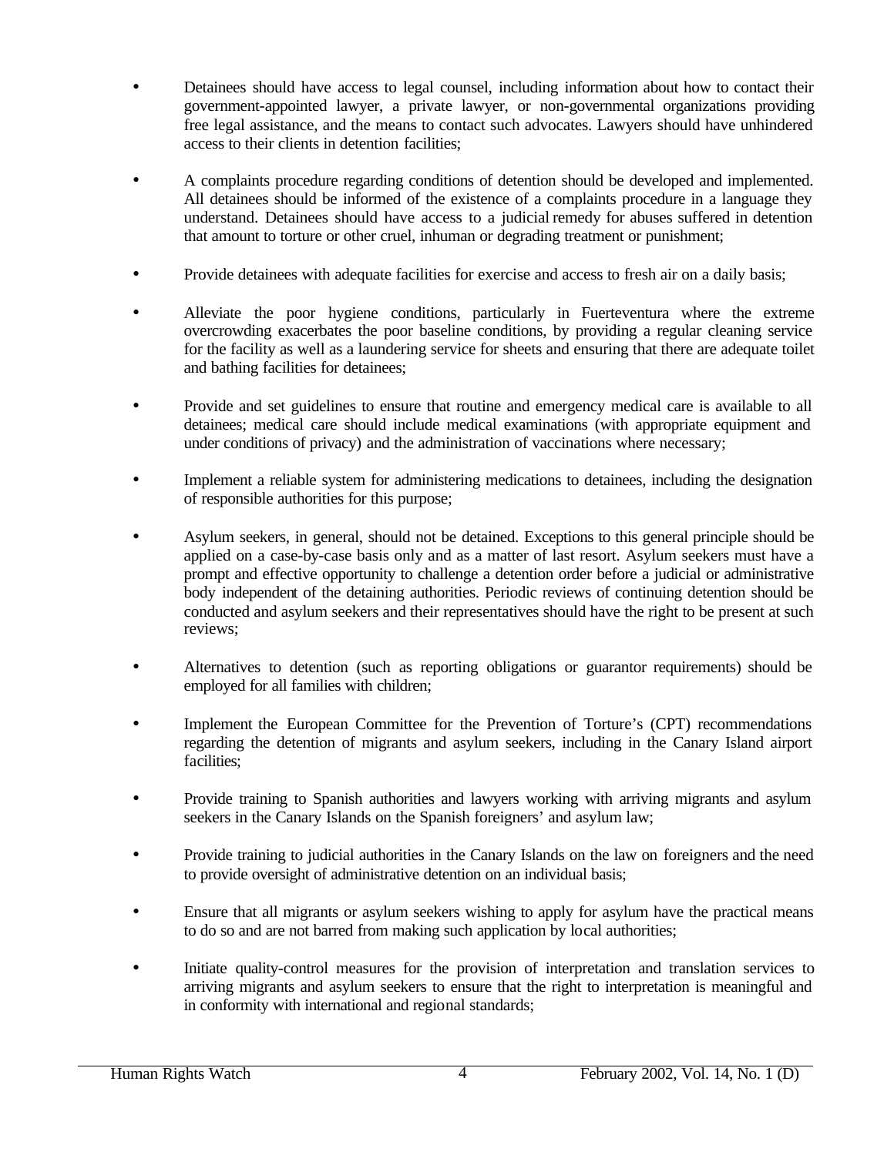- Detainees should have access to legal counsel, including information about how to contact their government-appointed lawyer, a private lawyer, or non-governmental organizations providing free legal assistance, and the means to contact such advocates. Lawyers should have unhindered access to their clients in detention facilities;
- A complaints procedure regarding conditions of detention should be developed and implemented. All detainees should be informed of the existence of a complaints procedure in a language they understand. Detainees should have access to a judicial remedy for abuses suffered in detention that amount to torture or other cruel, inhuman or degrading treatment or punishment;
- Provide detainees with adequate facilities for exercise and access to fresh air on a daily basis;
- Alleviate the poor hygiene conditions, particularly in Fuerteventura where the extreme overcrowding exacerbates the poor baseline conditions, by providing a regular cleaning service for the facility as well as a laundering service for sheets and ensuring that there are adequate toilet and bathing facilities for detainees;
- Provide and set guidelines to ensure that routine and emergency medical care is available to all detainees; medical care should include medical examinations (with appropriate equipment and under conditions of privacy) and the administration of vaccinations where necessary;
- Implement a reliable system for administering medications to detainees, including the designation of responsible authorities for this purpose;
- Asylum seekers, in general, should not be detained. Exceptions to this general principle should be applied on a case-by-case basis only and as a matter of last resort. Asylum seekers must have a prompt and effective opportunity to challenge a detention order before a judicial or administrative body independent of the detaining authorities. Periodic reviews of continuing detention should be conducted and asylum seekers and their representatives should have the right to be present at such reviews;
- Alternatives to detention (such as reporting obligations or guarantor requirements) should be employed for all families with children;
- Implement the European Committee for the Prevention of Torture's (CPT) recommendations regarding the detention of migrants and asylum seekers, including in the Canary Island airport facilities;
- Provide training to Spanish authorities and lawyers working with arriving migrants and asylum seekers in the Canary Islands on the Spanish foreigners' and asylum law;
- Provide training to judicial authorities in the Canary Islands on the law on foreigners and the need to provide oversight of administrative detention on an individual basis;
- Ensure that all migrants or asylum seekers wishing to apply for asylum have the practical means to do so and are not barred from making such application by local authorities;
- Initiate quality-control measures for the provision of interpretation and translation services to arriving migrants and asylum seekers to ensure that the right to interpretation is meaningful and in conformity with international and regional standards;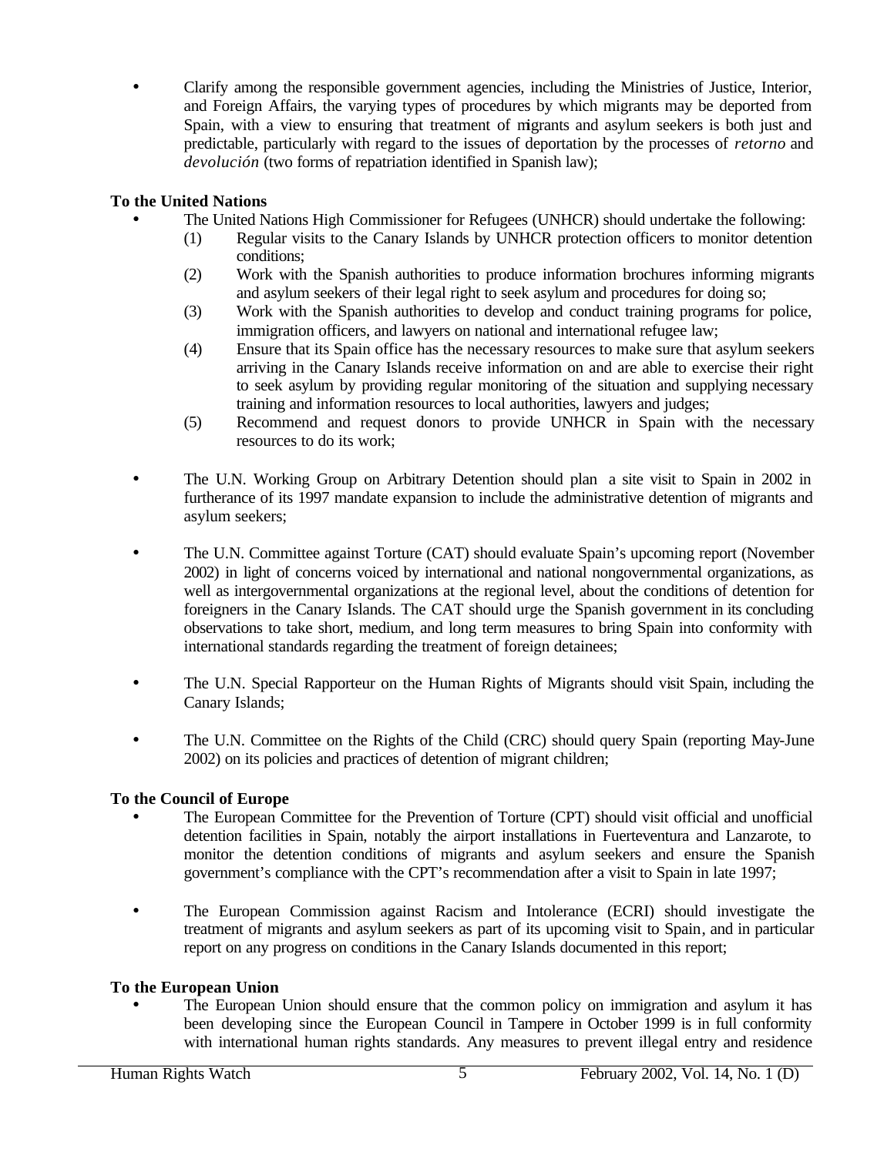• Clarify among the responsible government agencies, including the Ministries of Justice, Interior, and Foreign Affairs, the varying types of procedures by which migrants may be deported from Spain, with a view to ensuring that treatment of migrants and asylum seekers is both just and predictable, particularly with regard to the issues of deportation by the processes of *retorno* and *devolución* (two forms of repatriation identified in Spanish law);

## **To the United Nations**

- The United Nations High Commissioner for Refugees (UNHCR) should undertake the following:
	- (1) Regular visits to the Canary Islands by UNHCR protection officers to monitor detention conditions;
	- (2) Work with the Spanish authorities to produce information brochures informing migrants and asylum seekers of their legal right to seek asylum and procedures for doing so;
	- (3) Work with the Spanish authorities to develop and conduct training programs for police, immigration officers, and lawyers on national and international refugee law;
	- (4) Ensure that its Spain office has the necessary resources to make sure that asylum seekers arriving in the Canary Islands receive information on and are able to exercise their right to seek asylum by providing regular monitoring of the situation and supplying necessary training and information resources to local authorities, lawyers and judges;
	- (5) Recommend and request donors to provide UNHCR in Spain with the necessary resources to do its work;
- The U.N. Working Group on Arbitrary Detention should plan a site visit to Spain in 2002 in furtherance of its 1997 mandate expansion to include the administrative detention of migrants and asylum seekers;
- The U.N. Committee against Torture (CAT) should evaluate Spain's upcoming report (November 2002) in light of concerns voiced by international and national nongovernmental organizations, as well as intergovernmental organizations at the regional level, about the conditions of detention for foreigners in the Canary Islands. The CAT should urge the Spanish government in its concluding observations to take short, medium, and long term measures to bring Spain into conformity with international standards regarding the treatment of foreign detainees;
- The U.N. Special Rapporteur on the Human Rights of Migrants should visit Spain, including the Canary Islands;
- The U.N. Committee on the Rights of the Child (CRC) should query Spain (reporting May-June 2002) on its policies and practices of detention of migrant children;

## **To the Council of Europe**

- The European Committee for the Prevention of Torture (CPT) should visit official and unofficial detention facilities in Spain, notably the airport installations in Fuerteventura and Lanzarote, to monitor the detention conditions of migrants and asylum seekers and ensure the Spanish government's compliance with the CPT's recommendation after a visit to Spain in late 1997;
- The European Commission against Racism and Intolerance (ECRI) should investigate the treatment of migrants and asylum seekers as part of its upcoming visit to Spain, and in particular report on any progress on conditions in the Canary Islands documented in this report;

## **To the European Union**

• The European Union should ensure that the common policy on immigration and asylum it has been developing since the European Council in Tampere in October 1999 is in full conformity with international human rights standards. Any measures to prevent illegal entry and residence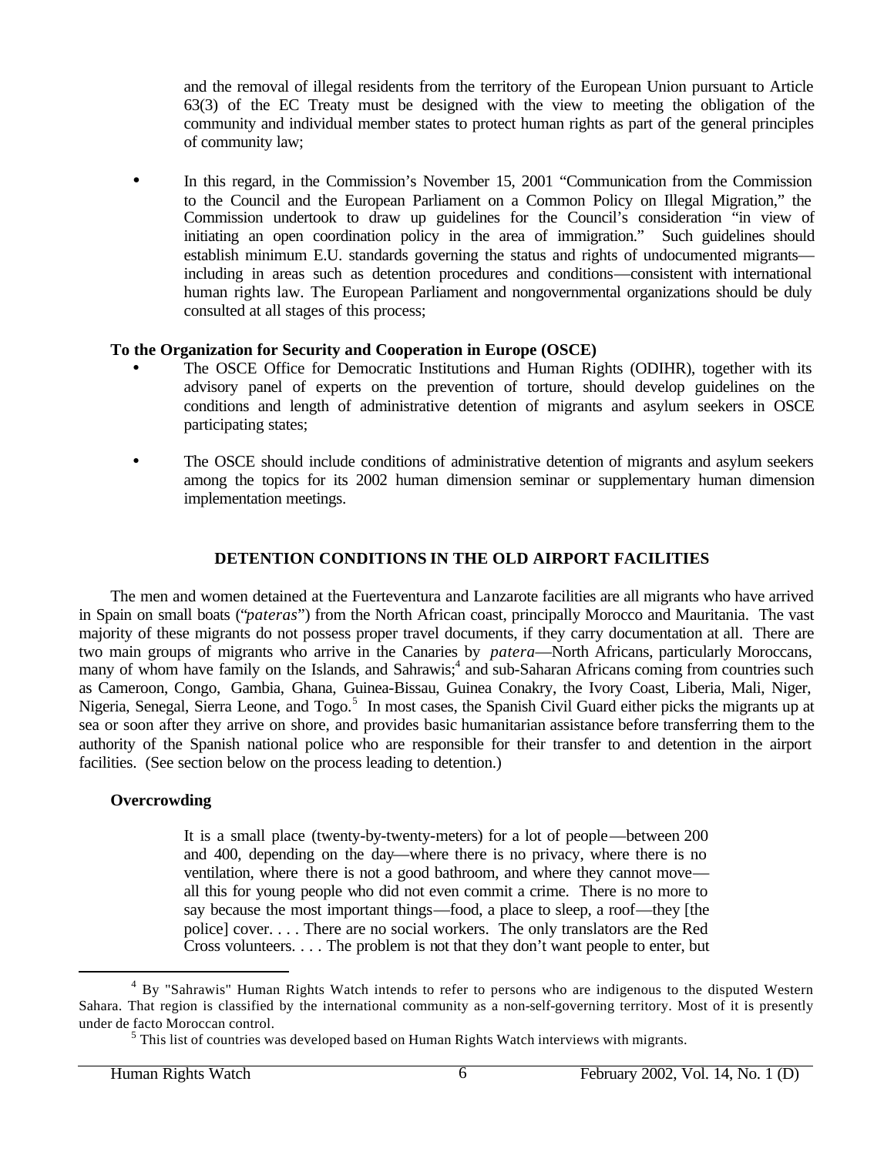and the removal of illegal residents from the territory of the European Union pursuant to Article 63(3) of the EC Treaty must be designed with the view to meeting the obligation of the community and individual member states to protect human rights as part of the general principles of community law;

• In this regard, in the Commission's November 15, 2001 "Communication from the Commission to the Council and the European Parliament on a Common Policy on Illegal Migration," the Commission undertook to draw up guidelines for the Council's consideration "in view of initiating an open coordination policy in the area of immigration." Such guidelines should establish minimum E.U. standards governing the status and rights of undocumented migrants including in areas such as detention procedures and conditions—consistent with international human rights law. The European Parliament and nongovernmental organizations should be duly consulted at all stages of this process;

### **To the Organization for Security and Cooperation in Europe (OSCE)**

- The OSCE Office for Democratic Institutions and Human Rights (ODIHR), together with its advisory panel of experts on the prevention of torture, should develop guidelines on the conditions and length of administrative detention of migrants and asylum seekers in OSCE participating states;
- The OSCE should include conditions of administrative detention of migrants and asylum seekers among the topics for its 2002 human dimension seminar or supplementary human dimension implementation meetings.

## **DETENTION CONDITIONS IN THE OLD AIRPORT FACILITIES**

The men and women detained at the Fuerteventura and Lanzarote facilities are all migrants who have arrived in Spain on small boats ("*pateras*") from the North African coast, principally Morocco and Mauritania. The vast majority of these migrants do not possess proper travel documents, if they carry documentation at all. There are two main groups of migrants who arrive in the Canaries by *patera*—North Africans, particularly Moroccans, many of whom have family on the Islands, and Sahrawis;<sup>4</sup> and sub-Saharan Africans coming from countries such as Cameroon, Congo, Gambia, Ghana, Guinea-Bissau, Guinea Conakry, the Ivory Coast, Liberia, Mali, Niger, Nigeria, Senegal, Sierra Leone, and Togo.<sup>5</sup> In most cases, the Spanish Civil Guard either picks the migrants up at sea or soon after they arrive on shore, and provides basic humanitarian assistance before transferring them to the authority of the Spanish national police who are responsible for their transfer to and detention in the airport facilities. (See section below on the process leading to detention.)

### **Overcrowding**

 $\overline{a}$ 

It is a small place (twenty-by-twenty-meters) for a lot of people—between 200 and 400, depending on the day—where there is no privacy, where there is no ventilation, where there is not a good bathroom, and where they cannot move all this for young people who did not even commit a crime. There is no more to say because the most important things—food, a place to sleep, a roof—they [the police] cover. . . . There are no social workers. The only translators are the Red Cross volunteers. . . . The problem is not that they don't want people to enter, but

<sup>&</sup>lt;sup>4</sup> By "Sahrawis" Human Rights Watch intends to refer to persons who are indigenous to the disputed Western Sahara. That region is classified by the international community as a non-self-governing territory. Most of it is presently under de facto Moroccan control.

 $<sup>5</sup>$  This list of countries was developed based on Human Rights Watch interviews with migrants.</sup>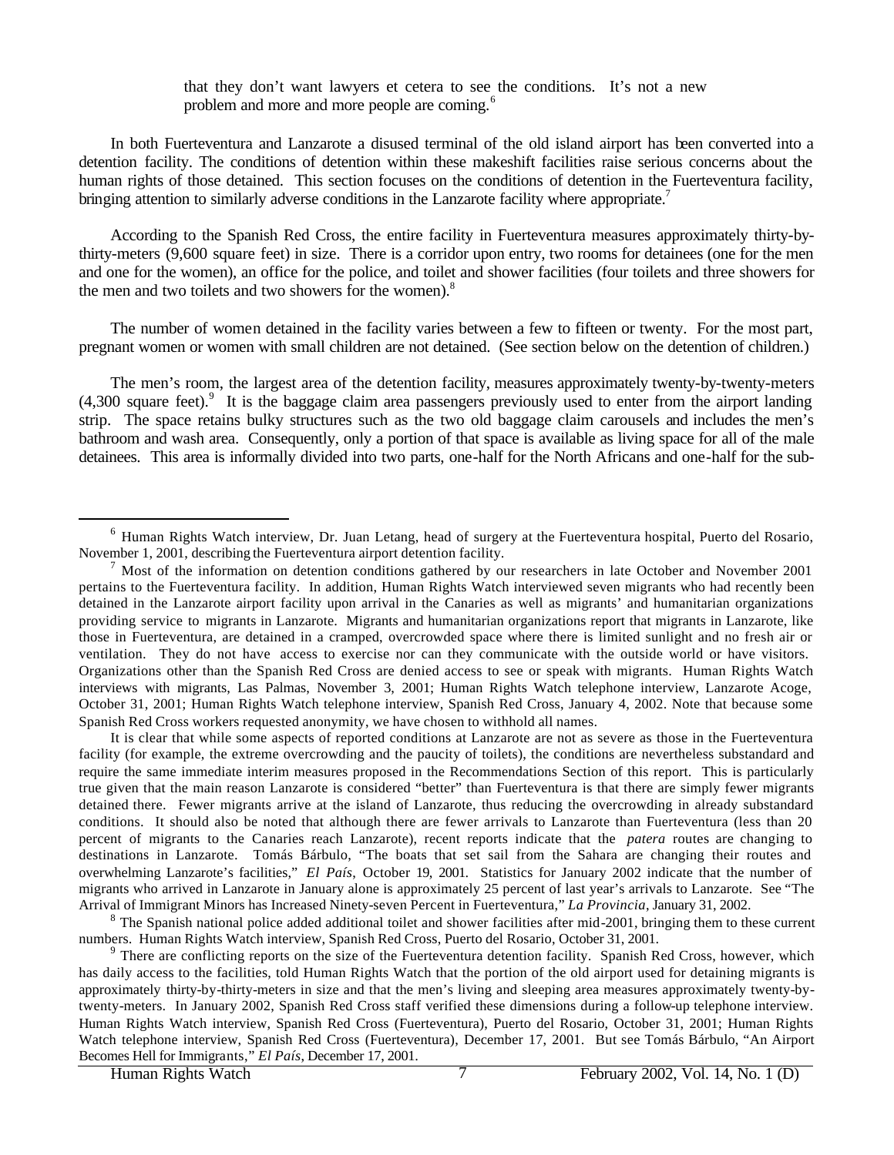that they don't want lawyers et cetera to see the conditions. It's not a new problem and more and more people are coming.<sup>6</sup>

In both Fuerteventura and Lanzarote a disused terminal of the old island airport has been converted into a detention facility. The conditions of detention within these makeshift facilities raise serious concerns about the human rights of those detained. This section focuses on the conditions of detention in the Fuerteventura facility, bringing attention to similarly adverse conditions in the Lanzarote facility where appropriate.<sup>7</sup>

According to the Spanish Red Cross, the entire facility in Fuerteventura measures approximately thirty-bythirty-meters (9,600 square feet) in size. There is a corridor upon entry, two rooms for detainees (one for the men and one for the women), an office for the police, and toilet and shower facilities (four toilets and three showers for the men and two toilets and two showers for the women).<sup>8</sup>

The number of women detained in the facility varies between a few to fifteen or twenty. For the most part, pregnant women or women with small children are not detained. (See section below on the detention of children.)

The men's room, the largest area of the detention facility, measures approximately twenty-by-twenty-meters (4,300 square feet).<sup>9</sup> It is the baggage claim area passengers previously used to enter from the airport landing strip. The space retains bulky structures such as the two old baggage claim carousels and includes the men's bathroom and wash area. Consequently, only a portion of that space is available as living space for all of the male detainees. This area is informally divided into two parts, one-half for the North Africans and one-half for the sub-

It is clear that while some aspects of reported conditions at Lanzarote are not as severe as those in the Fuerteventura facility (for example, the extreme overcrowding and the paucity of toilets), the conditions are nevertheless substandard and require the same immediate interim measures proposed in the Recommendations Section of this report. This is particularly true given that the main reason Lanzarote is considered "better" than Fuerteventura is that there are simply fewer migrants detained there. Fewer migrants arrive at the island of Lanzarote, thus reducing the overcrowding in already substandard conditions. It should also be noted that although there are fewer arrivals to Lanzarote than Fuerteventura (less than 20 percent of migrants to the Canaries reach Lanzarote), recent reports indicate that the *patera* routes are changing to destinations in Lanzarote. Tomás Bárbulo, "The boats that set sail from the Sahara are changing their routes and overwhelming Lanzarote's facilities," *El País*, October 19, 2001. Statistics for January 2002 indicate that the number of migrants who arrived in Lanzarote in January alone is approximately 25 percent of last year's arrivals to Lanzarote. See "The Arrival of Immigrant Minors has Increased Ninety-seven Percent in Fuerteventura," *La Provincia*, January 31, 2002.

<sup>6</sup> Human Rights Watch interview, Dr. Juan Letang, head of surgery at the Fuerteventura hospital, Puerto del Rosario, November 1, 2001, describing the Fuerteventura airport detention facility.

 $<sup>7</sup>$  Most of the information on detention conditions gathered by our researchers in late October and November 2001</sup> pertains to the Fuerteventura facility. In addition, Human Rights Watch interviewed seven migrants who had recently been detained in the Lanzarote airport facility upon arrival in the Canaries as well as migrants' and humanitarian organizations providing service to migrants in Lanzarote. Migrants and humanitarian organizations report that migrants in Lanzarote, like those in Fuerteventura, are detained in a cramped, overcrowded space where there is limited sunlight and no fresh air or ventilation. They do not have access to exercise nor can they communicate with the outside world or have visitors. Organizations other than the Spanish Red Cross are denied access to see or speak with migrants. Human Rights Watch interviews with migrants, Las Palmas, November 3, 2001; Human Rights Watch telephone interview, Lanzarote Acoge, October 31, 2001; Human Rights Watch telephone interview, Spanish Red Cross, January 4, 2002. Note that because some Spanish Red Cross workers requested anonymity, we have chosen to withhold all names.

 $8$  The Spanish national police added additional toilet and shower facilities after mid-2001, bringing them to these current numbers. Human Rights Watch interview, Spanish Red Cross, Puerto del Rosario, October 31, 2001.

<sup>&</sup>lt;sup>9</sup> There are conflicting reports on the size of the Fuerteventura detention facility. Spanish Red Cross, however, which has daily access to the facilities, told Human Rights Watch that the portion of the old airport used for detaining migrants is approximately thirty-by-thirty-meters in size and that the men's living and sleeping area measures approximately twenty-bytwenty-meters. In January 2002, Spanish Red Cross staff verified these dimensions during a follow-up telephone interview. Human Rights Watch interview, Spanish Red Cross (Fuerteventura), Puerto del Rosario, October 31, 2001; Human Rights Watch telephone interview, Spanish Red Cross (Fuerteventura), December 17, 2001. But see Tomás Bárbulo, "An Airport Becomes Hell for Immigrants," *El País*, December 17, 2001.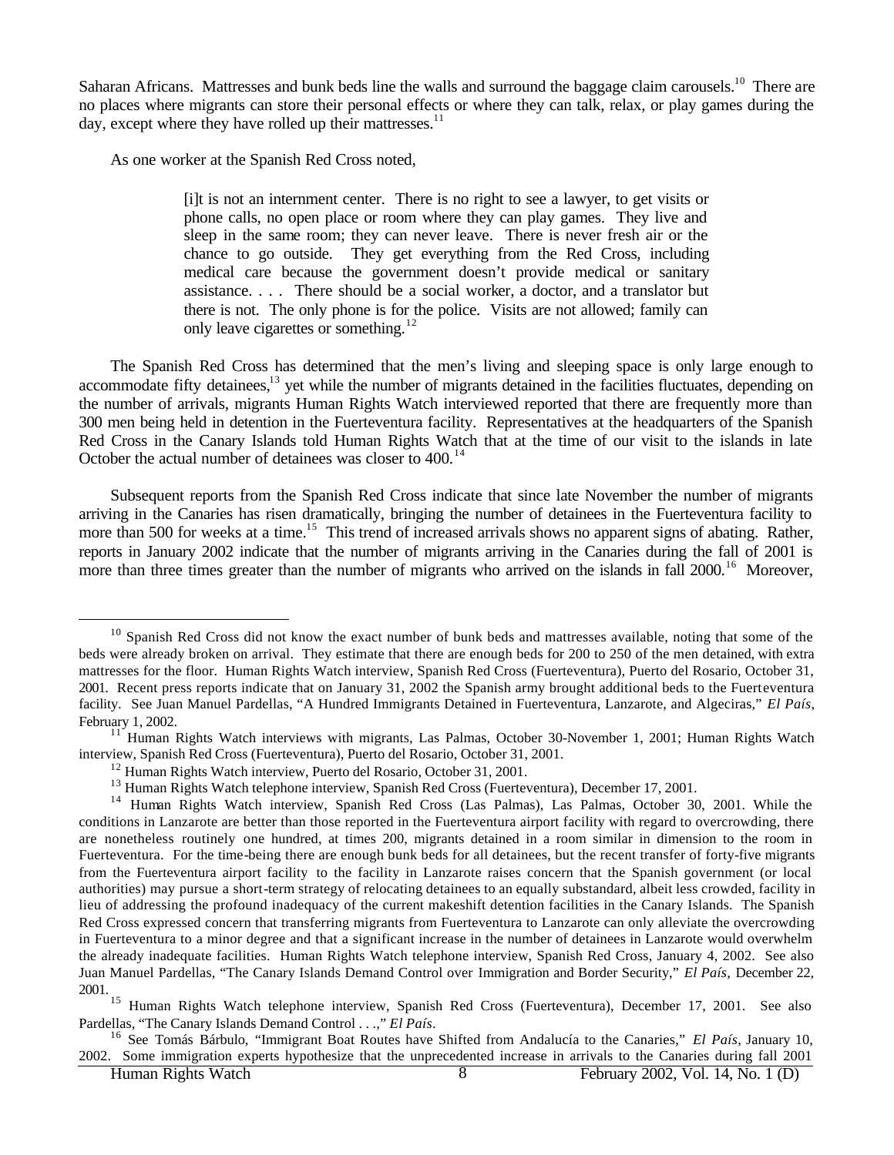Saharan Africans. Mattresses and bunk beds line the walls and surround the baggage claim carousels.<sup>10</sup> There are no places where migrants can store their personal effects or where they can talk, relax, or play games during the day, except where they have rolled up their mattresses. $^{11}$ 

As one worker at the Spanish Red Cross noted,

[i]t is not an internment center. There is no right to see a lawyer, to get visits or phone calls, no open place or room where they can play games. They live and sleep in the same room; they can never leave. There is never fresh air or the chance to go outside. They get everything from the Red Cross, including medical care because the government doesn't provide medical or sanitary assistance. . . . There should be a social worker, a doctor, and a translator but there is not. The only phone is for the police. Visits are not allowed; family can only leave cigarettes or something.<sup>12</sup>

The Spanish Red Cross has determined that the men's living and sleeping space is only large enough to accommodate fifty detainees,<sup>13</sup> yet while the number of migrants detained in the facilities fluctuates, depending on the number of arrivals, migrants Human Rights Watch interviewed reported that there are frequently more than 300 men being held in detention in the Fuerteventura facility. Representatives at the headquarters of the Spanish Red Cross in the Canary Islands told Human Rights Watch that at the time of our visit to the islands in late October the actual number of detainees was closer to 400.<sup>14</sup>

Subsequent reports from the Spanish Red Cross indicate that since late November the number of migrants arriving in the Canaries has risen dramatically, bringing the number of detainees in the Fuerteventura facility to more than 500 for weeks at a time.<sup>15</sup> This trend of increased arrivals shows no apparent signs of abating. Rather, reports in January 2002 indicate that the number of migrants arriving in the Canaries during the fall of 2001 is more than three times greater than the number of migrants who arrived on the islands in fall 2000.<sup>16</sup> Moreover,

 $10$  Spanish Red Cross did not know the exact number of bunk beds and mattresses available, noting that some of the beds were already broken on arrival. They estimate that there are enough beds for 200 to 250 of the men detained, with extra mattresses for the floor. Human Rights Watch interview, Spanish Red Cross (Fuerteventura), Puerto del Rosario, October 31, 2001. Recent press reports indicate that on January 31, 2002 the Spanish army brought additional beds to the Fuerteventura facility. See Juan Manuel Pardellas, "A Hundred Immigrants Detained in Fuerteventura, Lanzarote, and Algeciras," *El País*, February 1, 2002.

 $11$  Human Rights Watch interviews with migrants, Las Palmas, October 30-November 1, 2001; Human Rights Watch interview, Spanish Red Cross (Fuerteventura), Puerto del Rosario, October 31, 2001.

<sup>12</sup> Human Rights Watch interview, Puerto del Rosario, October 31, 2001.

<sup>&</sup>lt;sup>13</sup> Human Rights Watch telephone interview, Spanish Red Cross (Fuerteventura), December 17, 2001.

<sup>&</sup>lt;sup>14</sup> Human Rights Watch interview, Spanish Red Cross (Las Palmas), Las Palmas, October 30, 2001. While the conditions in Lanzarote are better than those reported in the Fuerteventura airport facility with regard to overcrowding, there are nonetheless routinely one hundred, at times 200, migrants detained in a room similar in dimension to the room in Fuerteventura. For the time-being there are enough bunk beds for all detainees, but the recent transfer of forty-five migrants from the Fuerteventura airport facility to the facility in Lanzarote raises concern that the Spanish government (or local authorities) may pursue a short-term strategy of relocating detainees to an equally substandard, albeit less crowded, facility in lieu of addressing the profound inadequacy of the current makeshift detention facilities in the Canary Islands. The Spanish Red Cross expressed concern that transferring migrants from Fuerteventura to Lanzarote can only alleviate the overcrowding in Fuerteventura to a minor degree and that a significant increase in the number of detainees in Lanzarote would overwhelm the already inadequate facilities. Human Rights Watch telephone interview, Spanish Red Cross, January 4, 2002. See also Juan Manuel Pardellas, "The Canary Islands Demand Control over Immigration and Border Security," *El País,* December 22, 2001.

<sup>&</sup>lt;sup>15</sup> Human Rights Watch telephone interview, Spanish Red Cross (Fuerteventura), December 17, 2001. See also Pardellas, "The Canary Islands Demand Control . . .," *El País*.

<sup>16</sup> See Tomás Bárbulo, "Immigrant Boat Routes have Shifted from Andalucía to the Canaries," *El País*, January 10, 2002. Some immigration experts hypothesize that the unprecedented increase in arrivals to the Canaries during fall 2001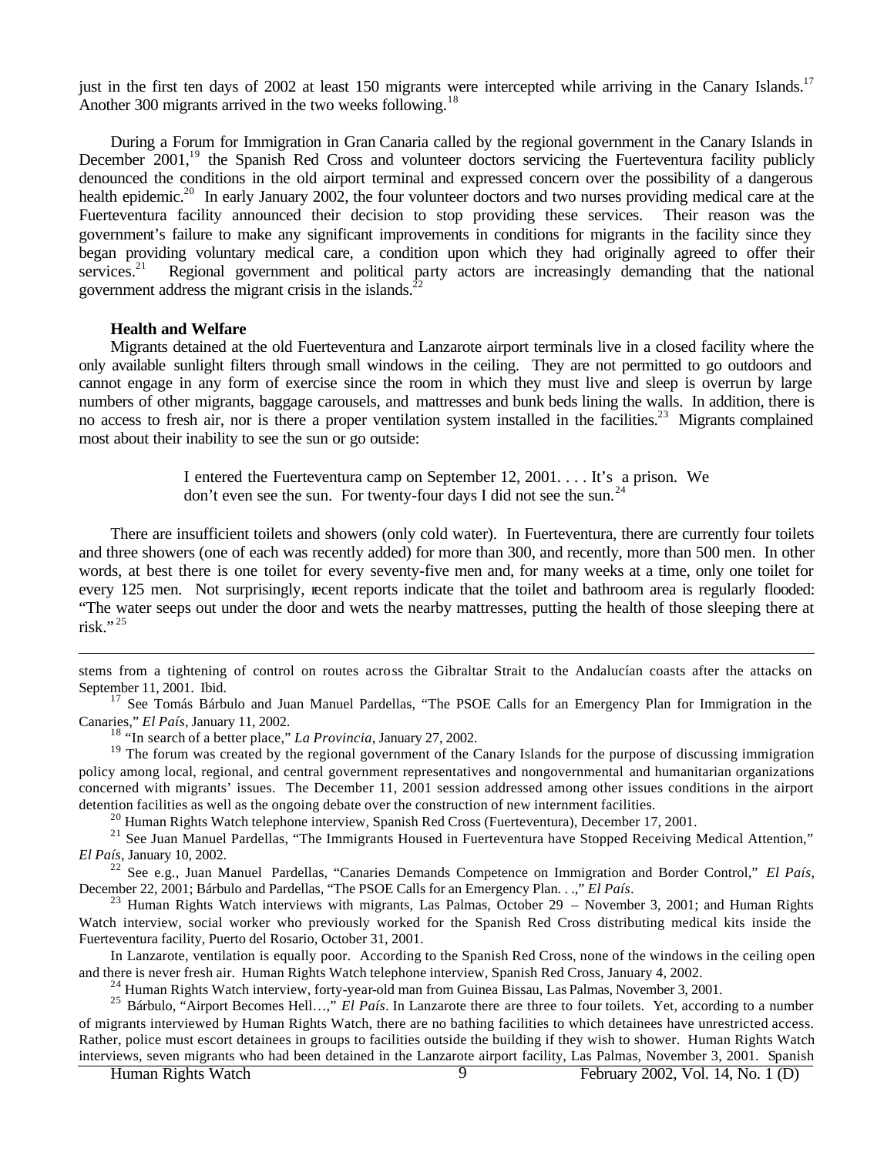just in the first ten days of 2002 at least 150 migrants were intercepted while arriving in the Canary Islands.<sup>17</sup> Another 300 migrants arrived in the two weeks following.<sup>18</sup>

During a Forum for Immigration in Gran Canaria called by the regional government in the Canary Islands in December 2001,<sup>19</sup> the Spanish Red Cross and volunteer doctors servicing the Fuerteventura facility publicly denounced the conditions in the old airport terminal and expressed concern over the possibility of a dangerous health epidemic.<sup>20</sup> In early January 2002, the four volunteer doctors and two nurses providing medical care at the Fuerteventura facility announced their decision to stop providing these services. Their reason was the government's failure to make any significant improvements in conditions for migrants in the facility since they began providing voluntary medical care, a condition upon which they had originally agreed to offer their services.<sup>21</sup> Regional government and political party actors are increasingly demanding that the national government address the migrant crisis in the islands.<sup>2</sup>

#### **Health and Welfare**

 $\overline{a}$ 

Migrants detained at the old Fuerteventura and Lanzarote airport terminals live in a closed facility where the only available sunlight filters through small windows in the ceiling. They are not permitted to go outdoors and cannot engage in any form of exercise since the room in which they must live and sleep is overrun by large numbers of other migrants, baggage carousels, and mattresses and bunk beds lining the walls. In addition, there is no access to fresh air, nor is there a proper ventilation system installed in the facilities.<sup>23</sup> Migrants complained most about their inability to see the sun or go outside:

> I entered the Fuerteventura camp on September 12, 2001. . . . It's a prison. We don't even see the sun. For twenty-four days I did not see the sun.<sup>24</sup>

There are insufficient toilets and showers (only cold water). In Fuerteventura, there are currently four toilets and three showers (one of each was recently added) for more than 300, and recently, more than 500 men. In other words, at best there is one toilet for every seventy-five men and, for many weeks at a time, only one toilet for every 125 men. Not surprisingly, recent reports indicate that the toilet and bathroom area is regularly flooded: "The water seeps out under the door and wets the nearby mattresses, putting the health of those sleeping there at risk." $^{25}$ 

stems from a tightening of control on routes across the Gibraltar Strait to the Andalucían coasts after the attacks on September 11, 2001. Ibid.

<sup>17</sup> See Tomás Bárbulo and Juan Manuel Pardellas, "The PSOE Calls for an Emergency Plan for Immigration in the Canaries," *El País*, January 11, 2002.

<sup>18</sup> "In search of a better place," *La Provincia*, January 27, 2002.

<sup>19</sup> The forum was created by the regional government of the Canary Islands for the purpose of discussing immigration policy among local, regional, and central government representatives and nongovernmental and humanitarian organizations concerned with migrants' issues. The December 11, 2001 session addressed among other issues conditions in the airport detention facilities as well as the ongoing debate over the construction of new internment facilities.

<sup>20</sup> Human Rights Watch telephone interview, Spanish Red Cross (Fuerteventura), December 17, 2001.

<sup>21</sup> See Juan Manuel Pardellas, "The Immigrants Housed in Fuerteventura have Stopped Receiving Medical Attention," *El País,* January 10, 2002.

<sup>22</sup> See e.g., Juan Manuel Pardellas, "Canaries Demands Competence on Immigration and Border Control," *El País*, December 22, 2001; Bárbulo and Pardellas, "The PSOE Calls for an Emergency Plan. . .," *El País*.

 $23$  Human Rights Watch interviews with migrants, Las Palmas, October 29 – November 3, 2001; and Human Rights Watch interview, social worker who previously worked for the Spanish Red Cross distributing medical kits inside the Fuerteventura facility, Puerto del Rosario, October 31, 2001.

In Lanzarote, ventilation is equally poor. According to the Spanish Red Cross, none of the windows in the ceiling open and there is never fresh air. Human Rights Watch telephone interview, Spanish Red Cross, January 4, 2002.

<sup>24</sup> Human Rights Watch interview, forty-year-old man from Guinea Bissau, Las Palmas, November 3, 2001.

<sup>25</sup> Bárbulo, "Airport Becomes Hell…," *El País*. In Lanzarote there are three to four toilets. Yet, according to a number of migrants interviewed by Human Rights Watch, there are no bathing facilities to which detainees have unrestricted access. Rather, police must escort detainees in groups to facilities outside the building if they wish to shower. Human Rights Watch interviews, seven migrants who had been detained in the Lanzarote airport facility, Las Palmas, November 3, 2001. Spanish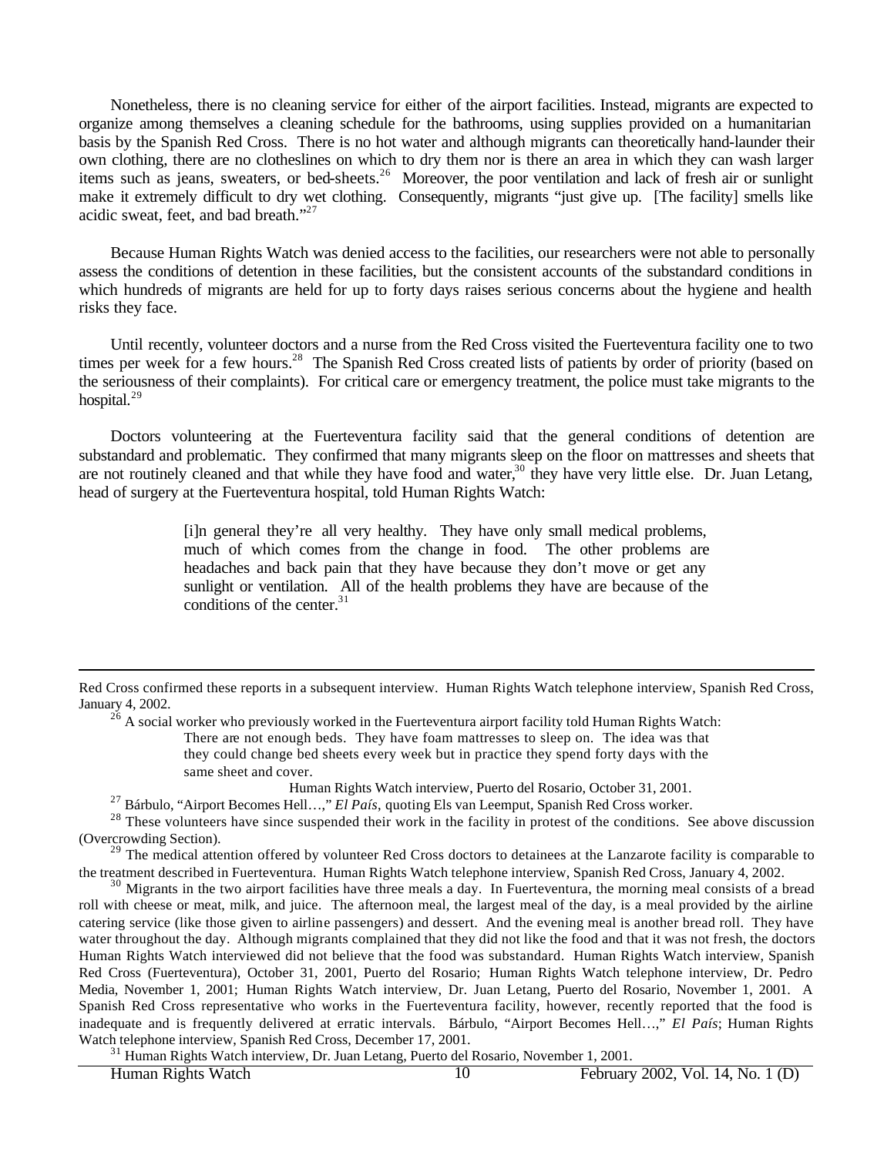Nonetheless, there is no cleaning service for either of the airport facilities. Instead, migrants are expected to organize among themselves a cleaning schedule for the bathrooms, using supplies provided on a humanitarian basis by the Spanish Red Cross. There is no hot water and although migrants can theoretically hand-launder their own clothing, there are no clotheslines on which to dry them nor is there an area in which they can wash larger items such as jeans, sweaters, or bed-sheets.<sup>26</sup> Moreover, the poor ventilation and lack of fresh air or sunlight make it extremely difficult to dry wet clothing. Consequently, migrants "just give up. [The facility] smells like acidic sweat, feet, and bad breath."<sup>27</sup>

Because Human Rights Watch was denied access to the facilities, our researchers were not able to personally assess the conditions of detention in these facilities, but the consistent accounts of the substandard conditions in which hundreds of migrants are held for up to forty days raises serious concerns about the hygiene and health risks they face.

Until recently, volunteer doctors and a nurse from the Red Cross visited the Fuerteventura facility one to two times per week for a few hours.<sup>28</sup> The Spanish Red Cross created lists of patients by order of priority (based on the seriousness of their complaints). For critical care or emergency treatment, the police must take migrants to the hospital.<sup>29</sup>

Doctors volunteering at the Fuerteventura facility said that the general conditions of detention are substandard and problematic. They confirmed that many migrants sleep on the floor on mattresses and sheets that are not routinely cleaned and that while they have food and water,<sup>30</sup> they have very little else. Dr. Juan Letang, head of surgery at the Fuerteventura hospital, told Human Rights Watch:

> [i]n general they're all very healthy. They have only small medical problems, much of which comes from the change in food. The other problems are headaches and back pain that they have because they don't move or get any sunlight or ventilation. All of the health problems they have are because of the conditions of the center. $31$

 $^{26}$  A social worker who previously worked in the Fuerteventura airport facility told Human Rights Watch: There are not enough beds. They have foam mattresses to sleep on. The idea was that they could change bed sheets every week but in practice they spend forty days with the same sheet and cover.

Human Rights Watch interview, Puerto del Rosario, October 31, 2001.

<sup>27</sup> Bárbulo, "Airport Becomes Hell…," *El País*, quoting Els van Leemput, Spanish Red Cross worker.

<sup>28</sup> These volunteers have since suspended their work in the facility in protest of the conditions. See above discussion (Overcrowding Section).

<sup>29</sup> The medical attention offered by volunteer Red Cross doctors to detainees at the Lanzarote facility is comparable to the treatment described in Fuerteventura. Human Rights Watch telephone interview, Spanish Red Cross, January 4, 2002.

<sup>30</sup> Migrants in the two airport facilities have three meals a day. In Fuerteventura, the morning meal consists of a bread roll with cheese or meat, milk, and juice. The afternoon meal, the largest meal of the day, is a meal provided by the airline catering service (like those given to airline passengers) and dessert. And the evening meal is another bread roll. They have water throughout the day. Although migrants complained that they did not like the food and that it was not fresh, the doctors Human Rights Watch interviewed did not believe that the food was substandard. Human Rights Watch interview, Spanish Red Cross (Fuerteventura), October 31, 2001, Puerto del Rosario; Human Rights Watch telephone interview, Dr. Pedro Media, November 1, 2001; Human Rights Watch interview, Dr. Juan Letang, Puerto del Rosario, November 1, 2001. A Spanish Red Cross representative who works in the Fuerteventura facility, however, recently reported that the food is inadequate and is frequently delivered at erratic intervals. Bárbulo, "Airport Becomes Hell…," *El País*; Human Rights Watch telephone interview, Spanish Red Cross, December 17, 2001.

<sup>31</sup> Human Rights Watch interview, Dr. Juan Letang, Puerto del Rosario, November 1, 2001.

Red Cross confirmed these reports in a subsequent interview. Human Rights Watch telephone interview, Spanish Red Cross, January 4, 2002.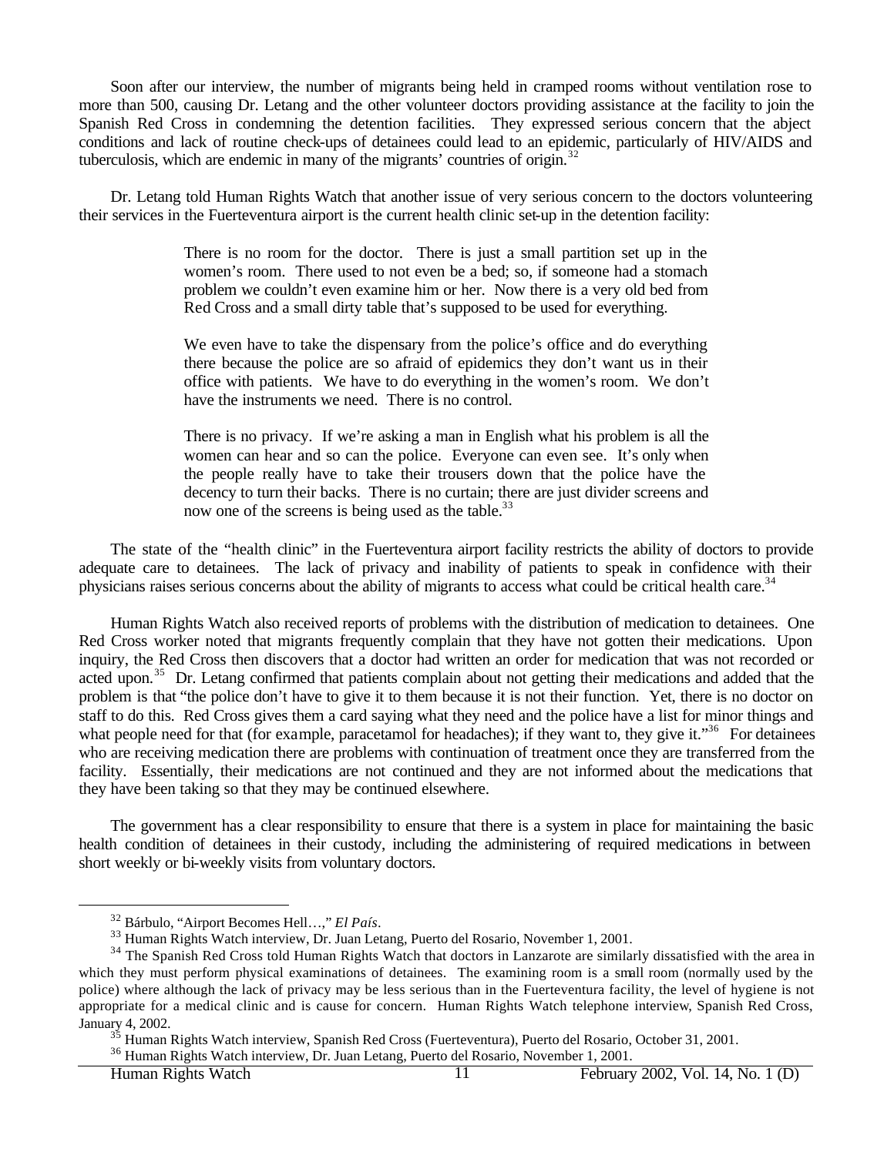Soon after our interview, the number of migrants being held in cramped rooms without ventilation rose to more than 500, causing Dr. Letang and the other volunteer doctors providing assistance at the facility to join the Spanish Red Cross in condemning the detention facilities. They expressed serious concern that the abject conditions and lack of routine check-ups of detainees could lead to an epidemic, particularly of HIV/AIDS and tuberculosis, which are endemic in many of the migrants' countries of origin. $32$ 

Dr. Letang told Human Rights Watch that another issue of very serious concern to the doctors volunteering their services in the Fuerteventura airport is the current health clinic set-up in the detention facility:

> There is no room for the doctor. There is just a small partition set up in the women's room. There used to not even be a bed; so, if someone had a stomach problem we couldn't even examine him or her. Now there is a very old bed from Red Cross and a small dirty table that's supposed to be used for everything.

> We even have to take the dispensary from the police's office and do everything there because the police are so afraid of epidemics they don't want us in their office with patients. We have to do everything in the women's room. We don't have the instruments we need. There is no control.

> There is no privacy. If we're asking a man in English what his problem is all the women can hear and so can the police. Everyone can even see. It's only when the people really have to take their trousers down that the police have the decency to turn their backs. There is no curtain; there are just divider screens and now one of the screens is being used as the table.<sup>33</sup>

The state of the "health clinic" in the Fuerteventura airport facility restricts the ability of doctors to provide adequate care to detainees. The lack of privacy and inability of patients to speak in confidence with their physicians raises serious concerns about the ability of migrants to access what could be critical health care.<sup>34</sup>

Human Rights Watch also received reports of problems with the distribution of medication to detainees. One Red Cross worker noted that migrants frequently complain that they have not gotten their medications. Upon inquiry, the Red Cross then discovers that a doctor had written an order for medication that was not recorded or acted upon.<sup>35</sup> Dr. Letang confirmed that patients complain about not getting their medications and added that the problem is that "the police don't have to give it to them because it is not their function. Yet, there is no doctor on staff to do this. Red Cross gives them a card saying what they need and the police have a list for minor things and what people need for that (for example, paracetamol for headaches); if they want to, they give it."<sup>36</sup> For detainees who are receiving medication there are problems with continuation of treatment once they are transferred from the facility. Essentially, their medications are not continued and they are not informed about the medications that they have been taking so that they may be continued elsewhere.

The government has a clear responsibility to ensure that there is a system in place for maintaining the basic health condition of detainees in their custody, including the administering of required medications in between short weekly or bi-weekly visits from voluntary doctors.

 $\overline{a}$ 

Human Rights Watch 11 February 2002, Vol. 14, No. 1 (D)

<sup>32</sup> Bárbulo, "Airport Becomes Hell…," *El País*.

<sup>33</sup> Human Rights Watch interview, Dr. Juan Letang, Puerto del Rosario, November 1, 2001.

<sup>&</sup>lt;sup>34</sup> The Spanish Red Cross told Human Rights Watch that doctors in Lanzarote are similarly dissatisfied with the area in which they must perform physical examinations of detainees. The examining room is a small room (normally used by the police) where although the lack of privacy may be less serious than in the Fuerteventura facility, the level of hygiene is not appropriate for a medical clinic and is cause for concern. Human Rights Watch telephone interview, Spanish Red Cross, January 4, 2002.

<sup>&</sup>lt;sup>35</sup> Human Rights Watch interview, Spanish Red Cross (Fuerteventura), Puerto del Rosario, October 31, 2001.

<sup>&</sup>lt;sup>36</sup> Human Rights Watch interview, Dr. Juan Letang, Puerto del Rosario, November 1, 2001.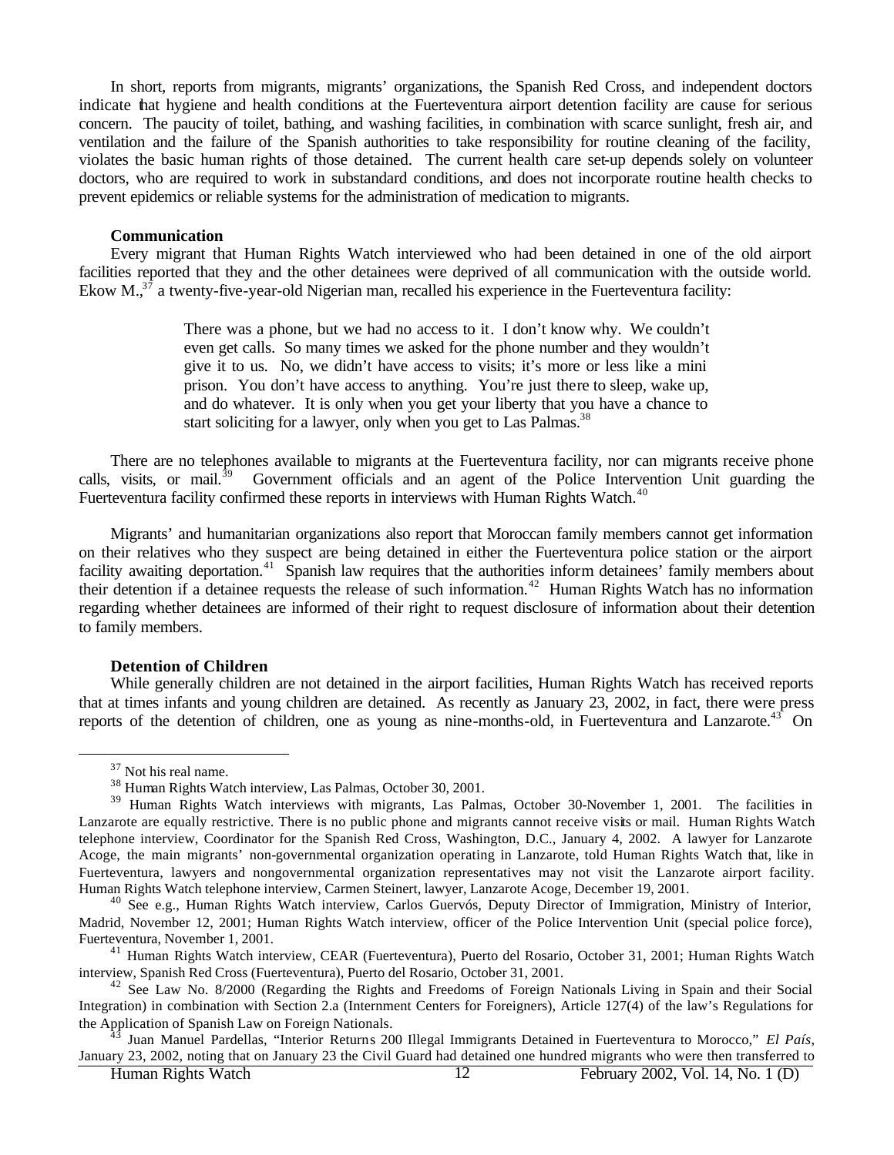In short, reports from migrants, migrants' organizations, the Spanish Red Cross, and independent doctors indicate that hygiene and health conditions at the Fuerteventura airport detention facility are cause for serious concern. The paucity of toilet, bathing, and washing facilities, in combination with scarce sunlight, fresh air, and ventilation and the failure of the Spanish authorities to take responsibility for routine cleaning of the facility, violates the basic human rights of those detained. The current health care set-up depends solely on volunteer doctors, who are required to work in substandard conditions, and does not incorporate routine health checks to prevent epidemics or reliable systems for the administration of medication to migrants.

#### **Communication**

Every migrant that Human Rights Watch interviewed who had been detained in one of the old airport facilities reported that they and the other detainees were deprived of all communication with the outside world. Ekow M. $3^7$  a twenty-five-year-old Nigerian man, recalled his experience in the Fuerteventura facility:

> There was a phone, but we had no access to it. I don't know why. We couldn't even get calls. So many times we asked for the phone number and they wouldn't give it to us. No, we didn't have access to visits; it's more or less like a mini prison. You don't have access to anything. You're just there to sleep, wake up, and do whatever. It is only when you get your liberty that you have a chance to start soliciting for a lawyer, only when you get to Las Palmas.<sup>38</sup>

There are no telephones available to migrants at the Fuerteventura facility, nor can migrants receive phone calls, visits, or mail.<sup>39</sup> Government officials and an agent of the Police Intervention Unit guarding the Fuerteventura facility confirmed these reports in interviews with Human Rights Watch.<sup>40</sup>

Migrants' and humanitarian organizations also report that Moroccan family members cannot get information on their relatives who they suspect are being detained in either the Fuerteventura police station or the airport facility awaiting deportation.<sup>41</sup> Spanish law requires that the authorities inform detainees' family members about their detention if a detainee requests the release of such information.<sup>42</sup> Human Rights Watch has no information regarding whether detainees are informed of their right to request disclosure of information about their detention to family members.

#### **Detention of Children**

While generally children are not detained in the airport facilities, Human Rights Watch has received reports that at times infants and young children are detained. As recently as January 23, 2002, in fact, there were press reports of the detention of children, one as young as nine-months-old, in Fuerteventura and Lanzarote.<sup>43</sup> On

<sup>37</sup> Not his real name.

<sup>38</sup> Human Rights Watch interview, Las Palmas, October 30, 2001.

<sup>&</sup>lt;sup>39</sup> Human Rights Watch interviews with migrants, Las Palmas, October 30-November 1, 2001. The facilities in Lanzarote are equally restrictive. There is no public phone and migrants cannot receive visits or mail. Human Rights Watch telephone interview, Coordinator for the Spanish Red Cross, Washington, D.C., January 4, 2002. A lawyer for Lanzarote Acoge, the main migrants' non-governmental organization operating in Lanzarote, told Human Rights Watch that, like in Fuerteventura, lawyers and nongovernmental organization representatives may not visit the Lanzarote airport facility. Human Rights Watch telephone interview, Carmen Steinert, lawyer, Lanzarote Acoge, December 19, 2001.

<sup>&</sup>lt;sup>40</sup> See e.g., Human Rights Watch interview, Carlos Guervós, Deputy Director of Immigration, Ministry of Interior, Madrid, November 12, 2001; Human Rights Watch interview, officer of the Police Intervention Unit (special police force), Fuerteventura, November 1, 2001.

<sup>41</sup> Human Rights Watch interview, CEAR (Fuerteventura), Puerto del Rosario, October 31, 2001; Human Rights Watch interview, Spanish Red Cross (Fuerteventura), Puerto del Rosario, October 31, 2001.

<sup>&</sup>lt;sup>42</sup> See Law No. 8/2000 (Regarding the Rights and Freedoms of Foreign Nationals Living in Spain and their Social Integration) in combination with Section 2.a (Internment Centers for Foreigners), Article 127(4) of the law's Regulations for the Application of Spanish Law on Foreign Nationals.

<sup>43</sup> Juan Manuel Pardellas, "Interior Returns 200 Illegal Immigrants Detained in Fuerteventura to Morocco," *El País*, January 23, 2002, noting that on January 23 the Civil Guard had detained one hundred migrants who were then transferred to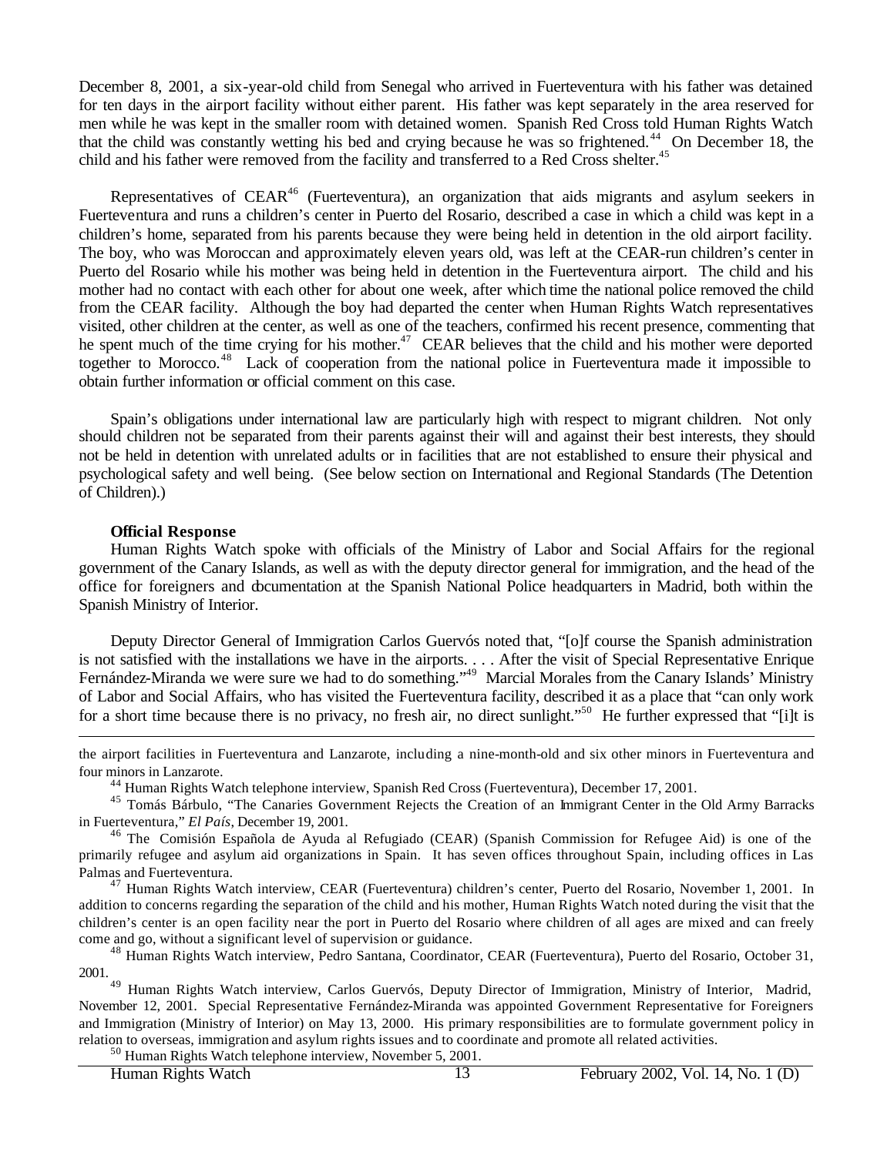December 8, 2001, a six-year-old child from Senegal who arrived in Fuerteventura with his father was detained for ten days in the airport facility without either parent. His father was kept separately in the area reserved for men while he was kept in the smaller room with detained women. Spanish Red Cross told Human Rights Watch that the child was constantly wetting his bed and crying because he was so frightened.<sup>44</sup> On December 18, the child and his father were removed from the facility and transferred to a Red Cross shelter.<sup>45</sup>

Representatives of CEAR<sup>46</sup> (Fuerteventura), an organization that aids migrants and asylum seekers in Fuerteventura and runs a children's center in Puerto del Rosario, described a case in which a child was kept in a children's home, separated from his parents because they were being held in detention in the old airport facility. The boy, who was Moroccan and approximately eleven years old, was left at the CEAR-run children's center in Puerto del Rosario while his mother was being held in detention in the Fuerteventura airport. The child and his mother had no contact with each other for about one week, after which time the national police removed the child from the CEAR facility. Although the boy had departed the center when Human Rights Watch representatives visited, other children at the center, as well as one of the teachers, confirmed his recent presence, commenting that he spent much of the time crying for his mother.<sup>47</sup> CEAR believes that the child and his mother were deported together to Morocco.<sup>48</sup> Lack of cooperation from the national police in Fuerteventura made it impossible to obtain further information or official comment on this case.

Spain's obligations under international law are particularly high with respect to migrant children. Not only should children not be separated from their parents against their will and against their best interests, they should not be held in detention with unrelated adults or in facilities that are not established to ensure their physical and psychological safety and well being. (See below section on International and Regional Standards (The Detention of Children).)

#### **Official Response**

 $\overline{a}$ 

Human Rights Watch spoke with officials of the Ministry of Labor and Social Affairs for the regional government of the Canary Islands, as well as with the deputy director general for immigration, and the head of the office for foreigners and documentation at the Spanish National Police headquarters in Madrid, both within the Spanish Ministry of Interior.

Deputy Director General of Immigration Carlos Guervós noted that, "[o]f course the Spanish administration is not satisfied with the installations we have in the airports. . . . After the visit of Special Representative Enrique Fernández-Miranda we were sure we had to do something."<sup>49</sup> Marcial Morales from the Canary Islands' Ministry of Labor and Social Affairs, who has visited the Fuerteventura facility, described it as a place that "can only work for a short time because there is no privacy, no fresh air, no direct sunlight."<sup>50</sup> He further expressed that "[i]t is

the airport facilities in Fuerteventura and Lanzarote, including a nine-month-old and six other minors in Fuerteventura and four minors in Lanzarote.

<sup>44</sup> Human Rights Watch telephone interview, Spanish Red Cross (Fuerteventura), December 17, 2001.

<sup>45</sup> Tomás Bárbulo, "The Canaries Government Rejects the Creation of an Immigrant Center in the Old Army Barracks in Fuerteventura," *El País*, December 19, 2001.

<sup>46</sup> The Comisión Española de Ayuda al Refugiado (CEAR) (Spanish Commission for Refugee Aid) is one of the primarily refugee and asylum aid organizations in Spain. It has seven offices throughout Spain, including offices in Las Palmas and Fuerteventura.

<sup>47</sup> Human Rights Watch interview, CEAR (Fuerteventura) children's center, Puerto del Rosario, November 1, 2001. In addition to concerns regarding the separation of the child and his mother, Human Rights Watch noted during the visit that the children's center is an open facility near the port in Puerto del Rosario where children of all ages are mixed and can freely come and go, without a significant level of supervision or guidance.

<sup>48</sup> Human Rights Watch interview, Pedro Santana, Coordinator, CEAR (Fuerteventura), Puerto del Rosario, October 31, 2001.

<sup>49</sup> Human Rights Watch interview, Carlos Guervós, Deputy Director of Immigration, Ministry of Interior, Madrid, November 12, 2001. Special Representative Fernández-Miranda was appointed Government Representative for Foreigners and Immigration (Ministry of Interior) on May 13, 2000. His primary responsibilities are to formulate government policy in relation to overseas, immigration and asylum rights issues and to coordinate and promote all related activities.

<sup>50</sup> Human Rights Watch telephone interview, November 5, 2001.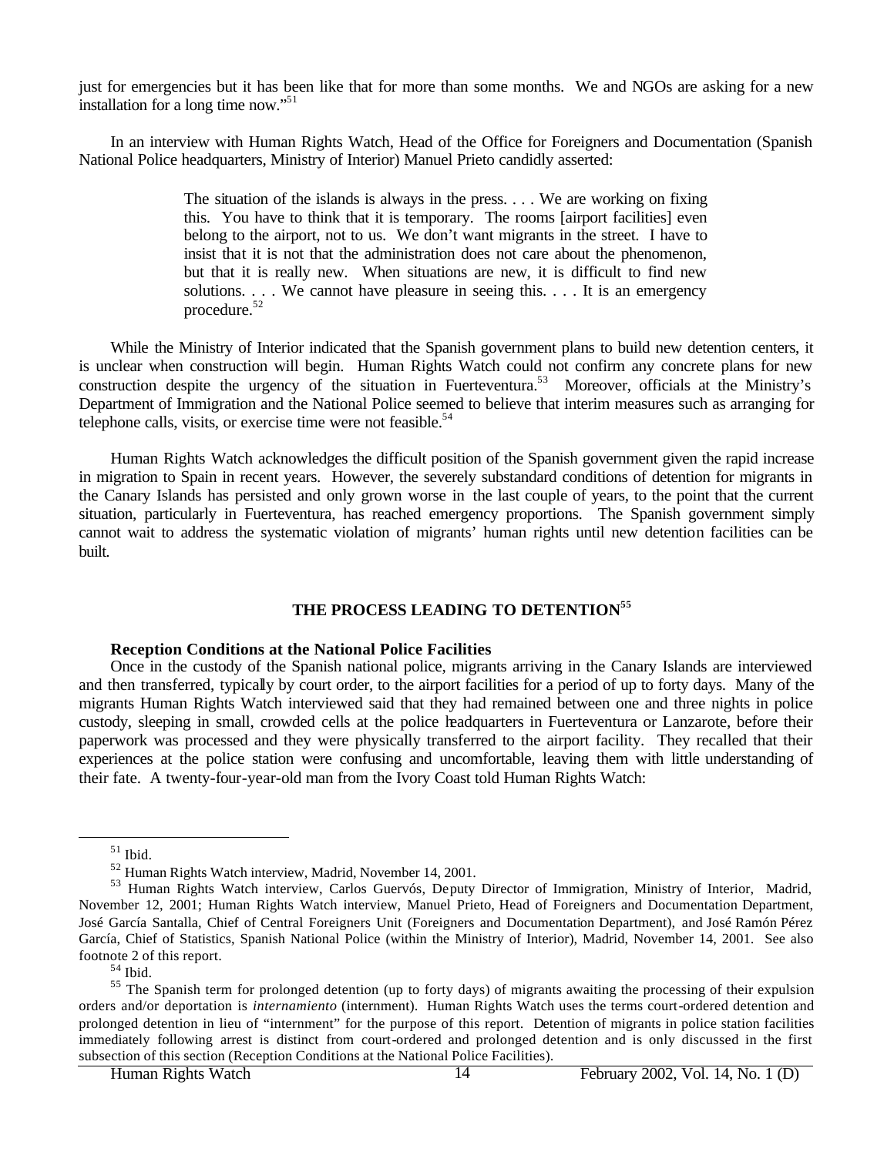just for emergencies but it has been like that for more than some months. We and NGOs are asking for a new installation for a long time now."<sup>51</sup>

In an interview with Human Rights Watch, Head of the Office for Foreigners and Documentation (Spanish National Police headquarters, Ministry of Interior) Manuel Prieto candidly asserted:

> The situation of the islands is always in the press. . . . We are working on fixing this. You have to think that it is temporary. The rooms [airport facilities] even belong to the airport, not to us. We don't want migrants in the street. I have to insist that it is not that the administration does not care about the phenomenon, but that it is really new. When situations are new, it is difficult to find new solutions. . . . We cannot have pleasure in seeing this. . . . It is an emergency procedure.<sup>52</sup>

While the Ministry of Interior indicated that the Spanish government plans to build new detention centers, it is unclear when construction will begin. Human Rights Watch could not confirm any concrete plans for new construction despite the urgency of the situation in Fuerteventura.<sup>53</sup> Moreover, officials at the Ministry's Department of Immigration and the National Police seemed to believe that interim measures such as arranging for telephone calls, visits, or exercise time were not feasible.<sup>54</sup>

Human Rights Watch acknowledges the difficult position of the Spanish government given the rapid increase in migration to Spain in recent years. However, the severely substandard conditions of detention for migrants in the Canary Islands has persisted and only grown worse in the last couple of years, to the point that the current situation, particularly in Fuerteventura, has reached emergency proportions. The Spanish government simply cannot wait to address the systematic violation of migrants' human rights until new detention facilities can be built.

### **THE PROCESS LEADING TO DETENTION<sup>55</sup>**

#### **Reception Conditions at the National Police Facilities**

Once in the custody of the Spanish national police, migrants arriving in the Canary Islands are interviewed and then transferred, typically by court order, to the airport facilities for a period of up to forty days. Many of the migrants Human Rights Watch interviewed said that they had remained between one and three nights in police custody, sleeping in small, crowded cells at the police headquarters in Fuerteventura or Lanzarote, before their paperwork was processed and they were physically transferred to the airport facility. They recalled that their experiences at the police station were confusing and uncomfortable, leaving them with little understanding of their fate. A twenty-four-year-old man from the Ivory Coast told Human Rights Watch:

 $51$  Ibid.

<sup>52</sup> Human Rights Watch interview, Madrid, November 14, 2001.

<sup>53</sup> Human Rights Watch interview, Carlos Guervós, Deputy Director of Immigration, Ministry of Interior, Madrid, November 12, 2001; Human Rights Watch interview, Manuel Prieto, Head of Foreigners and Documentation Department, José García Santalla, Chief of Central Foreigners Unit (Foreigners and Documentation Department), and José Ramón Pérez García, Chief of Statistics, Spanish National Police (within the Ministry of Interior), Madrid, November 14, 2001. See also footnote 2 of this report.

<sup>54</sup> Ibid.

<sup>&</sup>lt;sup>55</sup> The Spanish term for prolonged detention (up to forty days) of migrants awaiting the processing of their expulsion orders and/or deportation is *internamiento* (internment). Human Rights Watch uses the terms court-ordered detention and prolonged detention in lieu of "internment" for the purpose of this report. Detention of migrants in police station facilities immediately following arrest is distinct from court-ordered and prolonged detention and is only discussed in the first subsection of this section (Reception Conditions at the National Police Facilities).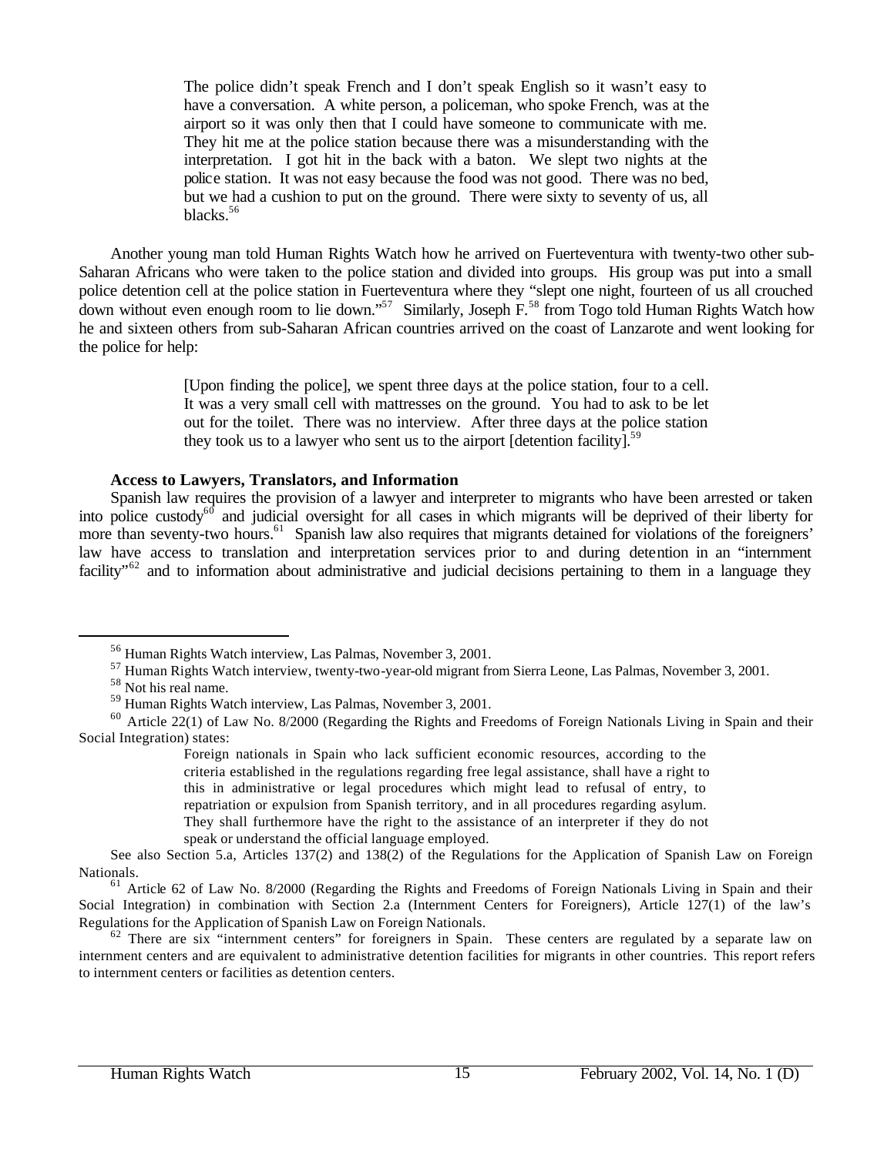The police didn't speak French and I don't speak English so it wasn't easy to have a conversation. A white person, a policeman, who spoke French, was at the airport so it was only then that I could have someone to communicate with me. They hit me at the police station because there was a misunderstanding with the interpretation. I got hit in the back with a baton. We slept two nights at the police station. It was not easy because the food was not good. There was no bed, but we had a cushion to put on the ground. There were sixty to seventy of us, all blacks.<sup>56</sup>

Another young man told Human Rights Watch how he arrived on Fuerteventura with twenty-two other sub-Saharan Africans who were taken to the police station and divided into groups. His group was put into a small police detention cell at the police station in Fuerteventura where they "slept one night, fourteen of us all crouched down without even enough room to lie down."<sup>57</sup> Similarly, Joseph  $F<sup>58</sup>$  from Togo told Human Rights Watch how he and sixteen others from sub-Saharan African countries arrived on the coast of Lanzarote and went looking for the police for help:

> [Upon finding the police], we spent three days at the police station, four to a cell. It was a very small cell with mattresses on the ground. You had to ask to be let out for the toilet. There was no interview. After three days at the police station they took us to a lawyer who sent us to the airport [detention facility].<sup>59</sup>

### **Access to Lawyers, Translators, and Information**

Spanish law requires the provision of a lawyer and interpreter to migrants who have been arrested or taken into police custody<sup>60</sup> and judicial oversight for all cases in which migrants will be deprived of their liberty for more than seventy-two hours.<sup>61</sup> Spanish law also requires that migrants detained for violations of the foreigners' law have access to translation and interpretation services prior to and during detention in an "internment facility"<sup>62</sup> and to information about administrative and judicial decisions pertaining to them in a language they

<sup>56</sup> Human Rights Watch interview, Las Palmas, November 3, 2001.

<sup>57</sup> Human Rights Watch interview, twenty-two-year-old migrant from Sierra Leone, Las Palmas, November 3, 2001.

<sup>58</sup> Not his real name.

<sup>59</sup> Human Rights Watch interview, Las Palmas, November 3, 2001.

<sup>&</sup>lt;sup>60</sup> Article 22(1) of Law No. 8/2000 (Regarding the Rights and Freedoms of Foreign Nationals Living in Spain and their Social Integration) states:

Foreign nationals in Spain who lack sufficient economic resources, according to the criteria established in the regulations regarding free legal assistance, shall have a right to this in administrative or legal procedures which might lead to refusal of entry, to repatriation or expulsion from Spanish territory, and in all procedures regarding asylum. They shall furthermore have the right to the assistance of an interpreter if they do not speak or understand the official language employed.

See also Section 5.a, Articles 137(2) and 138(2) of the Regulations for the Application of Spanish Law on Foreign Nationals.

<sup>&</sup>lt;sup>61</sup> Article 62 of Law No. 8/2000 (Regarding the Rights and Freedoms of Foreign Nationals Living in Spain and their Social Integration) in combination with Section 2.a (Internment Centers for Foreigners), Article 127(1) of the law's Regulations for the Application of Spanish Law on Foreign Nationals.

 $62$  There are six "internment centers" for foreigners in Spain. These centers are regulated by a separate law on internment centers and are equivalent to administrative detention facilities for migrants in other countries. This report refers to internment centers or facilities as detention centers.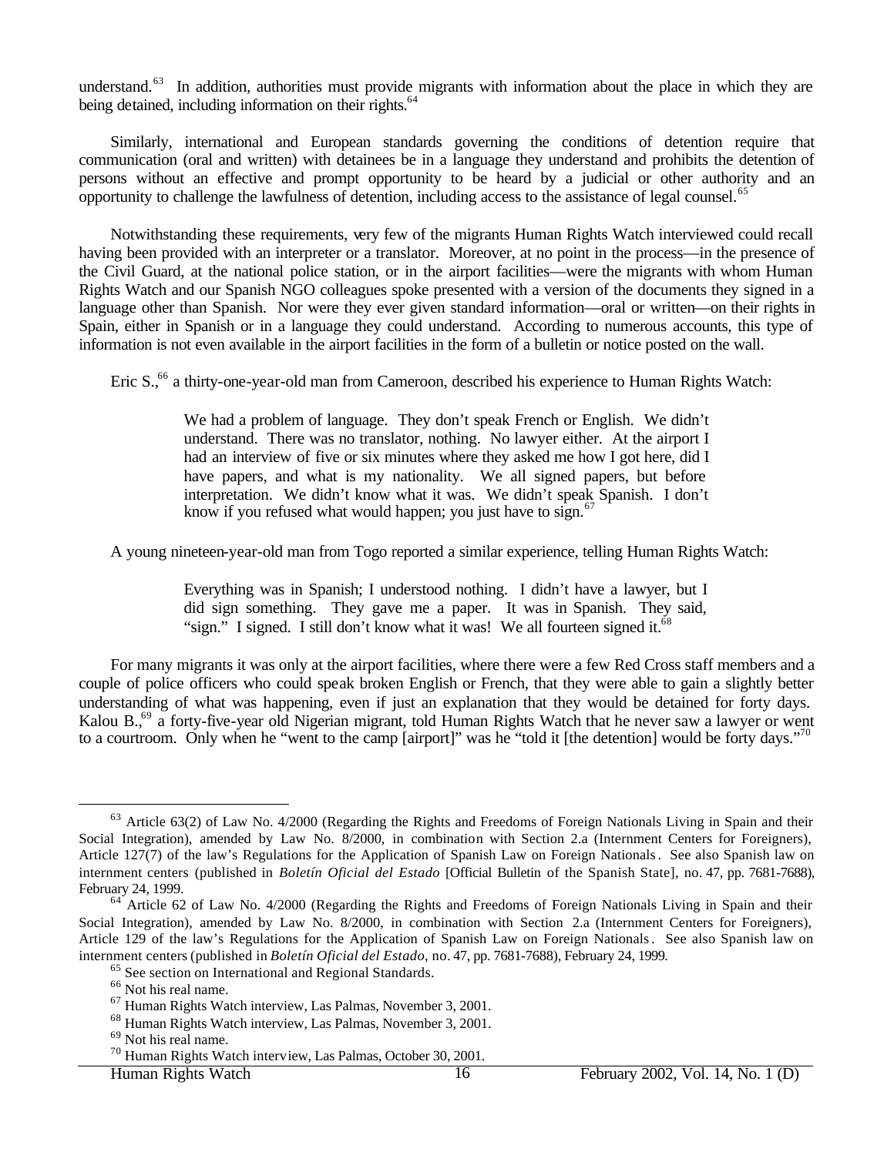understand.<sup>63</sup> In addition, authorities must provide migrants with information about the place in which they are being detained, including information on their rights.<sup>64</sup>

Similarly, international and European standards governing the conditions of detention require that communication (oral and written) with detainees be in a language they understand and prohibits the detention of persons without an effective and prompt opportunity to be heard by a judicial or other authority and an opportunity to challenge the lawfulness of detention, including access to the assistance of legal counsel.<sup>65</sup>

Notwithstanding these requirements, very few of the migrants Human Rights Watch interviewed could recall having been provided with an interpreter or a translator. Moreover, at no point in the process—in the presence of the Civil Guard, at the national police station, or in the airport facilities—were the migrants with whom Human Rights Watch and our Spanish NGO colleagues spoke presented with a version of the documents they signed in a language other than Spanish. Nor were they ever given standard information—oral or written—on their rights in Spain, either in Spanish or in a language they could understand. According to numerous accounts, this type of information is not even available in the airport facilities in the form of a bulletin or notice posted on the wall.

Eric S.<sup>66</sup> a thirty-one-year-old man from Cameroon, described his experience to Human Rights Watch:

We had a problem of language. They don't speak French or English. We didn't understand. There was no translator, nothing. No lawyer either. At the airport I had an interview of five or six minutes where they asked me how I got here, did I have papers, and what is my nationality. We all signed papers, but before interpretation. We didn't know what it was. We didn't speak Spanish. I don't know if you refused what would happen; you just have to sign. $67$ 

A young nineteen-year-old man from Togo reported a similar experience, telling Human Rights Watch:

Everything was in Spanish; I understood nothing. I didn't have a lawyer, but I did sign something. They gave me a paper. It was in Spanish. They said, "sign." I signed. I still don't know what it was! We all fourteen signed it.<sup>68</sup>

For many migrants it was only at the airport facilities, where there were a few Red Cross staff members and a couple of police officers who could speak broken English or French, that they were able to gain a slightly better understanding of what was happening, even if just an explanation that they would be detained for forty days. Kalou B<sub>1,69</sub> a forty-five-year old Nigerian migrant, told Human Rights Watch that he never saw a lawyer or went to a courtroom. Only when he "went to the camp [airport]" was he "told it [the detention] would be forty days."<sup>70</sup>

<sup>&</sup>lt;sup>63</sup> Article 63(2) of Law No. 4/2000 (Regarding the Rights and Freedoms of Foreign Nationals Living in Spain and their Social Integration), amended by Law No. 8/2000, in combination with Section 2.a (Internment Centers for Foreigners), Article 127(7) of the law's Regulations for the Application of Spanish Law on Foreign Nationals. See also Spanish law on internment centers (published in *Boletín Oficial del Estado* [Official Bulletin of the Spanish State], no. 47, pp. 7681-7688), February 24, 1999.

<sup>&</sup>lt;sup>64</sup> Article 62 of Law No. 4/2000 (Regarding the Rights and Freedoms of Foreign Nationals Living in Spain and their Social Integration), amended by Law No. 8/2000, in combination with Section 2.a (Internment Centers for Foreigners), Article 129 of the law's Regulations for the Application of Spanish Law on Foreign Nationals. See also Spanish law on internment centers (published in *Boletín Oficial del Estado*, no. 47, pp. 7681-7688), February 24, 1999.

<sup>65</sup> See section on International and Regional Standards.

<sup>66</sup> Not his real name.

<sup>67</sup> Human Rights Watch interview, Las Palmas, November 3, 2001.

<sup>68</sup> Human Rights Watch interview, Las Palmas, November 3, 2001.

<sup>69</sup> Not his real name.

<sup>70</sup> Human Rights Watch interview, Las Palmas, October 30, 2001.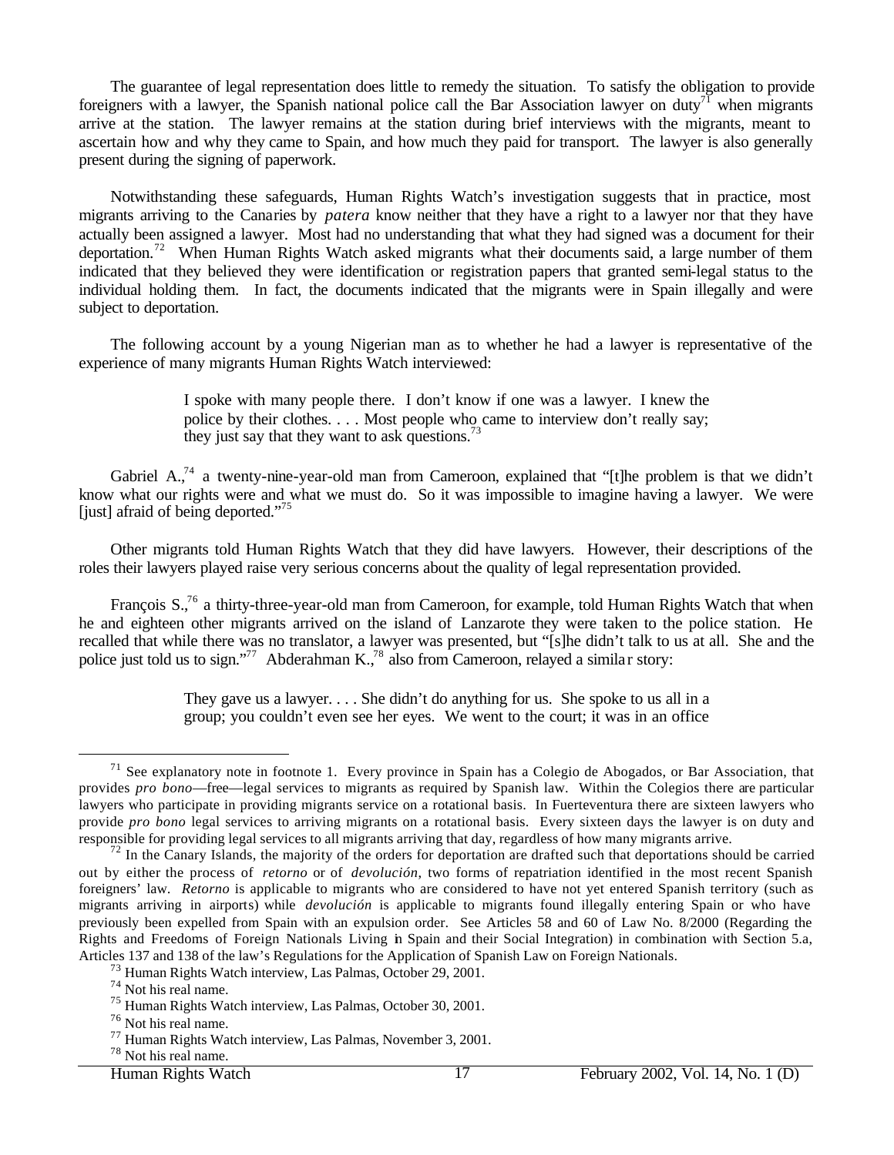The guarantee of legal representation does little to remedy the situation. To satisfy the obligation to provide foreigners with a lawyer, the Spanish national police call the Bar Association lawyer on duty<sup>71</sup> when migrants arrive at the station. The lawyer remains at the station during brief interviews with the migrants, meant to ascertain how and why they came to Spain, and how much they paid for transport. The lawyer is also generally present during the signing of paperwork.

Notwithstanding these safeguards, Human Rights Watch's investigation suggests that in practice, most migrants arriving to the Canaries by *patera* know neither that they have a right to a lawyer nor that they have actually been assigned a lawyer. Most had no understanding that what they had signed was a document for their deportation.<sup>72</sup> When Human Rights Watch asked migrants what their documents said, a large number of them indicated that they believed they were identification or registration papers that granted semi-legal status to the individual holding them. In fact, the documents indicated that the migrants were in Spain illegally and were subject to deportation.

The following account by a young Nigerian man as to whether he had a lawyer is representative of the experience of many migrants Human Rights Watch interviewed:

> I spoke with many people there. I don't know if one was a lawyer. I knew the police by their clothes. . . . Most people who came to interview don't really say; they just say that they want to ask questions.<sup>73</sup>

Gabriel A.,<sup>74</sup> a twenty-nine-year-old man from Cameroon, explained that "[t]he problem is that we didn't know what our rights were and what we must do. So it was impossible to imagine having a lawyer. We were [just] afraid of being deported." $\frac{1}{2}$ 

Other migrants told Human Rights Watch that they did have lawyers. However, their descriptions of the roles their lawyers played raise very serious concerns about the quality of legal representation provided.

François S.,<sup>76</sup> a thirty-three-year-old man from Cameroon, for example, told Human Rights Watch that when he and eighteen other migrants arrived on the island of Lanzarote they were taken to the police station. He recalled that while there was no translator, a lawyer was presented, but "[s]he didn't talk to us at all. She and the police just told us to sign."<sup>77</sup> Abderahman K.,<sup>78</sup> also from Cameroon, relayed a similar story:

> They gave us a lawyer. . . . She didn't do anything for us. She spoke to us all in a group; you couldn't even see her eyes. We went to the court; it was in an office

 $71$  See explanatory note in footnote 1. Every province in Spain has a Colegio de Abogados, or Bar Association, that provides *pro bono*—free—legal services to migrants as required by Spanish law. Within the Colegios there are particular lawyers who participate in providing migrants service on a rotational basis. In Fuerteventura there are sixteen lawyers who provide *pro bono* legal services to arriving migrants on a rotational basis. Every sixteen days the lawyer is on duty and responsible for providing legal services to all migrants arriving that day, regardless of how many migrants arrive.

<sup>&</sup>lt;sup>72</sup> In the Canary Islands, the majority of the orders for deportation are drafted such that deportations should be carried out by either the process of *retorno* or of *devolución*, two forms of repatriation identified in the most recent Spanish foreigners' law. *Retorno* is applicable to migrants who are considered to have not yet entered Spanish territory (such as migrants arriving in airports) while *devolución* is applicable to migrants found illegally entering Spain or who have previously been expelled from Spain with an expulsion order. See Articles 58 and 60 of Law No. 8/2000 (Regarding the Rights and Freedoms of Foreign Nationals Living in Spain and their Social Integration) in combination with Section 5.a, Articles 137 and 138 of the law's Regulations for the Application of Spanish Law on Foreign Nationals.

<sup>73</sup> Human Rights Watch interview, Las Palmas, October 29, 2001.

<sup>74</sup> Not his real name.

<sup>75</sup> Human Rights Watch interview, Las Palmas, October 30, 2001.

<sup>76</sup> Not his real name.

<sup>77</sup> Human Rights Watch interview, Las Palmas, November 3, 2001.

<sup>78</sup> Not his real name.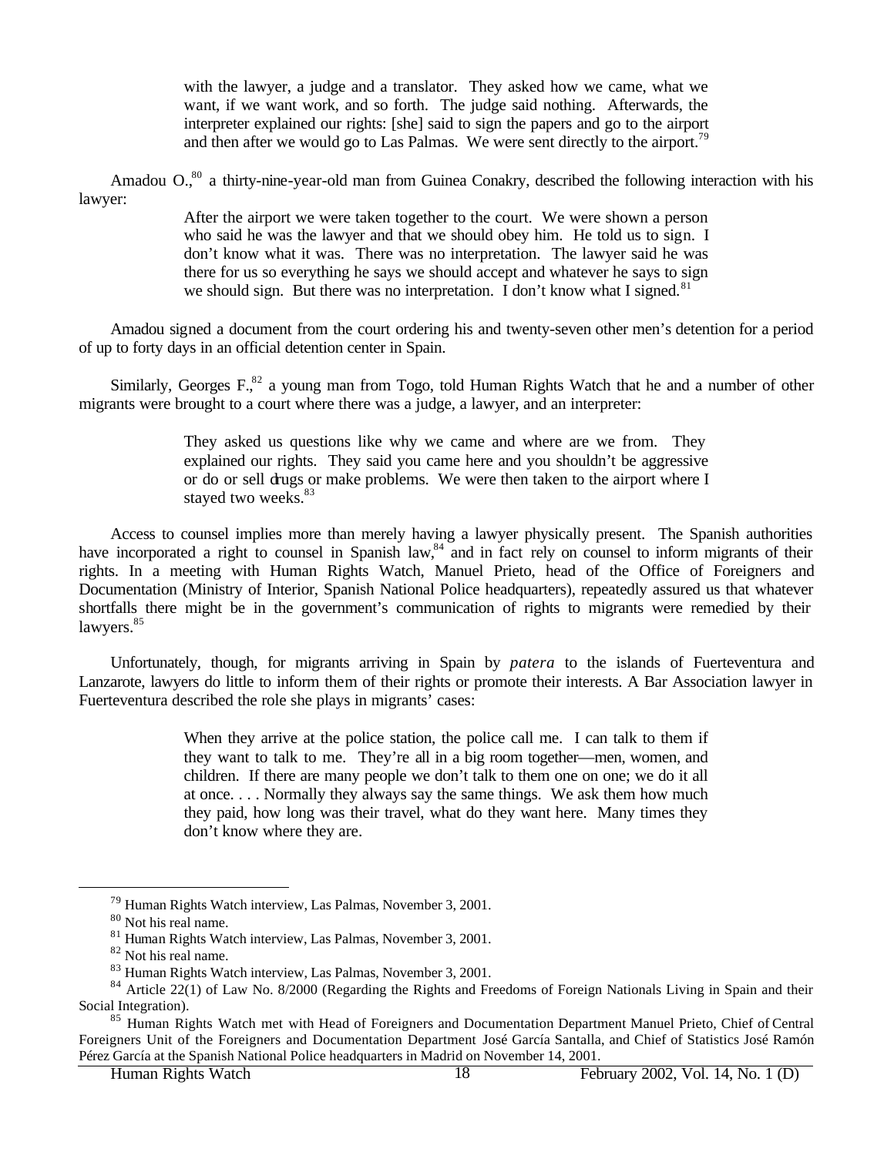with the lawyer, a judge and a translator. They asked how we came, what we want, if we want work, and so forth. The judge said nothing. Afterwards, the interpreter explained our rights: [she] said to sign the papers and go to the airport and then after we would go to Las Palmas. We were sent directly to the airport.<sup>79</sup>

Amadou O.<sup>80</sup> a thirty-nine-year-old man from Guinea Conakry, described the following interaction with his lawyer:

> After the airport we were taken together to the court. We were shown a person who said he was the lawyer and that we should obey him. He told us to sign. I don't know what it was. There was no interpretation. The lawyer said he was there for us so everything he says we should accept and whatever he says to sign we should sign. But there was no interpretation. I don't know what I signed.<sup>81</sup>

Amadou signed a document from the court ordering his and twenty-seven other men's detention for a period of up to forty days in an official detention center in Spain.

Similarly, Georges F.<sup>82</sup> a young man from Togo, told Human Rights Watch that he and a number of other migrants were brought to a court where there was a judge, a lawyer, and an interpreter:

> They asked us questions like why we came and where are we from. They explained our rights. They said you came here and you shouldn't be aggressive or do or sell drugs or make problems. We were then taken to the airport where I stayed two weeks.<sup>83</sup>

Access to counsel implies more than merely having a lawyer physically present. The Spanish authorities have incorporated a right to counsel in Spanish law,<sup>84</sup> and in fact rely on counsel to inform migrants of their rights. In a meeting with Human Rights Watch, Manuel Prieto, head of the Office of Foreigners and Documentation (Ministry of Interior, Spanish National Police headquarters), repeatedly assured us that whatever shortfalls there might be in the government's communication of rights to migrants were remedied by their lawyers.<sup>85</sup>

Unfortunately, though, for migrants arriving in Spain by *patera* to the islands of Fuerteventura and Lanzarote, lawyers do little to inform them of their rights or promote their interests. A Bar Association lawyer in Fuerteventura described the role she plays in migrants' cases:

> When they arrive at the police station, the police call me. I can talk to them if they want to talk to me. They're all in a big room together—men, women, and children. If there are many people we don't talk to them one on one; we do it all at once. . . . Normally they always say the same things. We ask them how much they paid, how long was their travel, what do they want here. Many times they don't know where they are.

<sup>79</sup> Human Rights Watch interview, Las Palmas, November 3, 2001.

<sup>80</sup> Not his real name.

<sup>81</sup> Human Rights Watch interview, Las Palmas, November 3, 2001.

<sup>82</sup> Not his real name.

<sup>83</sup> Human Rights Watch interview, Las Palmas, November 3, 2001.

 $84$  Article 22(1) of Law No. 8/2000 (Regarding the Rights and Freedoms of Foreign Nationals Living in Spain and their Social Integration).

<sup>&</sup>lt;sup>85</sup> Human Rights Watch met with Head of Foreigners and Documentation Department Manuel Prieto, Chief of Central Foreigners Unit of the Foreigners and Documentation Department José García Santalla, and Chief of Statistics José Ramón Pérez García at the Spanish National Police headquarters in Madrid on November 14, 2001.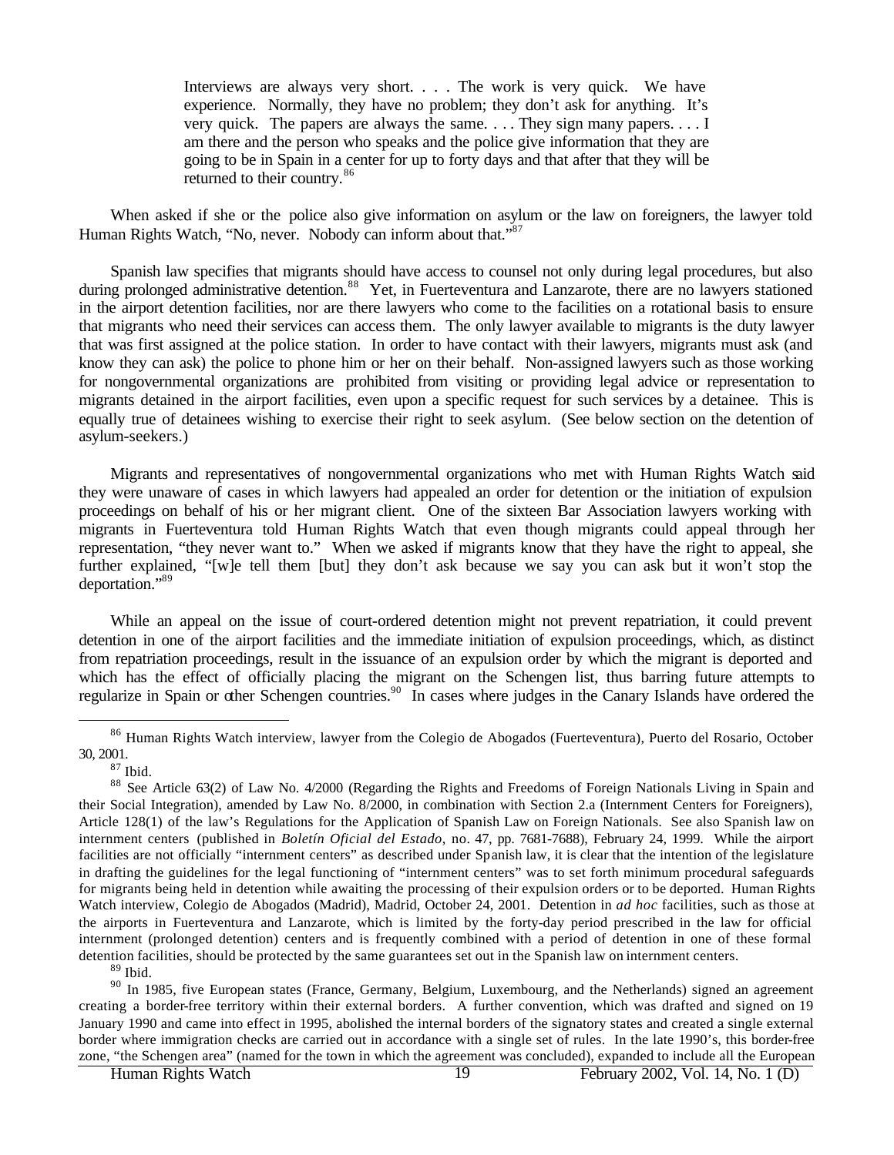Interviews are always very short. . . . The work is very quick. We have experience. Normally, they have no problem; they don't ask for anything. It's very quick. The papers are always the same. . . . They sign many papers. . . . I am there and the person who speaks and the police give information that they are going to be in Spain in a center for up to forty days and that after that they will be returned to their country.<sup>86</sup>

When asked if she or the police also give information on asylum or the law on foreigners, the lawyer told Human Rights Watch, "No, never. Nobody can inform about that."<sup>87</sup>

Spanish law specifies that migrants should have access to counsel not only during legal procedures, but also during prolonged administrative detention.<sup>88</sup> Yet, in Fuerteventura and Lanzarote, there are no lawyers stationed in the airport detention facilities, nor are there lawyers who come to the facilities on a rotational basis to ensure that migrants who need their services can access them. The only lawyer available to migrants is the duty lawyer that was first assigned at the police station. In order to have contact with their lawyers, migrants must ask (and know they can ask) the police to phone him or her on their behalf. Non-assigned lawyers such as those working for nongovernmental organizations are prohibited from visiting or providing legal advice or representation to migrants detained in the airport facilities, even upon a specific request for such services by a detainee. This is equally true of detainees wishing to exercise their right to seek asylum. (See below section on the detention of asylum-seekers.)

Migrants and representatives of nongovernmental organizations who met with Human Rights Watch said they were unaware of cases in which lawyers had appealed an order for detention or the initiation of expulsion proceedings on behalf of his or her migrant client. One of the sixteen Bar Association lawyers working with migrants in Fuerteventura told Human Rights Watch that even though migrants could appeal through her representation, "they never want to." When we asked if migrants know that they have the right to appeal, she further explained, "[w]e tell them [but] they don't ask because we say you can ask but it won't stop the deportation."<sup>89</sup>

While an appeal on the issue of court-ordered detention might not prevent repatriation, it could prevent detention in one of the airport facilities and the immediate initiation of expulsion proceedings, which, as distinct from repatriation proceedings, result in the issuance of an expulsion order by which the migrant is deported and which has the effect of officially placing the migrant on the Schengen list, thus barring future attempts to regularize in Spain or other Schengen countries.<sup>90</sup> In cases where judges in the Canary Islands have ordered the

 $\overline{a}$ 

 $89$  Ibid.

<sup>90</sup> In 1985, five European states (France, Germany, Belgium, Luxembourg, and the Netherlands) signed an agreement creating a border-free territory within their external borders. A further convention, which was drafted and signed on 19 January 1990 and came into effect in 1995, abolished the internal borders of the signatory states and created a single external border where immigration checks are carried out in accordance with a single set of rules. In the late 1990's, this border-free zone, "the Schengen area" (named for the town in which the agreement was concluded), expanded to include all the European

<sup>&</sup>lt;sup>86</sup> Human Rights Watch interview, lawyer from the Colegio de Abogados (Fuerteventura), Puerto del Rosario, October 30, 2001.

 $87$  Ibid.

<sup>&</sup>lt;sup>88</sup> See Article 63(2) of Law No. 4/2000 (Regarding the Rights and Freedoms of Foreign Nationals Living in Spain and their Social Integration), amended by Law No. 8/2000, in combination with Section 2.a (Internment Centers for Foreigners), Article 128(1) of the law's Regulations for the Application of Spanish Law on Foreign Nationals. See also Spanish law on internment centers (published in *Boletín Oficial del Estado*, no. 47, pp. 7681-7688), February 24, 1999. While the airport facilities are not officially "internment centers" as described under Spanish law, it is clear that the intention of the legislature in drafting the guidelines for the legal functioning of "internment centers" was to set forth minimum procedural safeguards for migrants being held in detention while awaiting the processing of their expulsion orders or to be deported. Human Rights Watch interview, Colegio de Abogados (Madrid), Madrid, October 24, 2001. Detention in *ad hoc* facilities, such as those at the airports in Fuerteventura and Lanzarote, which is limited by the forty-day period prescribed in the law for official internment (prolonged detention) centers and is frequently combined with a period of detention in one of these formal detention facilities, should be protected by the same guarantees set out in the Spanish law on internment centers.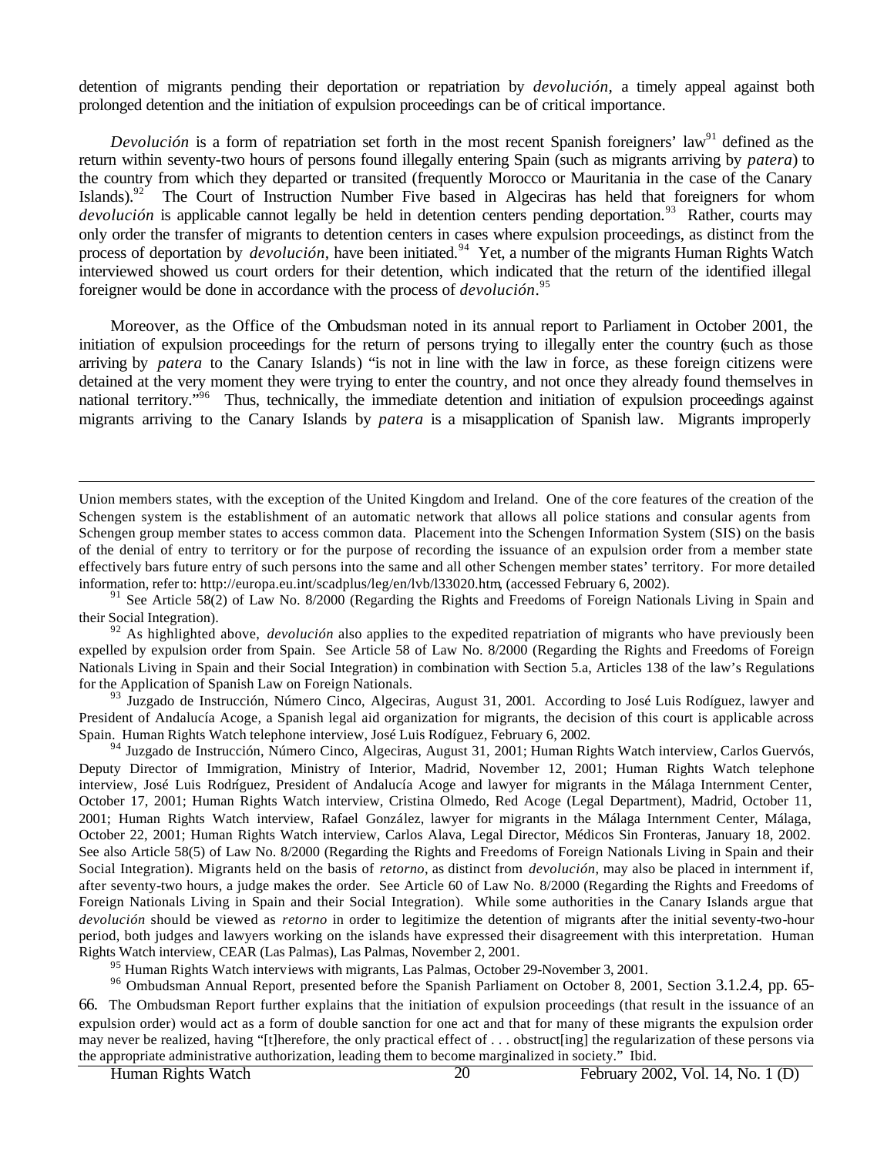detention of migrants pending their deportation or repatriation by *devolución,* a timely appeal against both prolonged detention and the initiation of expulsion proceedings can be of critical importance.

*Devolución* is a form of repatriation set forth in the most recent Spanish foreigners' law<sup>91</sup> defined as the return within seventy-two hours of persons found illegally entering Spain (such as migrants arriving by *patera*) to the country from which they departed or transited (frequently Morocco or Mauritania in the case of the Canary Islands).<sup>92</sup> The Court of Instruction Number Five based in Algeciras has held that foreigners for whom *devolución* is applicable cannot legally be held in detention centers pending deportation.<sup>93</sup> Rather, courts may only order the transfer of migrants to detention centers in cases where expulsion proceedings, as distinct from the process of deportation by *devolución*, have been initiated.<sup>94</sup> Yet, a number of the migrants Human Rights Watch interviewed showed us court orders for their detention, which indicated that the return of the identified illegal foreigner would be done in accordance with the process of *devolución*. 95

Moreover, as the Office of the Ombudsman noted in its annual report to Parliament in October 2001, the initiation of expulsion proceedings for the return of persons trying to illegally enter the country (such as those arriving by *patera* to the Canary Islands) "is not in line with the law in force, as these foreign citizens were detained at the very moment they were trying to enter the country, and not once they already found themselves in national territory.<sup>"96</sup> Thus, technically, the immediate detention and initiation of expulsion proceedings against migrants arriving to the Canary Islands by *patera* is a misapplication of Spanish law. Migrants improperly

<sup>93</sup> Juzgado de Instrucción, Número Cinco, Algeciras, August 31, 2001. According to José Luis Rodíguez, lawyer and President of Andalucía Acoge, a Spanish legal aid organization for migrants, the decision of this court is applicable across Spain. Human Rights Watch telephone interview, José Luis Rodíguez, February 6, 2002.

94 Juzgado de Instrucción, Número Cinco, Algeciras, August 31, 2001; Human Rights Watch interview, Carlos Guervós, Deputy Director of Immigration, Ministry of Interior, Madrid, November 12, 2001; Human Rights Watch telephone interview, José Luis Rodríguez, President of Andalucía Acoge and lawyer for migrants in the Málaga Internment Center, October 17, 2001; Human Rights Watch interview, Cristina Olmedo, Red Acoge (Legal Department), Madrid, October 11, 2001; Human Rights Watch interview, Rafael González, lawyer for migrants in the Málaga Internment Center, Málaga, October 22, 2001; Human Rights Watch interview, Carlos Alava, Legal Director, Médicos Sin Fronteras, January 18, 2002. See also Article 58(5) of Law No. 8/2000 (Regarding the Rights and Freedoms of Foreign Nationals Living in Spain and their Social Integration). Migrants held on the basis of *retorno*, as distinct from *devolución*, may also be placed in internment if, after seventy-two hours, a judge makes the order. See Article 60 of Law No. 8/2000 (Regarding the Rights and Freedoms of Foreign Nationals Living in Spain and their Social Integration). While some authorities in the Canary Islands argue that *devolución* should be viewed as *retorno* in order to legitimize the detention of migrants after the initial seventy-two-hour period, both judges and lawyers working on the islands have expressed their disagreement with this interpretation. Human Rights Watch interview, CEAR (Las Palmas), Las Palmas, November 2, 2001.

 $95$  Human Rights Watch interviews with migrants, Las Palmas, October 29-November 3, 2001.

<sup>96</sup> Ombudsman Annual Report, presented before the Spanish Parliament on October 8, 2001, Section 3.1.2.4, pp. 65-66. The Ombudsman Report further explains that the initiation of expulsion proceedings (that result in the issuance of an expulsion order) would act as a form of double sanction for one act and that for many of these migrants the expulsion order may never be realized, having "[t]herefore, the only practical effect of . . . obstruct[ing] the regularization of these persons via the appropriate administrative authorization, leading them to become marginalized in society." Ibid.

Union members states, with the exception of the United Kingdom and Ireland. One of the core features of the creation of the Schengen system is the establishment of an automatic network that allows all police stations and consular agents from Schengen group member states to access common data. Placement into the Schengen Information System (SIS) on the basis of the denial of entry to territory or for the purpose of recording the issuance of an expulsion order from a member state effectively bars future entry of such persons into the same and all other Schengen member states' territory. For more detailed information, refer to: http://europa.eu.int/scadplus/leg/en/lvb/l33020.htm, (accessed February 6, 2002).

<sup>&</sup>lt;sup>91</sup> See Article 58(2) of Law No. 8/2000 (Regarding the Rights and Freedoms of Foreign Nationals Living in Spain and their Social Integration).

<sup>&</sup>lt;sup>92</sup> As highlighted above, *devolución* also applies to the expedited repatriation of migrants who have previously been expelled by expulsion order from Spain. See Article 58 of Law No. 8/2000 (Regarding the Rights and Freedoms of Foreign Nationals Living in Spain and their Social Integration) in combination with Section 5.a, Articles 138 of the law's Regulations for the Application of Spanish Law on Foreign Nationals.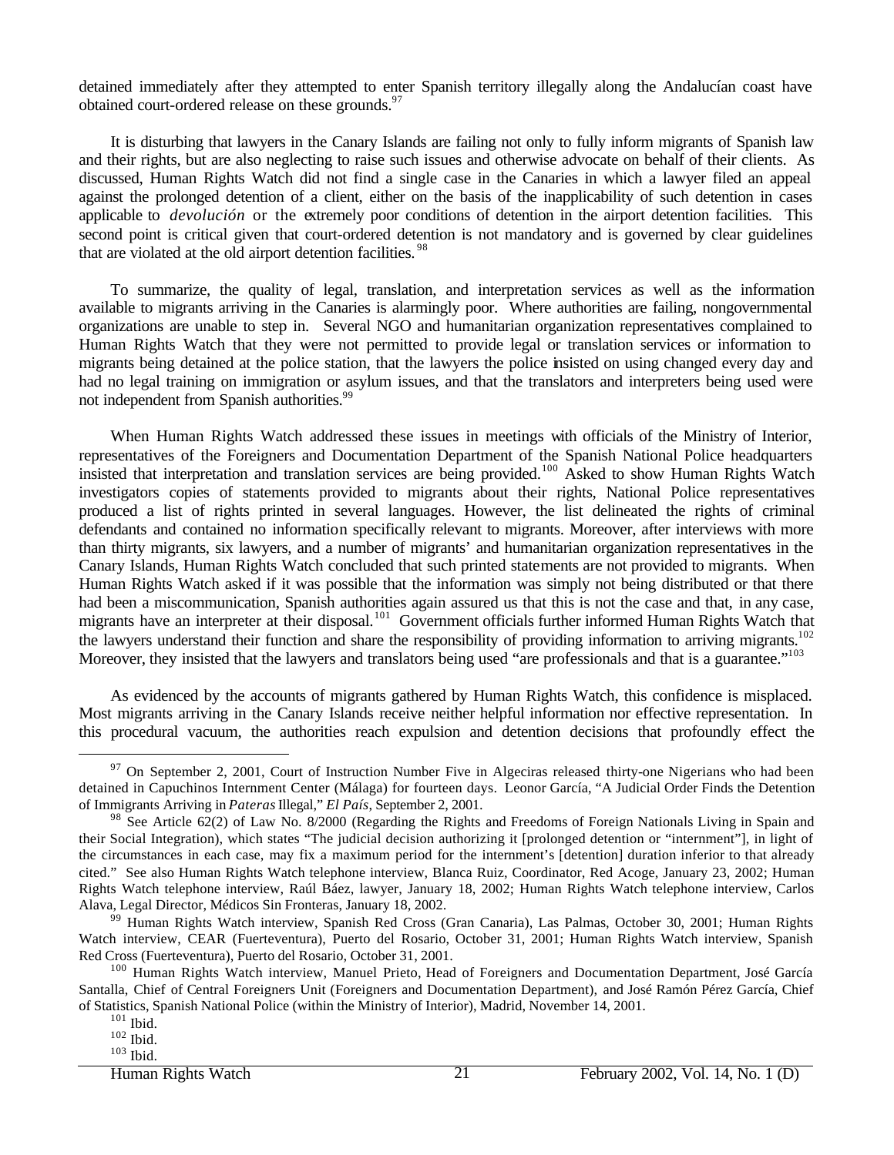detained immediately after they attempted to enter Spanish territory illegally along the Andalucían coast have obtained court-ordered release on these grounds.<sup>97</sup>

It is disturbing that lawyers in the Canary Islands are failing not only to fully inform migrants of Spanish law and their rights, but are also neglecting to raise such issues and otherwise advocate on behalf of their clients. As discussed, Human Rights Watch did not find a single case in the Canaries in which a lawyer filed an appeal against the prolonged detention of a client, either on the basis of the inapplicability of such detention in cases applicable to *devolución* or the extremely poor conditions of detention in the airport detention facilities. This second point is critical given that court-ordered detention is not mandatory and is governed by clear guidelines that are violated at the old airport detention facilities.<sup>98</sup>

To summarize, the quality of legal, translation, and interpretation services as well as the information available to migrants arriving in the Canaries is alarmingly poor. Where authorities are failing, nongovernmental organizations are unable to step in. Several NGO and humanitarian organization representatives complained to Human Rights Watch that they were not permitted to provide legal or translation services or information to migrants being detained at the police station, that the lawyers the police insisted on using changed every day and had no legal training on immigration or asylum issues, and that the translators and interpreters being used were not independent from Spanish authorities.<sup>99</sup>

When Human Rights Watch addressed these issues in meetings with officials of the Ministry of Interior, representatives of the Foreigners and Documentation Department of the Spanish National Police headquarters insisted that interpretation and translation services are being provided.<sup>100</sup> Asked to show Human Rights Watch investigators copies of statements provided to migrants about their rights, National Police representatives produced a list of rights printed in several languages. However, the list delineated the rights of criminal defendants and contained no information specifically relevant to migrants. Moreover, after interviews with more than thirty migrants, six lawyers, and a number of migrants' and humanitarian organization representatives in the Canary Islands, Human Rights Watch concluded that such printed statements are not provided to migrants. When Human Rights Watch asked if it was possible that the information was simply not being distributed or that there had been a miscommunication, Spanish authorities again assured us that this is not the case and that, in any case, migrants have an interpreter at their disposal.<sup>101</sup> Government officials further informed Human Rights Watch that the lawyers understand their function and share the responsibility of providing information to arriving migrants.<sup>102</sup> Moreover, they insisted that the lawyers and translators being used "are professionals and that is a guarantee."<sup>103</sup>

As evidenced by the accounts of migrants gathered by Human Rights Watch, this confidence is misplaced. Most migrants arriving in the Canary Islands receive neither helpful information nor effective representation. In this procedural vacuum, the authorities reach expulsion and detention decisions that profoundly effect the

 $97$  On September 2, 2001, Court of Instruction Number Five in Algeciras released thirty-one Nigerians who had been detained in Capuchinos Internment Center (Málaga) for fourteen days. Leonor García, "A Judicial Order Finds the Detention of Immigrants Arriving in *Pateras* Illegal," *El País*, September 2, 2001.

<sup>&</sup>lt;sup>98</sup> See Article 62(2) of Law No. 8/2000 (Regarding the Rights and Freedoms of Foreign Nationals Living in Spain and their Social Integration), which states "The judicial decision authorizing it [prolonged detention or "internment"], in light of the circumstances in each case, may fix a maximum period for the internment's [detention] duration inferior to that already cited." See also Human Rights Watch telephone interview, Blanca Ruiz, Coordinator, Red Acoge, January 23, 2002; Human Rights Watch telephone interview, Raúl Báez, lawyer, January 18, 2002; Human Rights Watch telephone interview, Carlos Alava, Legal Director, Médicos Sin Fronteras, January 18, 2002.

<sup>&</sup>lt;sup>99</sup> Human Rights Watch interview, Spanish Red Cross (Gran Canaria), Las Palmas, October 30, 2001; Human Rights Watch interview, CEAR (Fuerteventura), Puerto del Rosario, October 31, 2001; Human Rights Watch interview, Spanish Red Cross (Fuerteventura), Puerto del Rosario, October 31, 2001.

<sup>&</sup>lt;sup>100</sup> Human Rights Watch interview, Manuel Prieto, Head of Foreigners and Documentation Department, José García Santalla, Chief of Central Foreigners Unit (Foreigners and Documentation Department), and José Ramón Pérez García, Chief of Statistics, Spanish National Police (within the Ministry of Interior), Madrid, November 14, 2001.

 $101$  Ibid.

 $102$  Ibid.

 $103$  Ibid.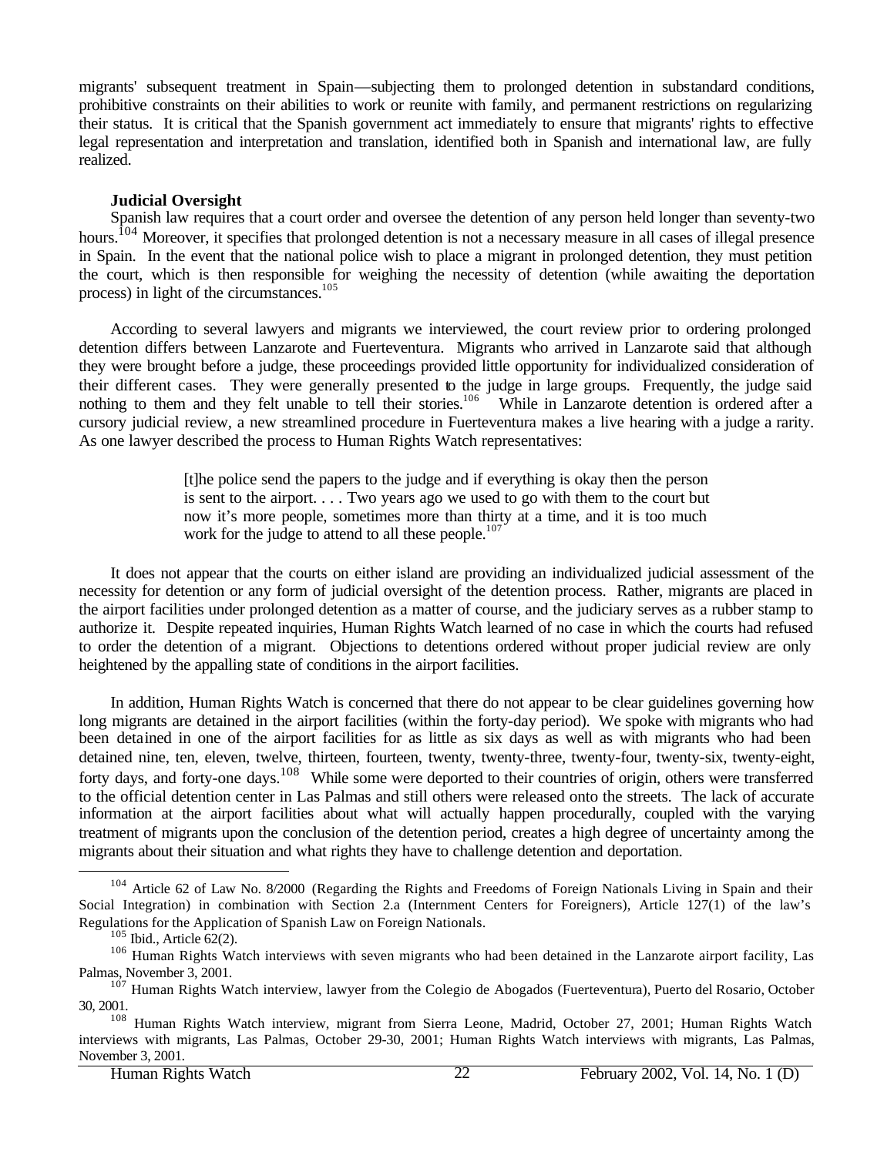migrants' subsequent treatment in Spain—subjecting them to prolonged detention in substandard conditions, prohibitive constraints on their abilities to work or reunite with family, and permanent restrictions on regularizing their status. It is critical that the Spanish government act immediately to ensure that migrants' rights to effective legal representation and interpretation and translation, identified both in Spanish and international law, are fully realized.

### **Judicial Oversight**

Spanish law requires that a court order and oversee the detention of any person held longer than seventy-two hours.<sup>104</sup> Moreover, it specifies that prolonged detention is not a necessary measure in all cases of illegal presence in Spain. In the event that the national police wish to place a migrant in prolonged detention, they must petition the court, which is then responsible for weighing the necessity of detention (while awaiting the deportation process) in light of the circumstances.<sup>105</sup>

According to several lawyers and migrants we interviewed, the court review prior to ordering prolonged detention differs between Lanzarote and Fuerteventura. Migrants who arrived in Lanzarote said that although they were brought before a judge, these proceedings provided little opportunity for individualized consideration of their different cases. They were generally presented to the judge in large groups. Frequently, the judge said nothing to them and they felt unable to tell their stories.<sup>106</sup> While in Lanzarote detention is ordered after a cursory judicial review, a new streamlined procedure in Fuerteventura makes a live hearing with a judge a rarity. As one lawyer described the process to Human Rights Watch representatives:

> [t]he police send the papers to the judge and if everything is okay then the person is sent to the airport. . . . Two years ago we used to go with them to the court but now it's more people, sometimes more than thirty at a time, and it is too much work for the judge to attend to all these people. $107$

It does not appear that the courts on either island are providing an individualized judicial assessment of the necessity for detention or any form of judicial oversight of the detention process. Rather, migrants are placed in the airport facilities under prolonged detention as a matter of course, and the judiciary serves as a rubber stamp to authorize it. Despite repeated inquiries, Human Rights Watch learned of no case in which the courts had refused to order the detention of a migrant. Objections to detentions ordered without proper judicial review are only heightened by the appalling state of conditions in the airport facilities.

In addition, Human Rights Watch is concerned that there do not appear to be clear guidelines governing how long migrants are detained in the airport facilities (within the forty-day period). We spoke with migrants who had been detained in one of the airport facilities for as little as six days as well as with migrants who had been detained nine, ten, eleven, twelve, thirteen, fourteen, twenty, twenty-three, twenty-four, twenty-six, twenty-eight, forty days, and forty-one days.<sup>108</sup> While some were deported to their countries of origin, others were transferred to the official detention center in Las Palmas and still others were released onto the streets. The lack of accurate information at the airport facilities about what will actually happen procedurally, coupled with the varying treatment of migrants upon the conclusion of the detention period, creates a high degree of uncertainty among the migrants about their situation and what rights they have to challenge detention and deportation.

<sup>&</sup>lt;sup>104</sup> Article 62 of Law No. 8/2000 (Regarding the Rights and Freedoms of Foreign Nationals Living in Spain and their Social Integration) in combination with Section 2.a (Internment Centers for Foreigners), Article 127(1) of the law's Regulations for the Application of Spanish Law on Foreign Nationals.

 $105$  Ibid., Article 62(2).

<sup>&</sup>lt;sup>106</sup> Human Rights Watch interviews with seven migrants who had been detained in the Lanzarote airport facility, Las Palmas, November 3, 2001.

<sup>&</sup>lt;sup>107</sup> Human Rights Watch interview, lawyer from the Colegio de Abogados (Fuerteventura), Puerto del Rosario, October 30, 2001.

<sup>&</sup>lt;sup>108</sup> Human Rights Watch interview, migrant from Sierra Leone, Madrid, October 27, 2001; Human Rights Watch interviews with migrants, Las Palmas, October 29-30, 2001; Human Rights Watch interviews with migrants, Las Palmas, November 3, 2001.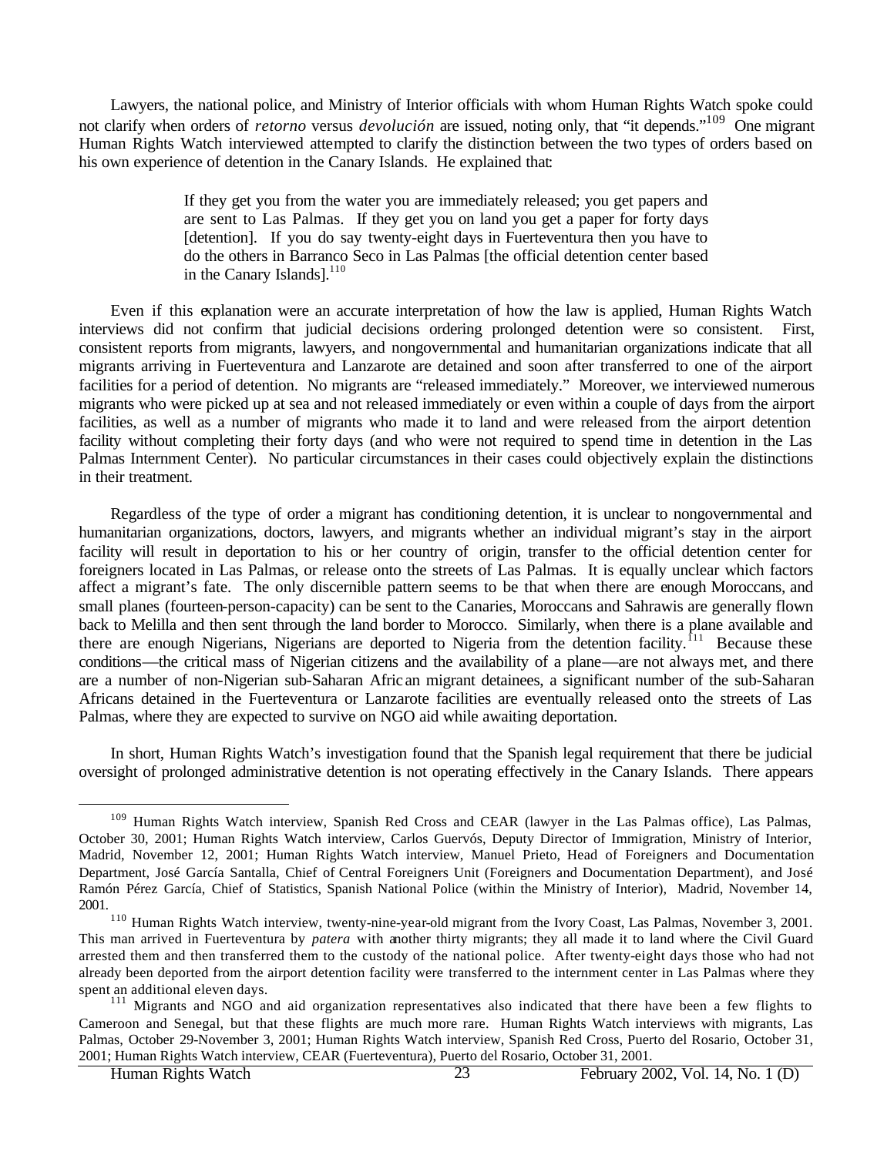Lawyers, the national police, and Ministry of Interior officials with whom Human Rights Watch spoke could not clarify when orders of *retorno* versus *devolución* are issued, noting only, that "it depends."109 One migrant Human Rights Watch interviewed attempted to clarify the distinction between the two types of orders based on his own experience of detention in the Canary Islands. He explained that:

> If they get you from the water you are immediately released; you get papers and are sent to Las Palmas. If they get you on land you get a paper for forty days [detention]. If you do say twenty-eight days in Fuerteventura then you have to do the others in Barranco Seco in Las Palmas [the official detention center based in the Canary Islands].<sup>110</sup>

Even if this explanation were an accurate interpretation of how the law is applied, Human Rights Watch interviews did not confirm that judicial decisions ordering prolonged detention were so consistent. First, consistent reports from migrants, lawyers, and nongovernmental and humanitarian organizations indicate that all migrants arriving in Fuerteventura and Lanzarote are detained and soon after transferred to one of the airport facilities for a period of detention. No migrants are "released immediately." Moreover, we interviewed numerous migrants who were picked up at sea and not released immediately or even within a couple of days from the airport facilities, as well as a number of migrants who made it to land and were released from the airport detention facility without completing their forty days (and who were not required to spend time in detention in the Las Palmas Internment Center). No particular circumstances in their cases could objectively explain the distinctions in their treatment.

Regardless of the type of order a migrant has conditioning detention, it is unclear to nongovernmental and humanitarian organizations, doctors, lawyers, and migrants whether an individual migrant's stay in the airport facility will result in deportation to his or her country of origin, transfer to the official detention center for foreigners located in Las Palmas, or release onto the streets of Las Palmas. It is equally unclear which factors affect a migrant's fate. The only discernible pattern seems to be that when there are enough Moroccans, and small planes (fourteen-person-capacity) can be sent to the Canaries, Moroccans and Sahrawis are generally flown back to Melilla and then sent through the land border to Morocco. Similarly, when there is a plane available and there are enough Nigerians, Nigerians are deported to Nigeria from the detention facility.<sup>111</sup> Because these conditions—the critical mass of Nigerian citizens and the availability of a plane—are not always met, and there are a number of non-Nigerian sub-Saharan Afric an migrant detainees, a significant number of the sub-Saharan Africans detained in the Fuerteventura or Lanzarote facilities are eventually released onto the streets of Las Palmas, where they are expected to survive on NGO aid while awaiting deportation.

In short, Human Rights Watch's investigation found that the Spanish legal requirement that there be judicial oversight of prolonged administrative detention is not operating effectively in the Canary Islands. There appears

<sup>&</sup>lt;sup>109</sup> Human Rights Watch interview, Spanish Red Cross and CEAR (lawyer in the Las Palmas office), Las Palmas, October 30, 2001; Human Rights Watch interview, Carlos Guervós, Deputy Director of Immigration, Ministry of Interior, Madrid, November 12, 2001; Human Rights Watch interview, Manuel Prieto, Head of Foreigners and Documentation Department, José García Santalla, Chief of Central Foreigners Unit (Foreigners and Documentation Department), and José Ramón Pérez García, Chief of Statistics, Spanish National Police (within the Ministry of Interior), Madrid, November 14, 2001.

<sup>110</sup> Human Rights Watch interview, twenty-nine-year-old migrant from the Ivory Coast, Las Palmas, November 3, 2001. This man arrived in Fuerteventura by *patera* with another thirty migrants; they all made it to land where the Civil Guard arrested them and then transferred them to the custody of the national police. After twenty-eight days those who had not already been deported from the airport detention facility were transferred to the internment center in Las Palmas where they spent an additional eleven days.

<sup>&</sup>lt;sup>111</sup> Migrants and NGO and aid organization representatives also indicated that there have been a few flights to Cameroon and Senegal, but that these flights are much more rare. Human Rights Watch interviews with migrants, Las Palmas, October 29-November 3, 2001; Human Rights Watch interview, Spanish Red Cross, Puerto del Rosario, October 31, 2001; Human Rights Watch interview, CEAR (Fuerteventura), Puerto del Rosario, October 31, 2001.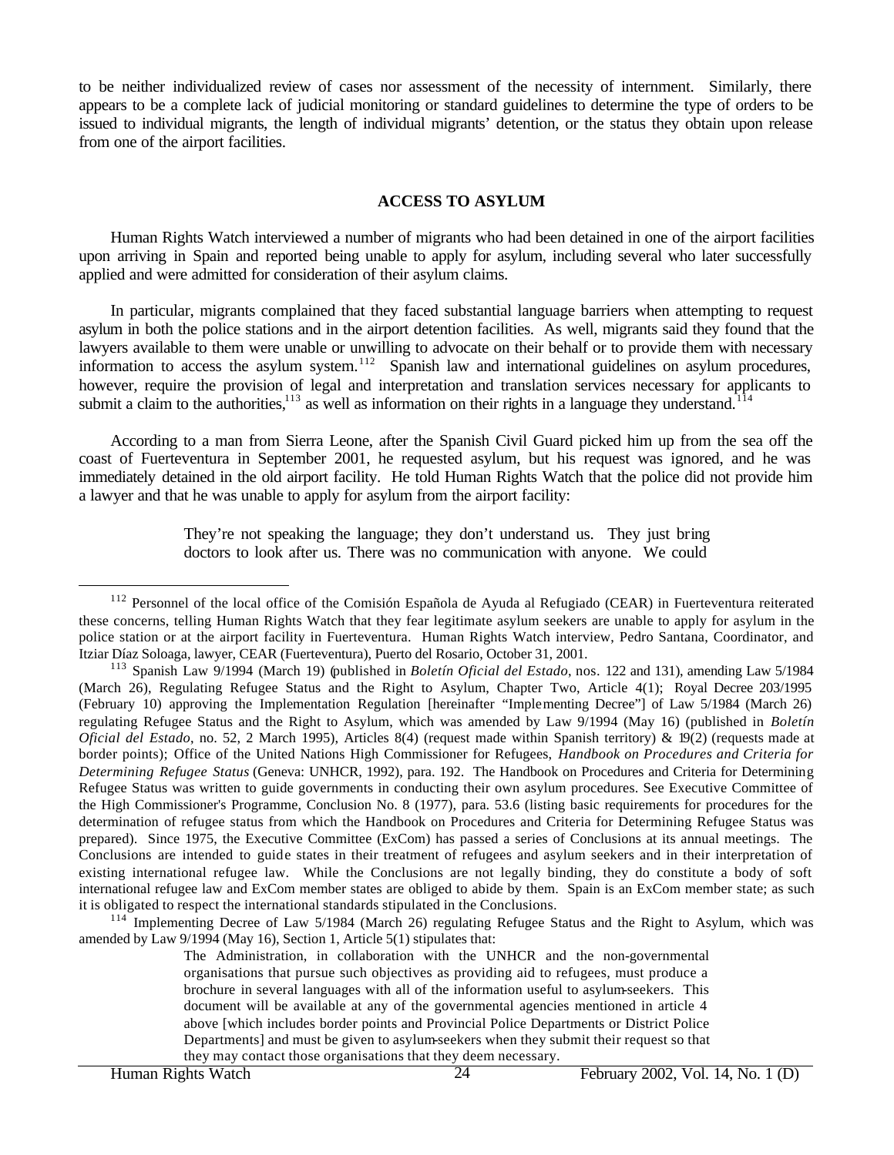to be neither individualized review of cases nor assessment of the necessity of internment. Similarly, there appears to be a complete lack of judicial monitoring or standard guidelines to determine the type of orders to be issued to individual migrants, the length of individual migrants' detention, or the status they obtain upon release from one of the airport facilities.

#### **ACCESS TO ASYLUM**

Human Rights Watch interviewed a number of migrants who had been detained in one of the airport facilities upon arriving in Spain and reported being unable to apply for asylum, including several who later successfully applied and were admitted for consideration of their asylum claims.

In particular, migrants complained that they faced substantial language barriers when attempting to request asylum in both the police stations and in the airport detention facilities. As well, migrants said they found that the lawyers available to them were unable or unwilling to advocate on their behalf or to provide them with necessary information to access the asylum system.<sup>112</sup> Spanish law and international guidelines on asylum procedures, however, require the provision of legal and interpretation and translation services necessary for applicants to submit a claim to the authorities, $113$  as well as information on their rights in a language they understand.<sup>1</sup>

According to a man from Sierra Leone, after the Spanish Civil Guard picked him up from the sea off the coast of Fuerteventura in September 2001, he requested asylum, but his request was ignored, and he was immediately detained in the old airport facility. He told Human Rights Watch that the police did not provide him a lawyer and that he was unable to apply for asylum from the airport facility:

> They're not speaking the language; they don't understand us. They just bring doctors to look after us. There was no communication with anyone. We could

<sup>114</sup> Implementing Decree of Law 5/1984 (March 26) regulating Refugee Status and the Right to Asylum, which was amended by Law 9/1994 (May 16), Section 1, Article 5(1) stipulates that:

The Administration, in collaboration with the UNHCR and the non-governmental organisations that pursue such objectives as providing aid to refugees, must produce a brochure in several languages with all of the information useful to asylum-seekers. This document will be available at any of the governmental agencies mentioned in article 4 above [which includes border points and Provincial Police Departments or District Police Departments] and must be given to asylum-seekers when they submit their request so that they may contact those organisations that they deem necessary.

<sup>&</sup>lt;sup>112</sup> Personnel of the local office of the Comisión Española de Ayuda al Refugiado (CEAR) in Fuerteventura reiterated these concerns, telling Human Rights Watch that they fear legitimate asylum seekers are unable to apply for asylum in the police station or at the airport facility in Fuerteventura. Human Rights Watch interview, Pedro Santana, Coordinator, and Itziar Díaz Soloaga, lawyer, CEAR (Fuerteventura), Puerto del Rosario, October 31, 2001.

<sup>113</sup> Spanish Law 9/1994 (March 19) (published in *Boletín Oficial del Estado*, nos. 122 and 131), amending Law 5/1984 (March 26), Regulating Refugee Status and the Right to Asylum, Chapter Two, Article 4(1); Royal Decree 203/1995 (February 10) approving the Implementation Regulation [hereinafter "Implementing Decree"] of Law 5/1984 (March 26) regulating Refugee Status and the Right to Asylum, which was amended by Law 9/1994 (May 16) (published in *Boletín Oficial del Estado*, no. 52, 2 March 1995), Articles 8(4) (request made within Spanish territory) & 19(2) (requests made at border points); Office of the United Nations High Commissioner for Refugees, *Handbook on Procedures and Criteria for Determining Refugee Status* (Geneva: UNHCR, 1992), para. 192. The Handbook on Procedures and Criteria for Determining Refugee Status was written to guide governments in conducting their own asylum procedures. See Executive Committee of the High Commissioner's Programme, Conclusion No. 8 (1977), para. 53.6 (listing basic requirements for procedures for the determination of refugee status from which the Handbook on Procedures and Criteria for Determining Refugee Status was prepared). Since 1975, the Executive Committee (ExCom) has passed a series of Conclusions at its annual meetings. The Conclusions are intended to guide states in their treatment of refugees and asylum seekers and in their interpretation of existing international refugee law. While the Conclusions are not legally binding, they do constitute a body of soft international refugee law and ExCom member states are obliged to abide by them. Spain is an ExCom member state; as such it is obligated to respect the international standards stipulated in the Conclusions.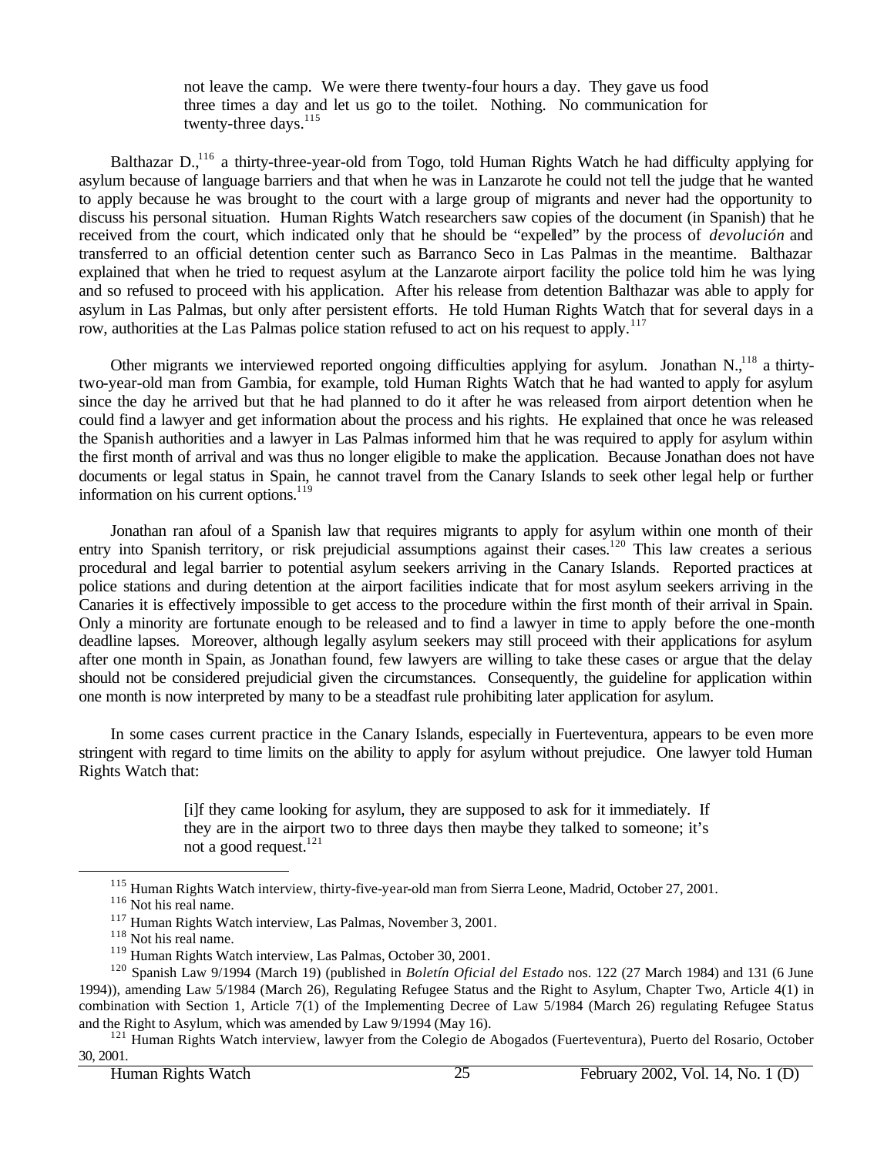not leave the camp. We were there twenty-four hours a day. They gave us food three times a day and let us go to the toilet. Nothing. No communication for twenty-three days.<sup>115</sup>

Balthazar D.,<sup>116</sup> a thirty-three-year-old from Togo, told Human Rights Watch he had difficulty applying for asylum because of language barriers and that when he was in Lanzarote he could not tell the judge that he wanted to apply because he was brought to the court with a large group of migrants and never had the opportunity to discuss his personal situation. Human Rights Watch researchers saw copies of the document (in Spanish) that he received from the court, which indicated only that he should be "expelled" by the process of *devolución* and transferred to an official detention center such as Barranco Seco in Las Palmas in the meantime. Balthazar explained that when he tried to request asylum at the Lanzarote airport facility the police told him he was lying and so refused to proceed with his application. After his release from detention Balthazar was able to apply for asylum in Las Palmas, but only after persistent efforts. He told Human Rights Watch that for several days in a row, authorities at the Las Palmas police station refused to act on his request to apply.<sup>117</sup>

Other migrants we interviewed reported ongoing difficulties applying for asylum. Jonathan  $N_{n}^{118}$  a thirtytwo-year-old man from Gambia, for example, told Human Rights Watch that he had wanted to apply for asylum since the day he arrived but that he had planned to do it after he was released from airport detention when he could find a lawyer and get information about the process and his rights. He explained that once he was released the Spanish authorities and a lawyer in Las Palmas informed him that he was required to apply for asylum within the first month of arrival and was thus no longer eligible to make the application. Because Jonathan does not have documents or legal status in Spain, he cannot travel from the Canary Islands to seek other legal help or further information on his current options.<sup>119</sup>

Jonathan ran afoul of a Spanish law that requires migrants to apply for asylum within one month of their entry into Spanish territory, or risk prejudicial assumptions against their cases.<sup>120</sup> This law creates a serious procedural and legal barrier to potential asylum seekers arriving in the Canary Islands. Reported practices at police stations and during detention at the airport facilities indicate that for most asylum seekers arriving in the Canaries it is effectively impossible to get access to the procedure within the first month of their arrival in Spain. Only a minority are fortunate enough to be released and to find a lawyer in time to apply before the one-month deadline lapses. Moreover, although legally asylum seekers may still proceed with their applications for asylum after one month in Spain, as Jonathan found, few lawyers are willing to take these cases or argue that the delay should not be considered prejudicial given the circumstances. Consequently, the guideline for application within one month is now interpreted by many to be a steadfast rule prohibiting later application for asylum.

In some cases current practice in the Canary Islands, especially in Fuerteventura, appears to be even more stringent with regard to time limits on the ability to apply for asylum without prejudice. One lawyer told Human Rights Watch that:

> [i]f they came looking for asylum, they are supposed to ask for it immediately. If they are in the airport two to three days then maybe they talked to someone; it's not a good request.<sup>121</sup>

<sup>&</sup>lt;sup>115</sup> Human Rights Watch interview, thirty-five-year-old man from Sierra Leone, Madrid, October 27, 2001.

<sup>116</sup> Not his real name.

<sup>&</sup>lt;sup>117</sup> Human Rights Watch interview, Las Palmas, November 3, 2001.

<sup>118</sup> Not his real name.

<sup>119</sup> Human Rights Watch interview, Las Palmas, October 30, 2001.

<sup>120</sup> Spanish Law 9/1994 (March 19) (published in *Boletín Oficial del Estado* nos. 122 (27 March 1984) and 131 (6 June 1994)), amending Law 5/1984 (March 26), Regulating Refugee Status and the Right to Asylum, Chapter Two, Article 4(1) in combination with Section 1, Article 7(1) of the Implementing Decree of Law 5/1984 (March 26) regulating Refugee Status and the Right to Asylum, which was amended by Law 9/1994 (May 16).

<sup>&</sup>lt;sup>121</sup> Human Rights Watch interview, lawyer from the Colegio de Abogados (Fuerteventura), Puerto del Rosario, October 30, 2001.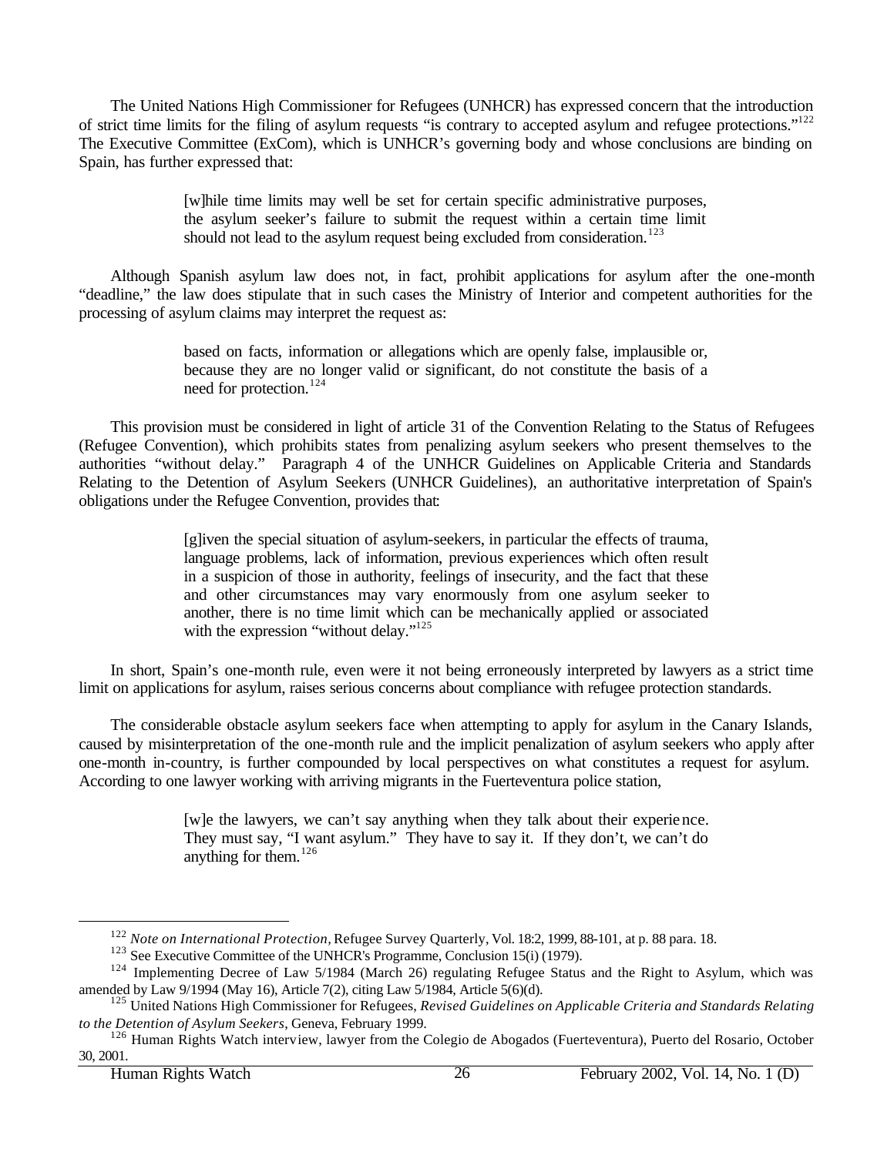The United Nations High Commissioner for Refugees (UNHCR) has expressed concern that the introduction of strict time limits for the filing of asylum requests "is contrary to accepted asylum and refugee protections."<sup>122</sup> The Executive Committee (ExCom), which is UNHCR's governing body and whose conclusions are binding on Spain, has further expressed that:

> [w]hile time limits may well be set for certain specific administrative purposes, the asylum seeker's failure to submit the request within a certain time limit should not lead to the asylum request being excluded from consideration.<sup>123</sup>

Although Spanish asylum law does not, in fact, prohibit applications for asylum after the one-month "deadline," the law does stipulate that in such cases the Ministry of Interior and competent authorities for the processing of asylum claims may interpret the request as:

> based on facts, information or allegations which are openly false, implausible or, because they are no longer valid or significant, do not constitute the basis of a need for protection.<sup>124</sup>

This provision must be considered in light of article 31 of the Convention Relating to the Status of Refugees (Refugee Convention), which prohibits states from penalizing asylum seekers who present themselves to the authorities "without delay." Paragraph 4 of the UNHCR Guidelines on Applicable Criteria and Standards Relating to the Detention of Asylum Seekers (UNHCR Guidelines), an authoritative interpretation of Spain's obligations under the Refugee Convention, provides that:

> [g]iven the special situation of asylum-seekers, in particular the effects of trauma, language problems, lack of information, previous experiences which often result in a suspicion of those in authority, feelings of insecurity, and the fact that these and other circumstances may vary enormously from one asylum seeker to another, there is no time limit which can be mechanically applied or associated with the expression "without delay."<sup>125</sup>

In short, Spain's one-month rule, even were it not being erroneously interpreted by lawyers as a strict time limit on applications for asylum, raises serious concerns about compliance with refugee protection standards.

The considerable obstacle asylum seekers face when attempting to apply for asylum in the Canary Islands, caused by misinterpretation of the one-month rule and the implicit penalization of asylum seekers who apply after one-month in-country, is further compounded by local perspectives on what constitutes a request for asylum. According to one lawyer working with arriving migrants in the Fuerteventura police station,

> [w]e the lawyers, we can't say anything when they talk about their experience. They must say, "I want asylum." They have to say it. If they don't, we can't do anything for them.<sup>126</sup>

<sup>122</sup> *Note on International Protection,* Refugee Survey Quarterly, Vol. 18:2, 1999, 88-101, at p. 88 para. 18.

<sup>&</sup>lt;sup>123</sup> See Executive Committee of the UNHCR's Programme, Conclusion 15(i) (1979).

<sup>&</sup>lt;sup>124</sup> Implementing Decree of Law 5/1984 (March 26) regulating Refugee Status and the Right to Asylum, which was amended by Law 9/1994 (May 16), Article 7(2), citing Law 5/1984, Article 5(6)(d).

<sup>125</sup> United Nations High Commissioner for Refugees, *Revised Guidelines on Applicable Criteria and Standards Relating to the Detention of Asylum Seekers*, Geneva, February 1999.

<sup>&</sup>lt;sup>126</sup> Human Rights Watch interview, lawyer from the Colegio de Abogados (Fuerteventura), Puerto del Rosario, October 30, 2001.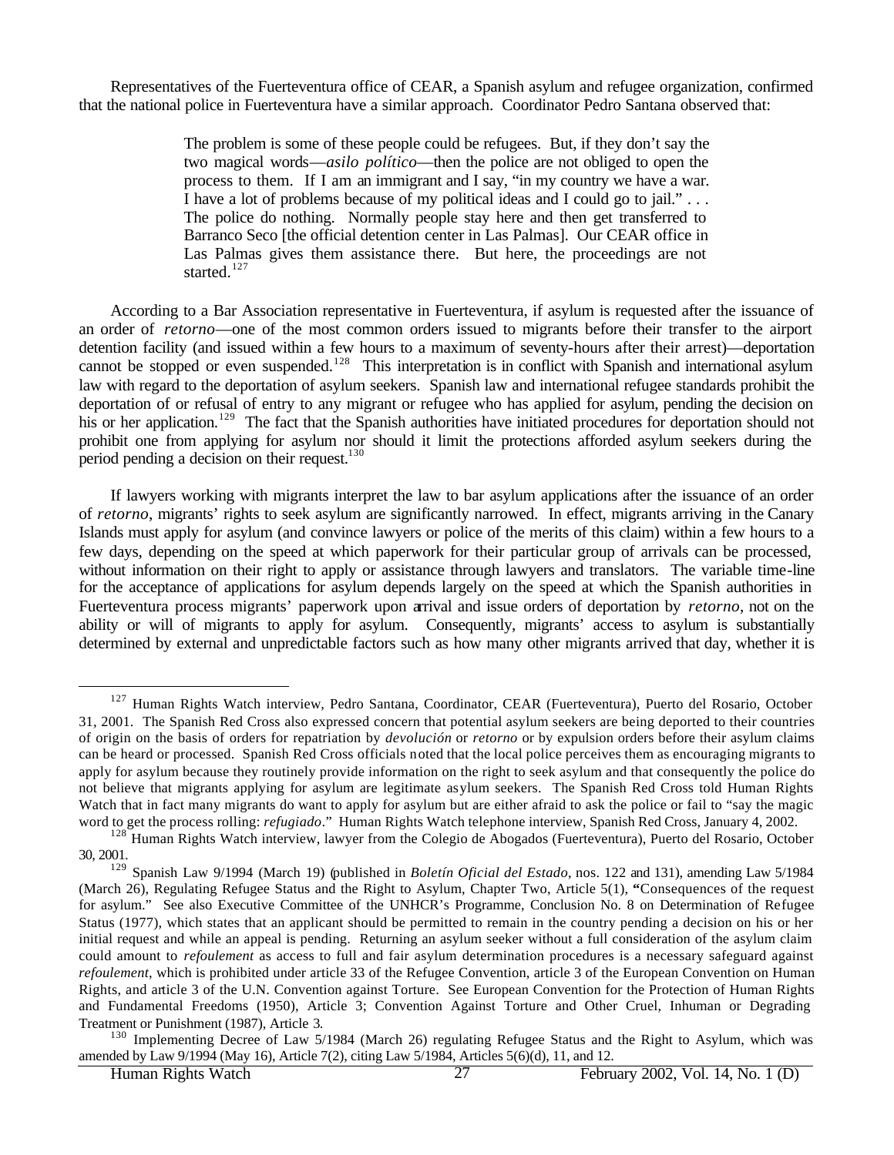Representatives of the Fuerteventura office of CEAR, a Spanish asylum and refugee organization, confirmed that the national police in Fuerteventura have a similar approach. Coordinator Pedro Santana observed that:

> The problem is some of these people could be refugees. But, if they don't say the two magical words—*asilo político*—then the police are not obliged to open the process to them. If I am an immigrant and I say, "in my country we have a war. I have a lot of problems because of my political ideas and I could go to jail." . . . The police do nothing. Normally people stay here and then get transferred to Barranco Seco [the official detention center in Las Palmas]. Our CEAR office in Las Palmas gives them assistance there. But here, the proceedings are not started.<sup>127</sup>

According to a Bar Association representative in Fuerteventura, if asylum is requested after the issuance of an order of *retorno*—one of the most common orders issued to migrants before their transfer to the airport detention facility (and issued within a few hours to a maximum of seventy-hours after their arrest)—deportation cannot be stopped or even suspended.<sup>128</sup> This interpretation is in conflict with Spanish and international asylum law with regard to the deportation of asylum seekers. Spanish law and international refugee standards prohibit the deportation of or refusal of entry to any migrant or refugee who has applied for asylum, pending the decision on his or her application.<sup>129</sup> The fact that the Spanish authorities have initiated procedures for deportation should not prohibit one from applying for asylum nor should it limit the protections afforded asylum seekers during the period pending a decision on their request.<sup>130</sup>

If lawyers working with migrants interpret the law to bar asylum applications after the issuance of an order of *retorno*, migrants' rights to seek asylum are significantly narrowed. In effect, migrants arriving in the Canary Islands must apply for asylum (and convince lawyers or police of the merits of this claim) within a few hours to a few days, depending on the speed at which paperwork for their particular group of arrivals can be processed, without information on their right to apply or assistance through lawyers and translators. The variable time-line for the acceptance of applications for asylum depends largely on the speed at which the Spanish authorities in Fuerteventura process migrants' paperwork upon arrival and issue orders of deportation by *retorno*, not on the ability or will of migrants to apply for asylum. Consequently, migrants' access to asylum is substantially determined by external and unpredictable factors such as how many other migrants arrived that day, whether it is

<sup>&</sup>lt;sup>127</sup> Human Rights Watch interview, Pedro Santana, Coordinator, CEAR (Fuerteventura), Puerto del Rosario, October 31, 2001. The Spanish Red Cross also expressed concern that potential asylum seekers are being deported to their countries of origin on the basis of orders for repatriation by *devolución* or *retorno* or by expulsion orders before their asylum claims can be heard or processed. Spanish Red Cross officials noted that the local police perceives them as encouraging migrants to apply for asylum because they routinely provide information on the right to seek asylum and that consequently the police do not believe that migrants applying for asylum are legitimate asylum seekers. The Spanish Red Cross told Human Rights Watch that in fact many migrants do want to apply for asylum but are either afraid to ask the police or fail to "say the magic word to get the process rolling: *refugiado*." Human Rights Watch telephone interview, Spanish Red Cross, January 4, 2002.

<sup>&</sup>lt;sup>128</sup> Human Rights Watch interview, lawyer from the Colegio de Abogados (Fuerteventura), Puerto del Rosario, October 30, 2001.

<sup>129</sup> Spanish Law 9/1994 (March 19) (published in *Boletín Oficial del Estado*, nos. 122 and 131), amending Law 5/1984 (March 26), Regulating Refugee Status and the Right to Asylum, Chapter Two, Article 5(1), **"**Consequences of the request for asylum." See also Executive Committee of the UNHCR's Programme, Conclusion No. 8 on Determination of Refugee Status (1977), which states that an applicant should be permitted to remain in the country pending a decision on his or her initial request and while an appeal is pending. Returning an asylum seeker without a full consideration of the asylum claim could amount to *refoulement* as access to full and fair asylum determination procedures is a necessary safeguard against *refoulement*, which is prohibited under article 33 of the Refugee Convention, article 3 of the European Convention on Human Rights, and article 3 of the U.N. Convention against Torture. See European Convention for the Protection of Human Rights and Fundamental Freedoms (1950), Article 3; Convention Against Torture and Other Cruel, Inhuman or Degrading Treatment or Punishment (1987), Article 3.

<sup>&</sup>lt;sup>130</sup> Implementing Decree of Law 5/1984 (March 26) regulating Refugee Status and the Right to Asylum, which was amended by Law 9/1994 (May 16), Article 7(2), citing Law 5/1984, Articles 5(6)(d), 11, and 12.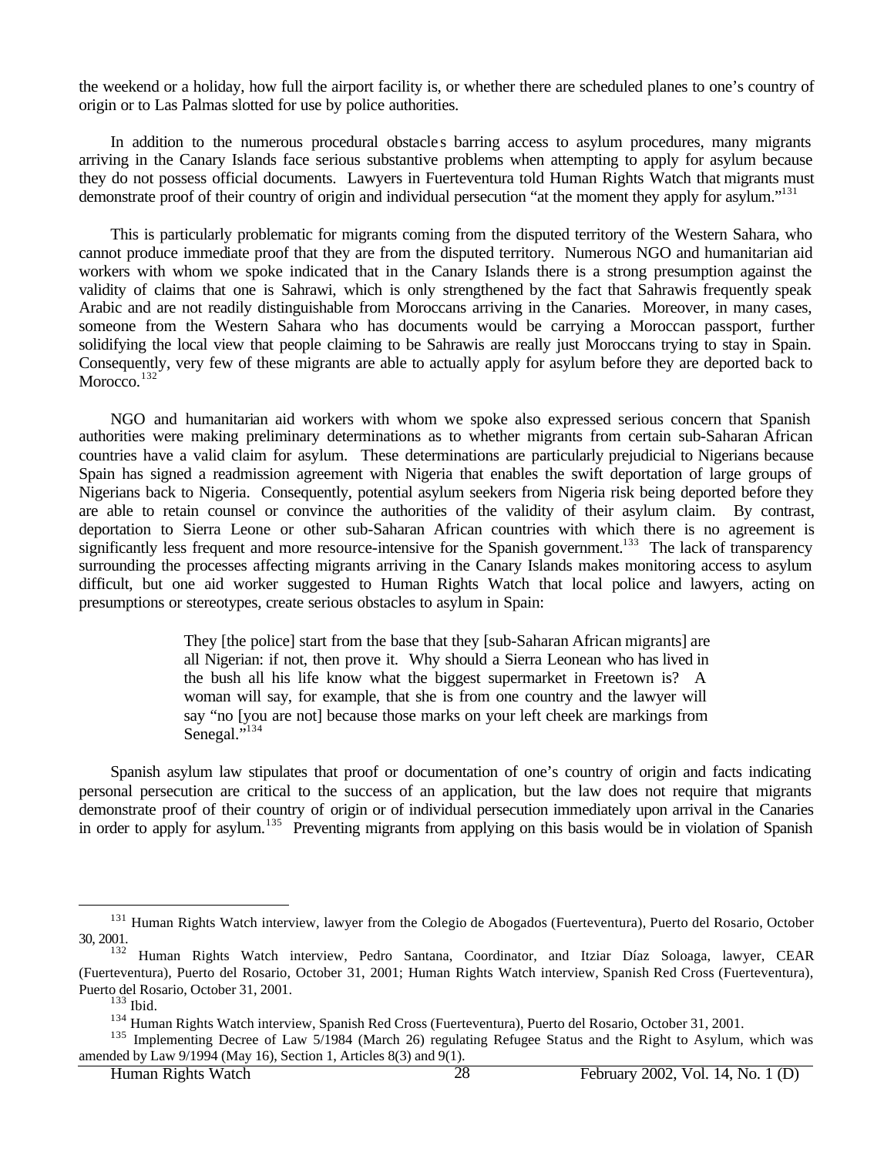the weekend or a holiday, how full the airport facility is, or whether there are scheduled planes to one's country of origin or to Las Palmas slotted for use by police authorities.

In addition to the numerous procedural obstacle s barring access to asylum procedures, many migrants arriving in the Canary Islands face serious substantive problems when attempting to apply for asylum because they do not possess official documents. Lawyers in Fuerteventura told Human Rights Watch that migrants must demonstrate proof of their country of origin and individual persecution "at the moment they apply for asylum."<sup>131</sup>

This is particularly problematic for migrants coming from the disputed territory of the Western Sahara, who cannot produce immediate proof that they are from the disputed territory. Numerous NGO and humanitarian aid workers with whom we spoke indicated that in the Canary Islands there is a strong presumption against the validity of claims that one is Sahrawi, which is only strengthened by the fact that Sahrawis frequently speak Arabic and are not readily distinguishable from Moroccans arriving in the Canaries. Moreover, in many cases, someone from the Western Sahara who has documents would be carrying a Moroccan passport, further solidifying the local view that people claiming to be Sahrawis are really just Moroccans trying to stay in Spain. Consequently, very few of these migrants are able to actually apply for asylum before they are deported back to Morocco.<sup>132</sup>

NGO and humanitarian aid workers with whom we spoke also expressed serious concern that Spanish authorities were making preliminary determinations as to whether migrants from certain sub-Saharan African countries have a valid claim for asylum. These determinations are particularly prejudicial to Nigerians because Spain has signed a readmission agreement with Nigeria that enables the swift deportation of large groups of Nigerians back to Nigeria. Consequently, potential asylum seekers from Nigeria risk being deported before they are able to retain counsel or convince the authorities of the validity of their asylum claim. By contrast, deportation to Sierra Leone or other sub-Saharan African countries with which there is no agreement is significantly less frequent and more resource-intensive for the Spanish government.<sup>133</sup> The lack of transparency surrounding the processes affecting migrants arriving in the Canary Islands makes monitoring access to asylum difficult, but one aid worker suggested to Human Rights Watch that local police and lawyers, acting on presumptions or stereotypes, create serious obstacles to asylum in Spain:

> They [the police] start from the base that they [sub-Saharan African migrants] are all Nigerian: if not, then prove it. Why should a Sierra Leonean who has lived in the bush all his life know what the biggest supermarket in Freetown is? A woman will say, for example, that she is from one country and the lawyer will say "no [you are not] because those marks on your left cheek are markings from Senegal."<sup>134</sup>

Spanish asylum law stipulates that proof or documentation of one's country of origin and facts indicating personal persecution are critical to the success of an application, but the law does not require that migrants demonstrate proof of their country of origin or of individual persecution immediately upon arrival in the Canaries in order to apply for asylum.<sup>135</sup> Preventing migrants from applying on this basis would be in violation of Spanish

<sup>&</sup>lt;sup>131</sup> Human Rights Watch interview, lawyer from the Colegio de Abogados (Fuerteventura), Puerto del Rosario, October 30, 2001.

<sup>&</sup>lt;sup>132</sup> Human Rights Watch interview, Pedro Santana, Coordinator, and Itziar Díaz Soloaga, lawyer, CEAR (Fuerteventura), Puerto del Rosario, October 31, 2001; Human Rights Watch interview, Spanish Red Cross (Fuerteventura), Puerto del Rosario, October 31, 2001.

<sup>133</sup> Ibid.

<sup>134</sup> Human Rights Watch interview, Spanish Red Cross (Fuerteventura), Puerto del Rosario, October 31, 2001.

<sup>&</sup>lt;sup>135</sup> Implementing Decree of Law 5/1984 (March 26) regulating Refugee Status and the Right to Asylum, which was amended by Law 9/1994 (May 16), Section 1, Articles 8(3) and 9(1).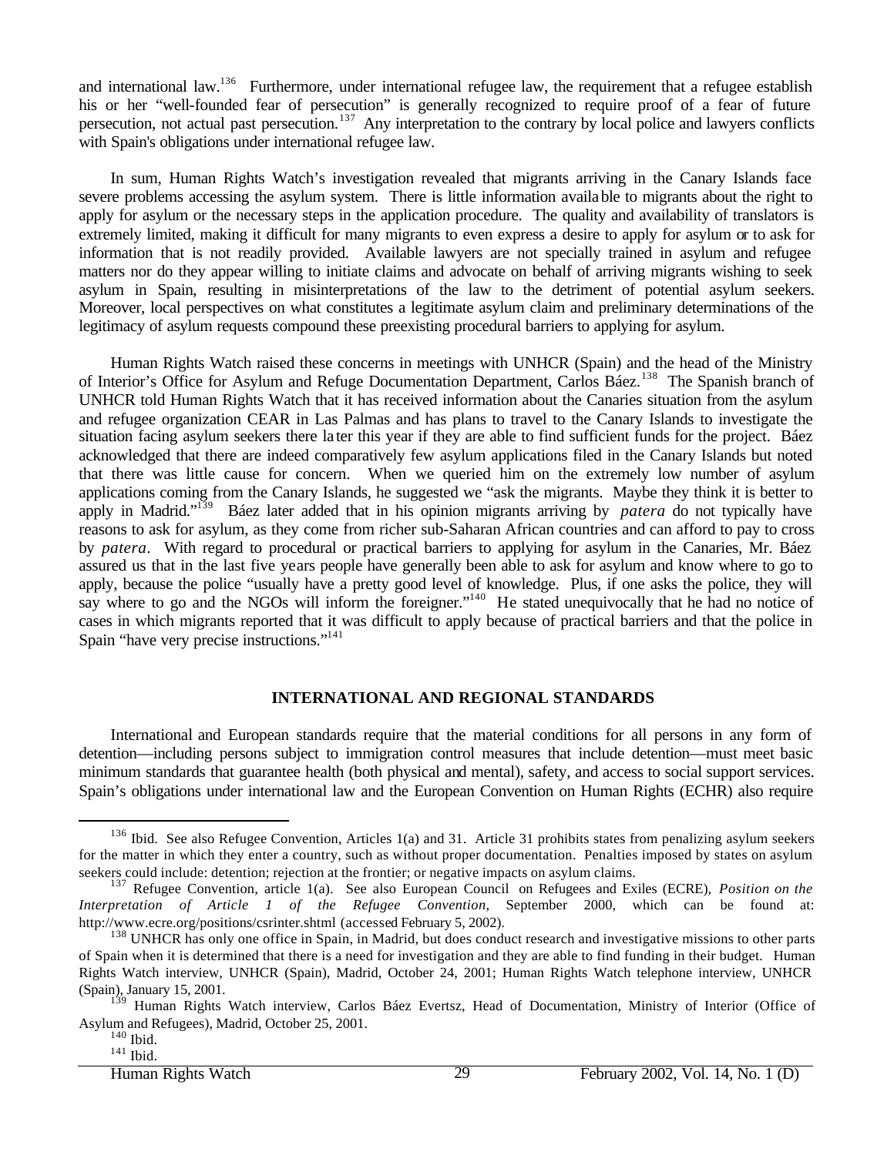and international law.<sup>136</sup> Furthermore, under international refugee law, the requirement that a refugee establish his or her "well-founded fear of persecution" is generally recognized to require proof of a fear of future persecution, not actual past persecution.<sup>137</sup> Any interpretation to the contrary by local police and lawyers conflicts with Spain's obligations under international refugee law.

In sum, Human Rights Watch's investigation revealed that migrants arriving in the Canary Islands face severe problems accessing the asylum system. There is little information available to migrants about the right to apply for asylum or the necessary steps in the application procedure. The quality and availability of translators is extremely limited, making it difficult for many migrants to even express a desire to apply for asylum or to ask for information that is not readily provided. Available lawyers are not specially trained in asylum and refugee matters nor do they appear willing to initiate claims and advocate on behalf of arriving migrants wishing to seek asylum in Spain, resulting in misinterpretations of the law to the detriment of potential asylum seekers. Moreover, local perspectives on what constitutes a legitimate asylum claim and preliminary determinations of the legitimacy of asylum requests compound these preexisting procedural barriers to applying for asylum.

Human Rights Watch raised these concerns in meetings with UNHCR (Spain) and the head of the Ministry of Interior's Office for Asylum and Refuge Documentation Department, Carlos Báez.<sup>138</sup> The Spanish branch of UNHCR told Human Rights Watch that it has received information about the Canaries situation from the asylum and refugee organization CEAR in Las Palmas and has plans to travel to the Canary Islands to investigate the situation facing asylum seekers there la ter this year if they are able to find sufficient funds for the project. Báez acknowledged that there are indeed comparatively few asylum applications filed in the Canary Islands but noted that there was little cause for concern. When we queried him on the extremely low number of asylum applications coming from the Canary Islands, he suggested we "ask the migrants. Maybe they think it is better to apply in Madrid."<sup>139</sup> Báez later added that in his opinion migrants arriving by *patera* do not typically have reasons to ask for asylum, as they come from richer sub-Saharan African countries and can afford to pay to cross by *patera*. With regard to procedural or practical barriers to applying for asylum in the Canaries, Mr. Báez assured us that in the last five years people have generally been able to ask for asylum and know where to go to apply, because the police "usually have a pretty good level of knowledge. Plus, if one asks the police, they will say where to go and the NGOs will inform the foreigner."<sup>140</sup> He stated unequivocally that he had no notice of cases in which migrants reported that it was difficult to apply because of practical barriers and that the police in Spain "have very precise instructions."<sup>141</sup>

### **INTERNATIONAL AND REGIONAL STANDARDS**

International and European standards require that the material conditions for all persons in any form of detention—including persons subject to immigration control measures that include detention—must meet basic minimum standards that guarantee health (both physical and mental), safety, and access to social support services. Spain's obligations under international law and the European Convention on Human Rights (ECHR) also require

<sup>&</sup>lt;sup>136</sup> Ibid. See also Refugee Convention, Articles 1(a) and 31. Article 31 prohibits states from penalizing asylum seekers for the matter in which they enter a country, such as without proper documentation. Penalties imposed by states on asylum seekers could include: detention; rejection at the frontier; or negative impacts on asylum claims.

<sup>137</sup> Refugee Convention, article 1(a). See also European Council on Refugees and Exiles (ECRE), *Position on the Interpretation of Article 1 of the Refugee Convention*, September 2000, which can be found at: http://www.ecre.org/positions/csrinter.shtml (accessed February 5, 2002).

<sup>&</sup>lt;sup>138</sup> UNHCR has only one office in Spain, in Madrid, but does conduct research and investigative missions to other parts of Spain when it is determined that there is a need for investigation and they are able to find funding in their budget. Human Rights Watch interview, UNHCR (Spain), Madrid, October 24, 2001; Human Rights Watch telephone interview, UNHCR (Spain), January 15, 2001.

<sup>&</sup>lt;sup>139</sup> Human Rights Watch interview, Carlos Báez Evertsz, Head of Documentation, Ministry of Interior (Office of Asylum and Refugees), Madrid, October 25, 2001.

 $140$  Ibid.

 $141$  Ibid.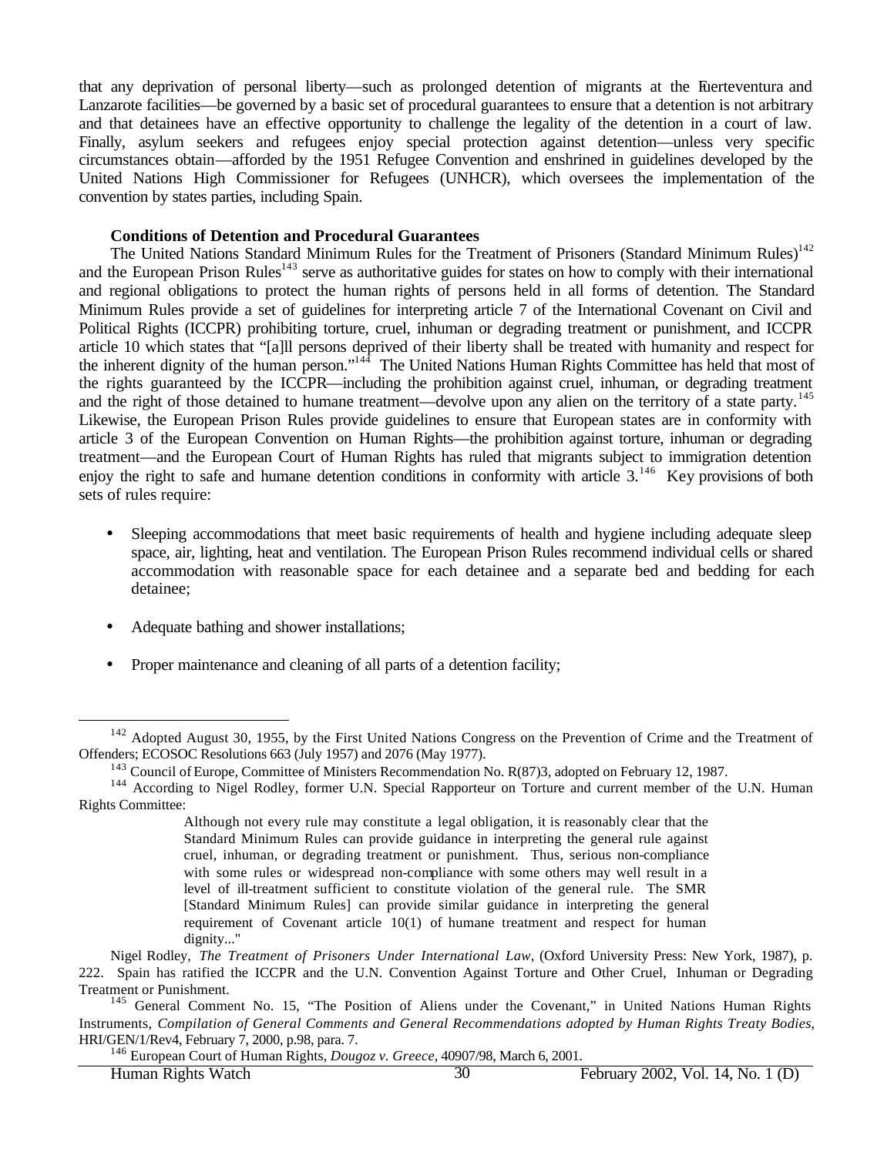that any deprivation of personal liberty—such as prolonged detention of migrants at the Fuerteventura and Lanzarote facilities—be governed by a basic set of procedural guarantees to ensure that a detention is not arbitrary and that detainees have an effective opportunity to challenge the legality of the detention in a court of law. Finally, asylum seekers and refugees enjoy special protection against detention—unless very specific circumstances obtain—afforded by the 1951 Refugee Convention and enshrined in guidelines developed by the United Nations High Commissioner for Refugees (UNHCR), which oversees the implementation of the convention by states parties, including Spain.

#### **Conditions of Detention and Procedural Guarantees**

The United Nations Standard Minimum Rules for the Treatment of Prisoners (Standard Minimum Rules)<sup>142</sup> and the European Prison Rules<sup>143</sup> serve as authoritative guides for states on how to comply with their international and regional obligations to protect the human rights of persons held in all forms of detention. The Standard Minimum Rules provide a set of guidelines for interpreting article 7 of the International Covenant on Civil and Political Rights (ICCPR) prohibiting torture, cruel, inhuman or degrading treatment or punishment, and ICCPR article 10 which states that "[a]ll persons deprived of their liberty shall be treated with humanity and respect for the inherent dignity of the human person."<sup>144</sup> The United Nations Human Rights Committee has held that most of the rights guaranteed by the ICCPR—including the prohibition against cruel, inhuman, or degrading treatment and the right of those detained to humane treatment—devolve upon any alien on the territory of a state party.<sup>145</sup> Likewise, the European Prison Rules provide guidelines to ensure that European states are in conformity with article 3 of the European Convention on Human Rights—the prohibition against torture, inhuman or degrading treatment—and the European Court of Human Rights has ruled that migrants subject to immigration detention enjoy the right to safe and humane detention conditions in conformity with article  $3.^{146}$ . Key provisions of both sets of rules require:

- Sleeping accommodations that meet basic requirements of health and hygiene including adequate sleep space, air, lighting, heat and ventilation. The European Prison Rules recommend individual cells or shared accommodation with reasonable space for each detainee and a separate bed and bedding for each detainee;
- Adequate bathing and shower installations;
- Proper maintenance and cleaning of all parts of a detention facility;

<sup>146</sup> European Court of Human Rights, *Dougoz v. Greece*, 40907/98, March 6, 2001.

<sup>&</sup>lt;sup>142</sup> Adopted August 30, 1955, by the First United Nations Congress on the Prevention of Crime and the Treatment of Offenders; ECOSOC Resolutions 663 (July 1957) and 2076 (May 1977).

<sup>&</sup>lt;sup>143</sup> Council of Europe, Committee of Ministers Recommendation No. R(87)3, adopted on February 12, 1987.

<sup>&</sup>lt;sup>144</sup> According to Nigel Rodley, former U.N. Special Rapporteur on Torture and current member of the U.N. Human Rights Committee:

Although not every rule may constitute a legal obligation, it is reasonably clear that the Standard Minimum Rules can provide guidance in interpreting the general rule against cruel, inhuman, or degrading treatment or punishment. Thus, serious non-compliance with some rules or widespread non-compliance with some others may well result in a level of ill-treatment sufficient to constitute violation of the general rule. The SMR [Standard Minimum Rules] can provide similar guidance in interpreting the general requirement of Covenant article 10(1) of humane treatment and respect for human dignity..."

Nigel Rodley, *The Treatment of Prisoners Under International Law*, (Oxford University Press: New York, 1987), p. 222. Spain has ratified the ICCPR and the U.N. Convention Against Torture and Other Cruel, Inhuman or Degrading Treatment or Punishment.

<sup>&</sup>lt;sup>145</sup> General Comment No. 15, "The Position of Aliens under the Covenant," in United Nations Human Rights Instruments, *Compilation of General Comments and General Recommendations adopted by Human Rights Treaty Bodies*, HRI/GEN/1/Rev4, February 7, 2000, p.98, para. 7.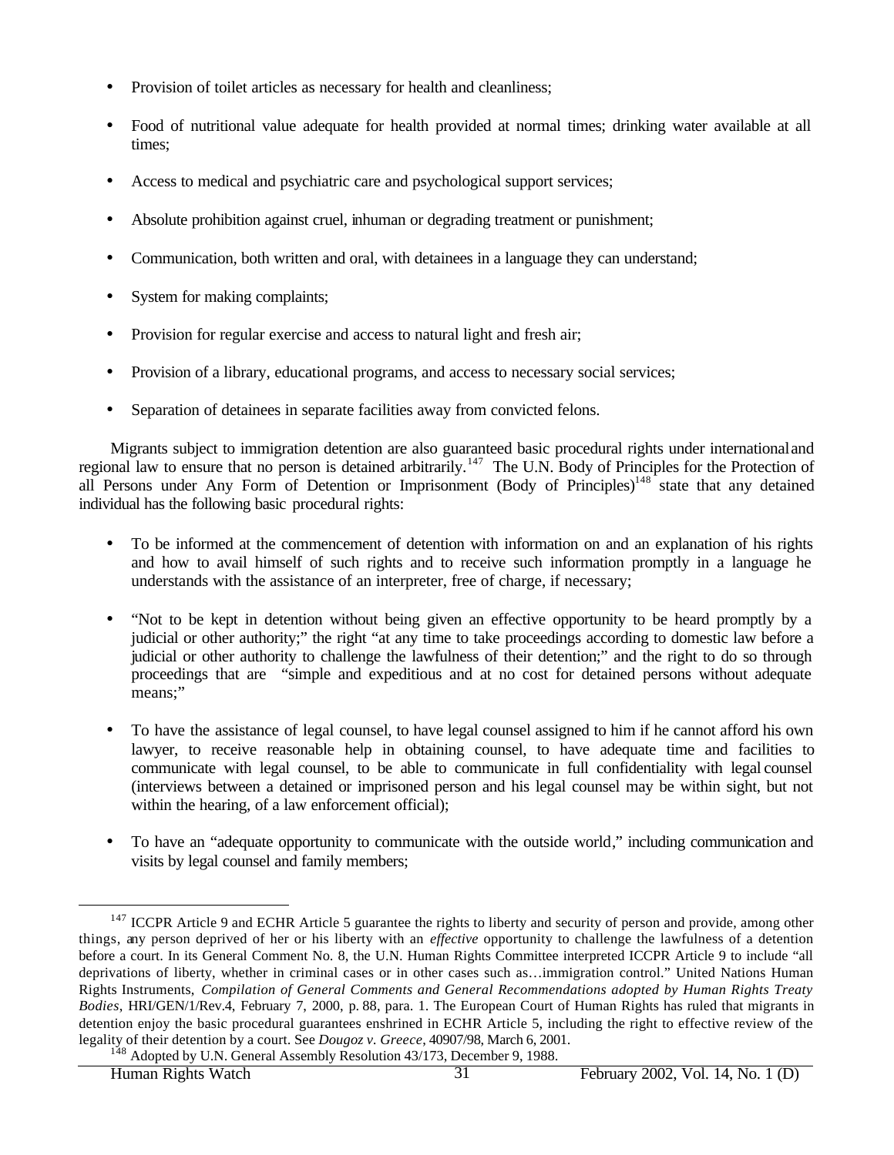- Provision of toilet articles as necessary for health and cleanliness;
- Food of nutritional value adequate for health provided at normal times; drinking water available at all times;
- Access to medical and psychiatric care and psychological support services;
- Absolute prohibition against cruel, inhuman or degrading treatment or punishment;
- Communication, both written and oral, with detainees in a language they can understand;
- System for making complaints;
- Provision for regular exercise and access to natural light and fresh air;
- Provision of a library, educational programs, and access to necessary social services;
- Separation of detainees in separate facilities away from convicted felons.

Migrants subject to immigration detention are also guaranteed basic procedural rights under international and regional law to ensure that no person is detained arbitrarily.<sup>147</sup> The U.N. Body of Principles for the Protection of all Persons under Any Form of Detention or Imprisonment (Body of Principles)<sup>148</sup> state that any detained individual has the following basic procedural rights:

- To be informed at the commencement of detention with information on and an explanation of his rights and how to avail himself of such rights and to receive such information promptly in a language he understands with the assistance of an interpreter, free of charge, if necessary;
- "Not to be kept in detention without being given an effective opportunity to be heard promptly by a judicial or other authority;" the right "at any time to take proceedings according to domestic law before a judicial or other authority to challenge the lawfulness of their detention;" and the right to do so through proceedings that are "simple and expeditious and at no cost for detained persons without adequate means;"
- To have the assistance of legal counsel, to have legal counsel assigned to him if he cannot afford his own lawyer, to receive reasonable help in obtaining counsel, to have adequate time and facilities to communicate with legal counsel, to be able to communicate in full confidentiality with legal counsel (interviews between a detained or imprisoned person and his legal counsel may be within sight, but not within the hearing, of a law enforcement official);
- To have an "adequate opportunity to communicate with the outside world," including communication and visits by legal counsel and family members;

<sup>&</sup>lt;sup>147</sup> ICCPR Article 9 and ECHR Article 5 guarantee the rights to liberty and security of person and provide, among other things, any person deprived of her or his liberty with an *effective* opportunity to challenge the lawfulness of a detention before a court. In its General Comment No. 8, the U.N. Human Rights Committee interpreted ICCPR Article 9 to include "all deprivations of liberty, whether in criminal cases or in other cases such as…immigration control." United Nations Human Rights Instruments, *Compilation of General Comments and General Recommendations adopted by Human Rights Treaty Bodies*, HRI/GEN/1/Rev.4, February 7, 2000, p. 88, para. 1. The European Court of Human Rights has ruled that migrants in detention enjoy the basic procedural guarantees enshrined in ECHR Article 5, including the right to effective review of the legality of their detention by a court. See *Dougoz v. Greece*, 40907/98, March 6, 2001. <sup>148</sup> Adopted by U.N. General Assembly Resolution 43/173, December 9, 1988.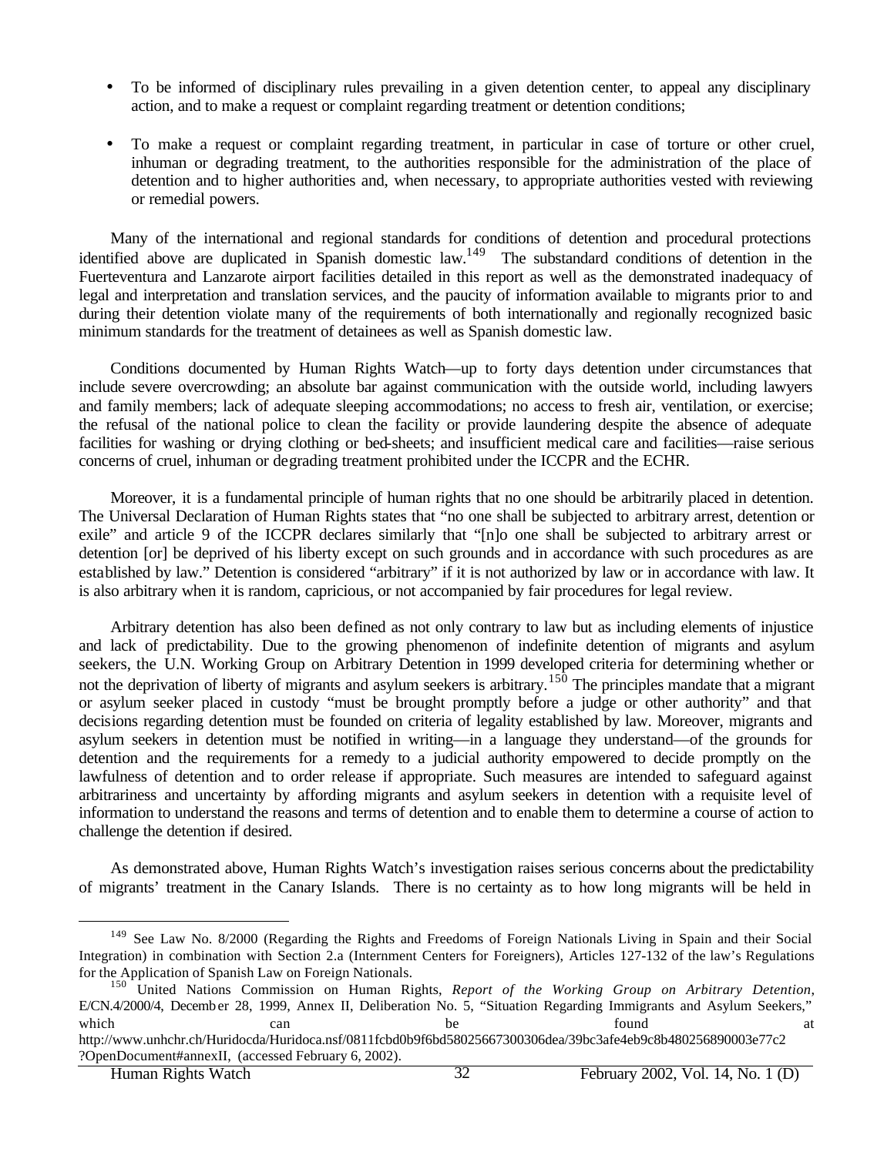- To be informed of disciplinary rules prevailing in a given detention center, to appeal any disciplinary action, and to make a request or complaint regarding treatment or detention conditions;
- To make a request or complaint regarding treatment, in particular in case of torture or other cruel, inhuman or degrading treatment, to the authorities responsible for the administration of the place of detention and to higher authorities and, when necessary, to appropriate authorities vested with reviewing or remedial powers.

Many of the international and regional standards for conditions of detention and procedural protections identified above are duplicated in Spanish domestic law.<sup>149</sup> The substandard conditions of detention in the Fuerteventura and Lanzarote airport facilities detailed in this report as well as the demonstrated inadequacy of legal and interpretation and translation services, and the paucity of information available to migrants prior to and during their detention violate many of the requirements of both internationally and regionally recognized basic minimum standards for the treatment of detainees as well as Spanish domestic law.

Conditions documented by Human Rights Watch—up to forty days detention under circumstances that include severe overcrowding; an absolute bar against communication with the outside world, including lawyers and family members; lack of adequate sleeping accommodations; no access to fresh air, ventilation, or exercise; the refusal of the national police to clean the facility or provide laundering despite the absence of adequate facilities for washing or drying clothing or bed-sheets; and insufficient medical care and facilities—raise serious concerns of cruel, inhuman or degrading treatment prohibited under the ICCPR and the ECHR.

Moreover, it is a fundamental principle of human rights that no one should be arbitrarily placed in detention. The Universal Declaration of Human Rights states that "no one shall be subjected to arbitrary arrest, detention or exile" and article 9 of the ICCPR declares similarly that "[n]o one shall be subjected to arbitrary arrest or detention [or] be deprived of his liberty except on such grounds and in accordance with such procedures as are established by law." Detention is considered "arbitrary" if it is not authorized by law or in accordance with law. It is also arbitrary when it is random, capricious, or not accompanied by fair procedures for legal review.

Arbitrary detention has also been defined as not only contrary to law but as including elements of injustice and lack of predictability. Due to the growing phenomenon of indefinite detention of migrants and asylum seekers, the U.N. Working Group on Arbitrary Detention in 1999 developed criteria for determining whether or not the deprivation of liberty of migrants and asylum seekers is arbitrary.<sup>150</sup> The principles mandate that a migrant or asylum seeker placed in custody "must be brought promptly before a judge or other authority" and that decisions regarding detention must be founded on criteria of legality established by law. Moreover, migrants and asylum seekers in detention must be notified in writing—in a language they understand—of the grounds for detention and the requirements for a remedy to a judicial authority empowered to decide promptly on the lawfulness of detention and to order release if appropriate. Such measures are intended to safeguard against arbitrariness and uncertainty by affording migrants and asylum seekers in detention with a requisite level of information to understand the reasons and terms of detention and to enable them to determine a course of action to challenge the detention if desired.

As demonstrated above, Human Rights Watch's investigation raises serious concerns about the predictability of migrants' treatment in the Canary Islands. There is no certainty as to how long migrants will be held in

<sup>&</sup>lt;sup>149</sup> See Law No. 8/2000 (Regarding the Rights and Freedoms of Foreign Nationals Living in Spain and their Social Integration) in combination with Section 2.a (Internment Centers for Foreigners), Articles 127-132 of the law's Regulations for the Application of Spanish Law on Foreign Nationals.

<sup>150</sup> United Nations Commission on Human Rights, *Report of the Working Group on Arbitrary Detention*, E/CN.4/2000/4, December 28, 1999, Annex II, Deliberation No. 5, "Situation Regarding Immigrants and Asylum Seekers," which can can be found at http://www.unhchr.ch/Huridocda/Huridoca.nsf/0811fcbd0b9f6bd58025667300306dea/39bc3afe4eb9c8b480256890003e77c2 ?OpenDocument#annexII, (accessed February 6, 2002).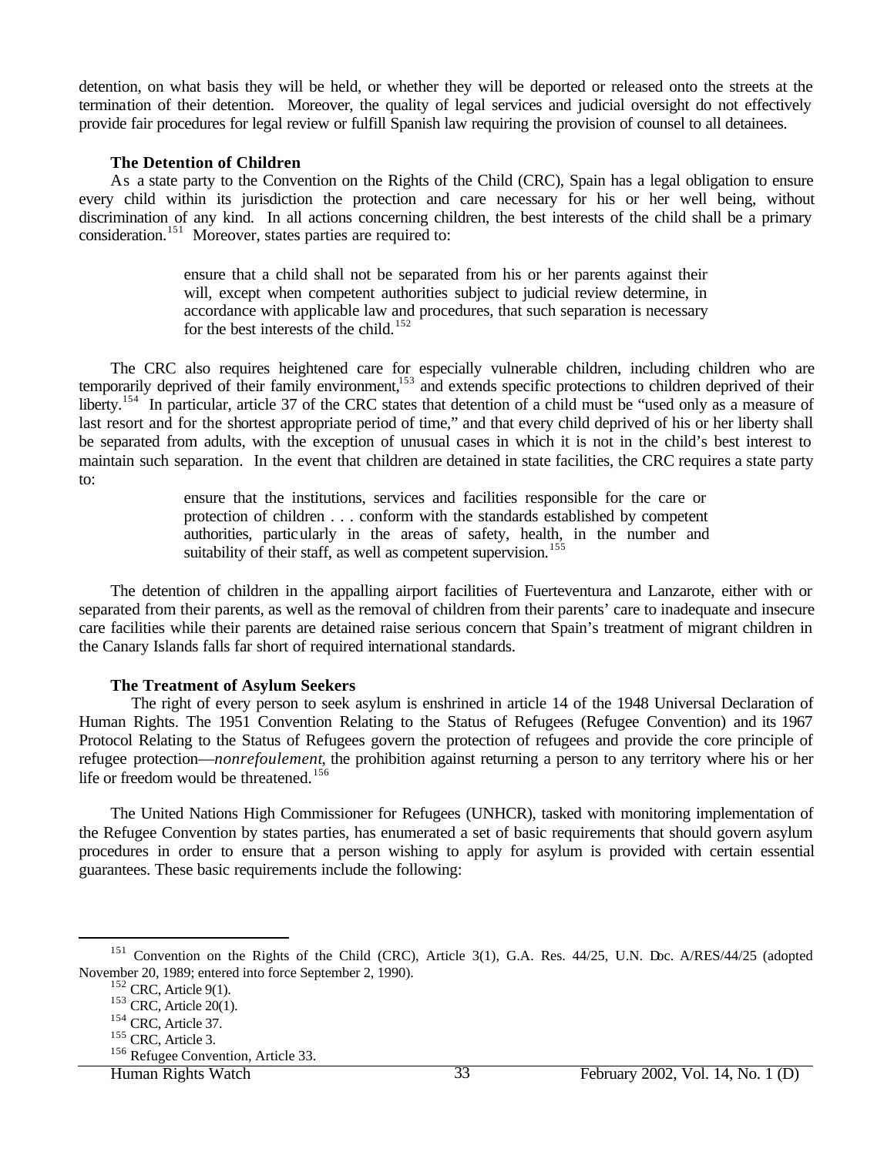detention, on what basis they will be held, or whether they will be deported or released onto the streets at the termination of their detention. Moreover, the quality of legal services and judicial oversight do not effectively provide fair procedures for legal review or fulfill Spanish law requiring the provision of counsel to all detainees.

### **The Detention of Children**

As a state party to the Convention on the Rights of the Child (CRC), Spain has a legal obligation to ensure every child within its jurisdiction the protection and care necessary for his or her well being, without discrimination of any kind. In all actions concerning children, the best interests of the child shall be a primary consideration.<sup>151</sup> Moreover, states parties are required to:

> ensure that a child shall not be separated from his or her parents against their will, except when competent authorities subject to judicial review determine, in accordance with applicable law and procedures, that such separation is necessary for the best interests of the child.<sup>152</sup>

The CRC also requires heightened care for especially vulnerable children, including children who are temporarily deprived of their family environment,<sup>153</sup> and extends specific protections to children deprived of their liberty.<sup>154</sup> In particular, article 37 of the CRC states that detention of a child must be "used only as a measure of last resort and for the shortest appropriate period of time," and that every child deprived of his or her liberty shall be separated from adults, with the exception of unusual cases in which it is not in the child's best interest to maintain such separation. In the event that children are detained in state facilities, the CRC requires a state party to:

> ensure that the institutions, services and facilities responsible for the care or protection of children . . . conform with the standards established by competent authorities, particularly in the areas of safety, health, in the number and suitability of their staff, as well as competent supervision.<sup>155</sup>

The detention of children in the appalling airport facilities of Fuerteventura and Lanzarote, either with or separated from their parents, as well as the removal of children from their parents' care to inadequate and insecure care facilities while their parents are detained raise serious concern that Spain's treatment of migrant children in the Canary Islands falls far short of required international standards.

### **The Treatment of Asylum Seekers**

The right of every person to seek asylum is enshrined in article 14 of the 1948 Universal Declaration of Human Rights. The 1951 Convention Relating to the Status of Refugees (Refugee Convention) and its 1967 Protocol Relating to the Status of Refugees govern the protection of refugees and provide the core principle of refugee protection—*nonrefoulement*, the prohibition against returning a person to any territory where his or her life or freedom would be threatened.<sup>156</sup>

The United Nations High Commissioner for Refugees (UNHCR), tasked with monitoring implementation of the Refugee Convention by states parties, has enumerated a set of basic requirements that should govern asylum procedures in order to ensure that a person wishing to apply for asylum is provided with certain essential guarantees. These basic requirements include the following:

<sup>&</sup>lt;sup>151</sup> Convention on the Rights of the Child (CRC), Article 3(1), G.A. Res. 44/25, U.N. Doc. A/RES/44/25 (adopted November 20, 1989; entered into force September 2, 1990).

 $152$  CRC, Article 9(1).

<sup>153</sup> CRC, Article 20(1).

<sup>154</sup> CRC, Article 37.

<sup>155</sup> CRC, Article 3.

<sup>&</sup>lt;sup>156</sup> Refugee Convention, Article 33.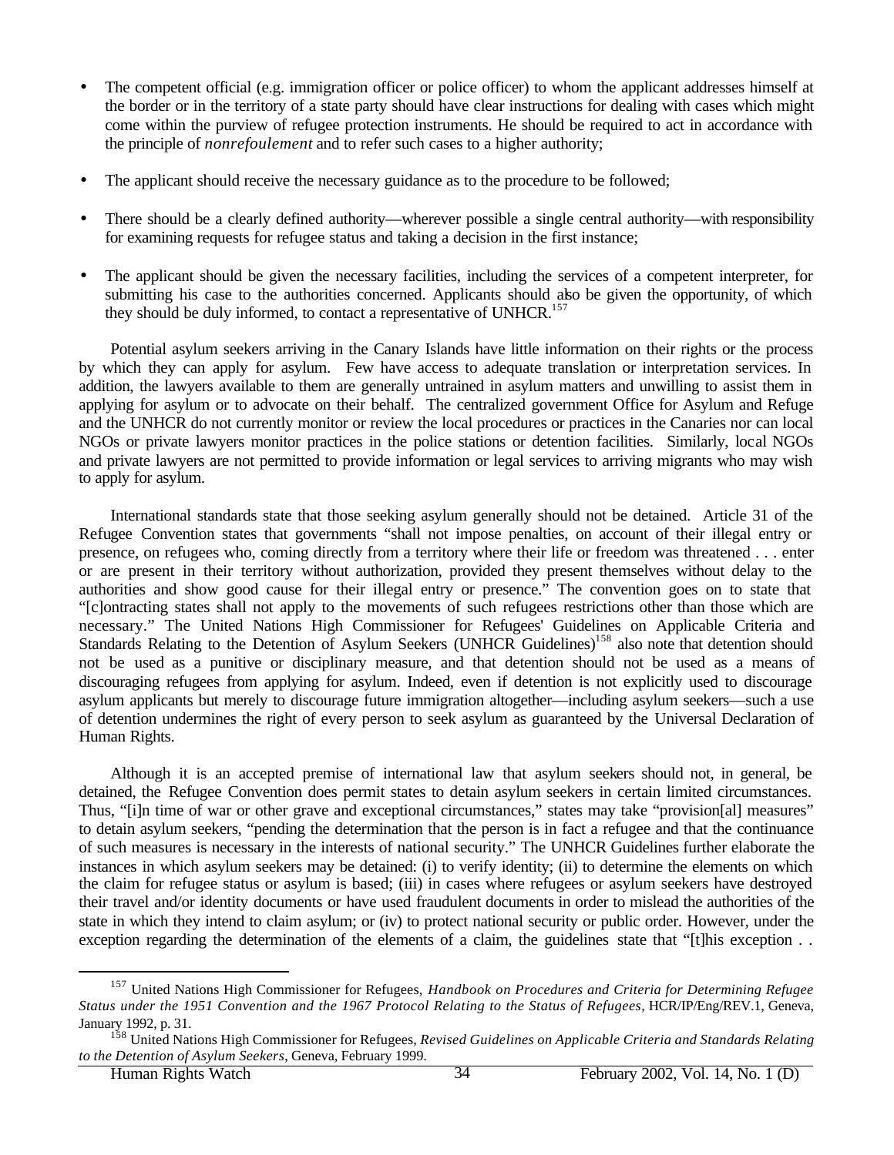- The competent official (e.g. immigration officer or police officer) to whom the applicant addresses himself at the border or in the territory of a state party should have clear instructions for dealing with cases which might come within the purview of refugee protection instruments. He should be required to act in accordance with the principle of *nonrefoulement* and to refer such cases to a higher authority;
- The applicant should receive the necessary guidance as to the procedure to be followed;
- There should be a clearly defined authority—wherever possible a single central authority—with responsibility for examining requests for refugee status and taking a decision in the first instance;
- The applicant should be given the necessary facilities, including the services of a competent interpreter, for submitting his case to the authorities concerned. Applicants should also be given the opportunity, of which they should be duly informed, to contact a representative of UNHCR.<sup>157</sup>

Potential asylum seekers arriving in the Canary Islands have little information on their rights or the process by which they can apply for asylum. Few have access to adequate translation or interpretation services. In addition, the lawyers available to them are generally untrained in asylum matters and unwilling to assist them in applying for asylum or to advocate on their behalf. The centralized government Office for Asylum and Refuge and the UNHCR do not currently monitor or review the local procedures or practices in the Canaries nor can local NGOs or private lawyers monitor practices in the police stations or detention facilities. Similarly, local NGOs and private lawyers are not permitted to provide information or legal services to arriving migrants who may wish to apply for asylum.

International standards state that those seeking asylum generally should not be detained. Article 31 of the Refugee Convention states that governments "shall not impose penalties, on account of their illegal entry or presence, on refugees who, coming directly from a territory where their life or freedom was threatened . . . enter or are present in their territory without authorization, provided they present themselves without delay to the authorities and show good cause for their illegal entry or presence." The convention goes on to state that "[c]ontracting states shall not apply to the movements of such refugees restrictions other than those which are necessary." The United Nations High Commissioner for Refugees' Guidelines on Applicable Criteria and Standards Relating to the Detention of Asylum Seekers (UNHCR Guidelines)<sup>158</sup> also note that detention should not be used as a punitive or disciplinary measure, and that detention should not be used as a means of discouraging refugees from applying for asylum. Indeed, even if detention is not explicitly used to discourage asylum applicants but merely to discourage future immigration altogether—including asylum seekers—such a use of detention undermines the right of every person to seek asylum as guaranteed by the Universal Declaration of Human Rights.

Although it is an accepted premise of international law that asylum seekers should not, in general, be detained, the Refugee Convention does permit states to detain asylum seekers in certain limited circumstances. Thus, "[i]n time of war or other grave and exceptional circumstances," states may take "provision[al] measures" to detain asylum seekers, "pending the determination that the person is in fact a refugee and that the continuance of such measures is necessary in the interests of national security." The UNHCR Guidelines further elaborate the instances in which asylum seekers may be detained: (i) to verify identity; (ii) to determine the elements on which the claim for refugee status or asylum is based; (iii) in cases where refugees or asylum seekers have destroyed their travel and/or identity documents or have used fraudulent documents in order to mislead the authorities of the state in which they intend to claim asylum; or (iv) to protect national security or public order. However, under the exception regarding the determination of the elements of a claim, the guidelines state that "[t]his exception ..

<sup>157</sup> United Nations High Commissioner for Refugees, *Handbook on Procedures and Criteria for Determining Refugee Status under the 1951 Convention and the 1967 Protocol Relating to the Status of Refugees*, HCR/IP/Eng/REV.1, Geneva, January 1992, p. 31.

<sup>158</sup> United Nations High Commissioner for Refugees, *Revised Guidelines on Applicable Criteria and Standards Relating to the Detention of Asylum Seekers*, Geneva, February 1999.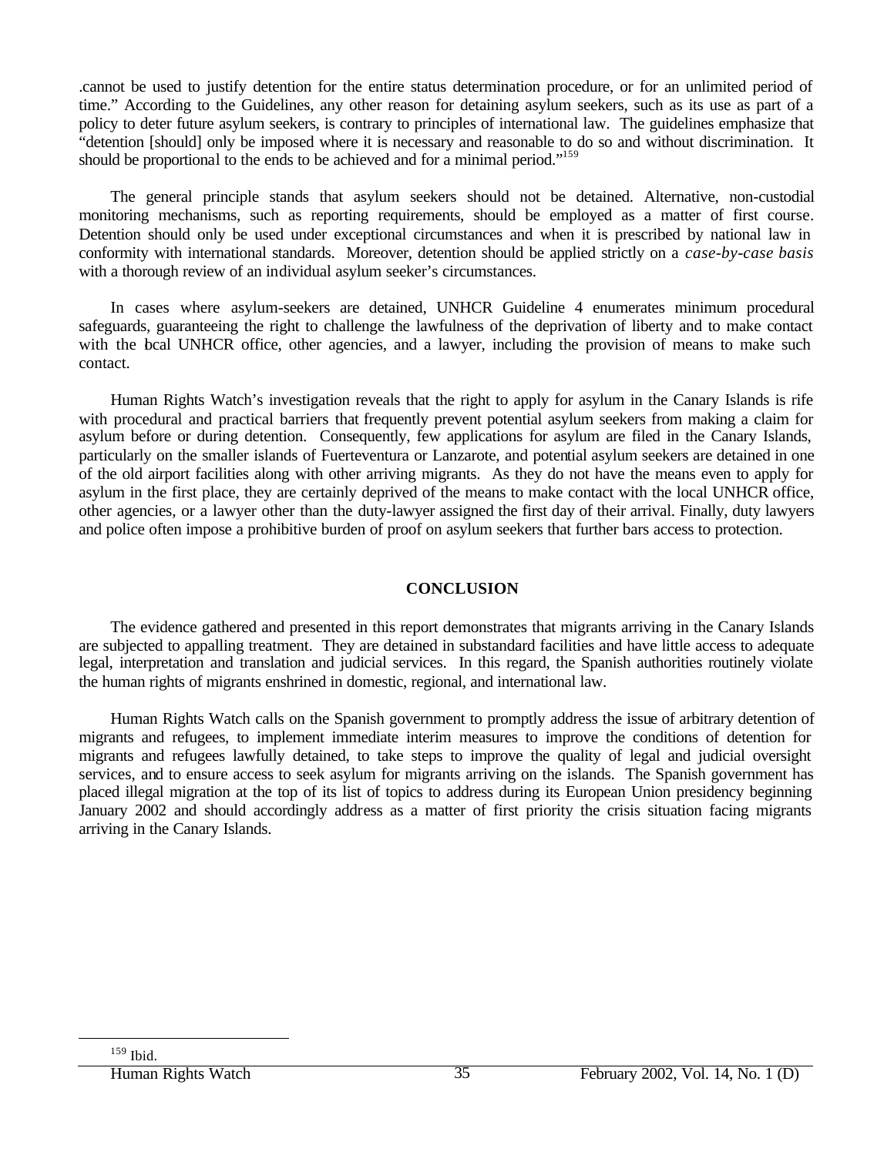.cannot be used to justify detention for the entire status determination procedure, or for an unlimited period of time." According to the Guidelines, any other reason for detaining asylum seekers, such as its use as part of a policy to deter future asylum seekers, is contrary to principles of international law. The guidelines emphasize that "detention [should] only be imposed where it is necessary and reasonable to do so and without discrimination. It should be proportional to the ends to be achieved and for a minimal period."<sup>159</sup>

The general principle stands that asylum seekers should not be detained. Alternative, non-custodial monitoring mechanisms, such as reporting requirements, should be employed as a matter of first course. Detention should only be used under exceptional circumstances and when it is prescribed by national law in conformity with international standards. Moreover, detention should be applied strictly on a *case-by-case basis*  with a thorough review of an individual asylum seeker's circumstances.

In cases where asylum-seekers are detained, UNHCR Guideline 4 enumerates minimum procedural safeguards, guaranteeing the right to challenge the lawfulness of the deprivation of liberty and to make contact with the bcal UNHCR office, other agencies, and a lawyer, including the provision of means to make such contact.

Human Rights Watch's investigation reveals that the right to apply for asylum in the Canary Islands is rife with procedural and practical barriers that frequently prevent potential asylum seekers from making a claim for asylum before or during detention. Consequently, few applications for asylum are filed in the Canary Islands, particularly on the smaller islands of Fuerteventura or Lanzarote, and potential asylum seekers are detained in one of the old airport facilities along with other arriving migrants. As they do not have the means even to apply for asylum in the first place, they are certainly deprived of the means to make contact with the local UNHCR office, other agencies, or a lawyer other than the duty-lawyer assigned the first day of their arrival. Finally, duty lawyers and police often impose a prohibitive burden of proof on asylum seekers that further bars access to protection.

## **CONCLUSION**

The evidence gathered and presented in this report demonstrates that migrants arriving in the Canary Islands are subjected to appalling treatment. They are detained in substandard facilities and have little access to adequate legal, interpretation and translation and judicial services. In this regard, the Spanish authorities routinely violate the human rights of migrants enshrined in domestic, regional, and international law.

Human Rights Watch calls on the Spanish government to promptly address the issue of arbitrary detention of migrants and refugees, to implement immediate interim measures to improve the conditions of detention for migrants and refugees lawfully detained, to take steps to improve the quality of legal and judicial oversight services, and to ensure access to seek asylum for migrants arriving on the islands. The Spanish government has placed illegal migration at the top of its list of topics to address during its European Union presidency beginning January 2002 and should accordingly address as a matter of first priority the crisis situation facing migrants arriving in the Canary Islands.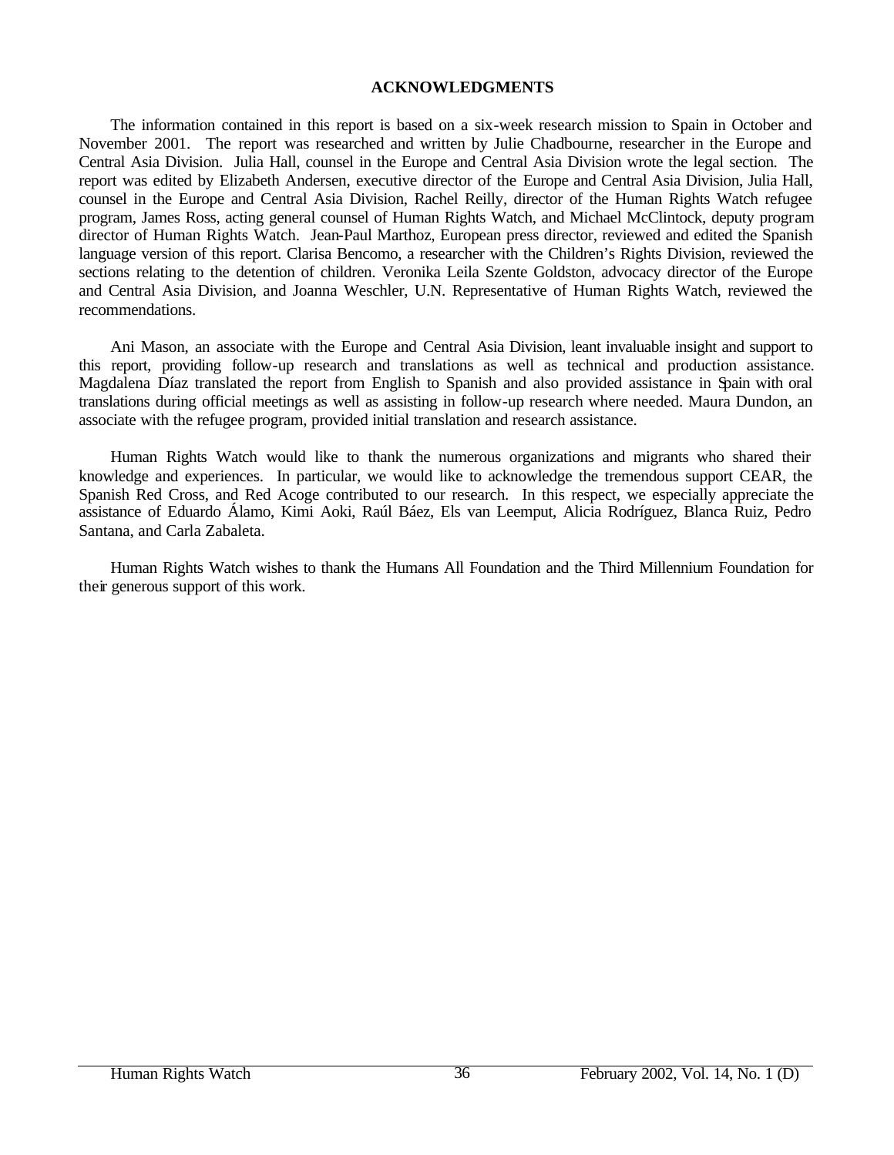### **ACKNOWLEDGMENTS**

The information contained in this report is based on a six-week research mission to Spain in October and November 2001. The report was researched and written by Julie Chadbourne, researcher in the Europe and Central Asia Division. Julia Hall, counsel in the Europe and Central Asia Division wrote the legal section. The report was edited by Elizabeth Andersen, executive director of the Europe and Central Asia Division, Julia Hall, counsel in the Europe and Central Asia Division, Rachel Reilly, director of the Human Rights Watch refugee program, James Ross, acting general counsel of Human Rights Watch, and Michael McClintock, deputy program director of Human Rights Watch. Jean-Paul Marthoz, European press director, reviewed and edited the Spanish language version of this report. Clarisa Bencomo, a researcher with the Children's Rights Division, reviewed the sections relating to the detention of children. Veronika Leila Szente Goldston, advocacy director of the Europe and Central Asia Division, and Joanna Weschler, U.N. Representative of Human Rights Watch, reviewed the recommendations.

Ani Mason, an associate with the Europe and Central Asia Division, leant invaluable insight and support to this report, providing follow-up research and translations as well as technical and production assistance. Magdalena Díaz translated the report from English to Spanish and also provided assistance in Spain with oral translations during official meetings as well as assisting in follow-up research where needed. Maura Dundon, an associate with the refugee program, provided initial translation and research assistance.

Human Rights Watch would like to thank the numerous organizations and migrants who shared their knowledge and experiences. In particular, we would like to acknowledge the tremendous support CEAR, the Spanish Red Cross, and Red Acoge contributed to our research. In this respect, we especially appreciate the assistance of Eduardo Álamo, Kimi Aoki, Raúl Báez, Els van Leemput, Alicia Rodríguez, Blanca Ruiz, Pedro Santana, and Carla Zabaleta.

Human Rights Watch wishes to thank the Humans All Foundation and the Third Millennium Foundation for their generous support of this work.